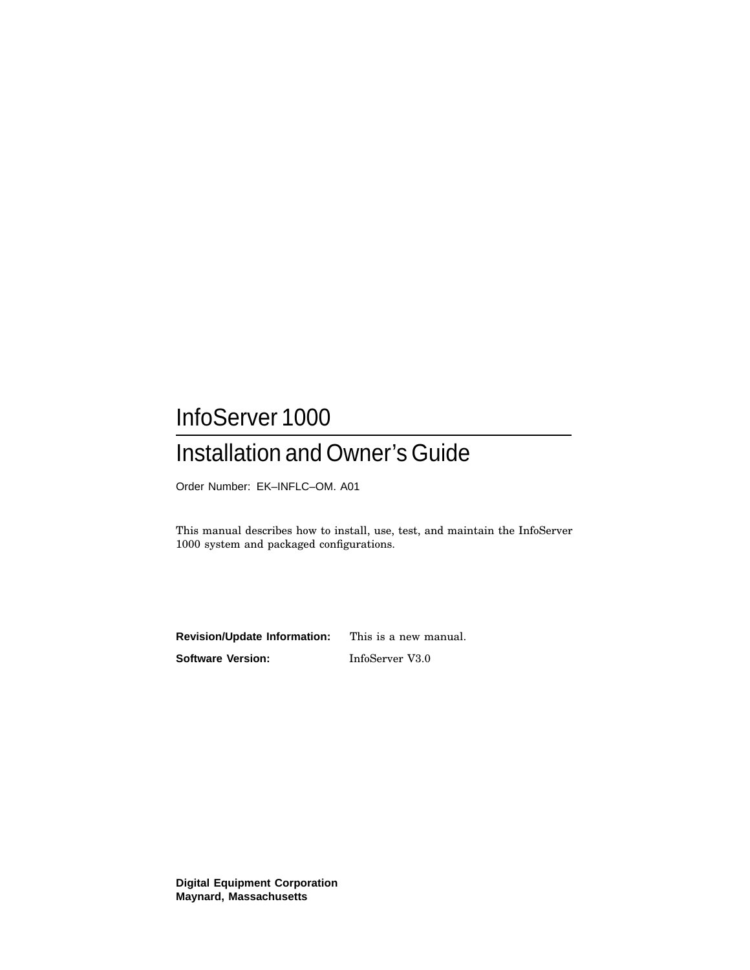# InfoServer 1000 Installation and Owner's Guide

Order Number: EK–INFLC–OM. A01

This manual describes how to install, use, test, and maintain the InfoServer 1000 system and packaged configurations.

**Revision/Update Information:** This is a new manual. **Software Version:** InfoServer V3.0

**Digital Equipment Corporation Maynard, Massachusetts**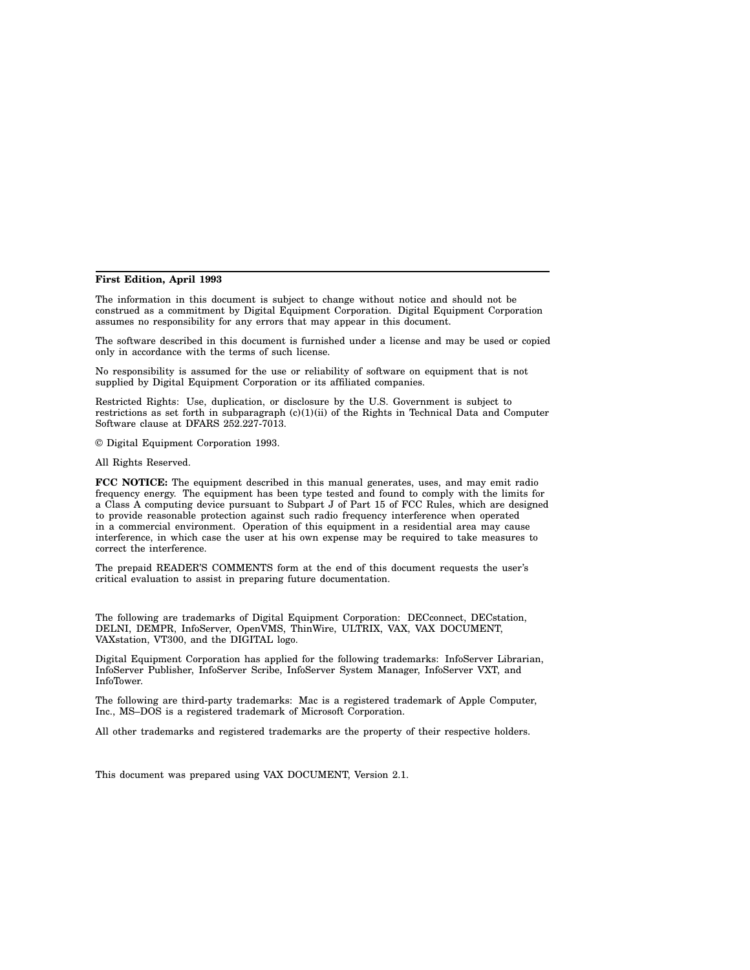#### **First Edition, April 1993**

The information in this document is subject to change without notice and should not be construed as a commitment by Digital Equipment Corporation. Digital Equipment Corporation assumes no responsibility for any errors that may appear in this document.

The software described in this document is furnished under a license and may be used or copied only in accordance with the terms of such license.

No responsibility is assumed for the use or reliability of software on equipment that is not supplied by Digital Equipment Corporation or its affiliated companies.

Restricted Rights: Use, duplication, or disclosure by the U.S. Government is subject to restrictions as set forth in subparagraph (c)(1)(ii) of the Rights in Technical Data and Computer Software clause at DFARS 252.227-7013.

© Digital Equipment Corporation 1993.

All Rights Reserved.

**FCC NOTICE:** The equipment described in this manual generates, uses, and may emit radio frequency energy. The equipment has been type tested and found to comply with the limits for a Class A computing device pursuant to Subpart J of Part 15 of FCC Rules, which are designed to provide reasonable protection against such radio frequency interference when operated in a commercial environment. Operation of this equipment in a residential area may cause interference, in which case the user at his own expense may be required to take measures to correct the interference.

The prepaid READER'S COMMENTS form at the end of this document requests the user's critical evaluation to assist in preparing future documentation.

The following are trademarks of Digital Equipment Corporation: DECconnect, DECstation, DELNI, DEMPR, InfoServer, OpenVMS, ThinWire, ULTRIX, VAX, VAX DOCUMENT, VAXstation, VT300, and the DIGITAL logo.

Digital Equipment Corporation has applied for the following trademarks: InfoServer Librarian, InfoServer Publisher, InfoServer Scribe, InfoServer System Manager, InfoServer VXT, and InfoTower.

The following are third-party trademarks: Mac is a registered trademark of Apple Computer, Inc., MS–DOS is a registered trademark of Microsoft Corporation.

All other trademarks and registered trademarks are the property of their respective holders.

This document was prepared using VAX DOCUMENT, Version 2.1.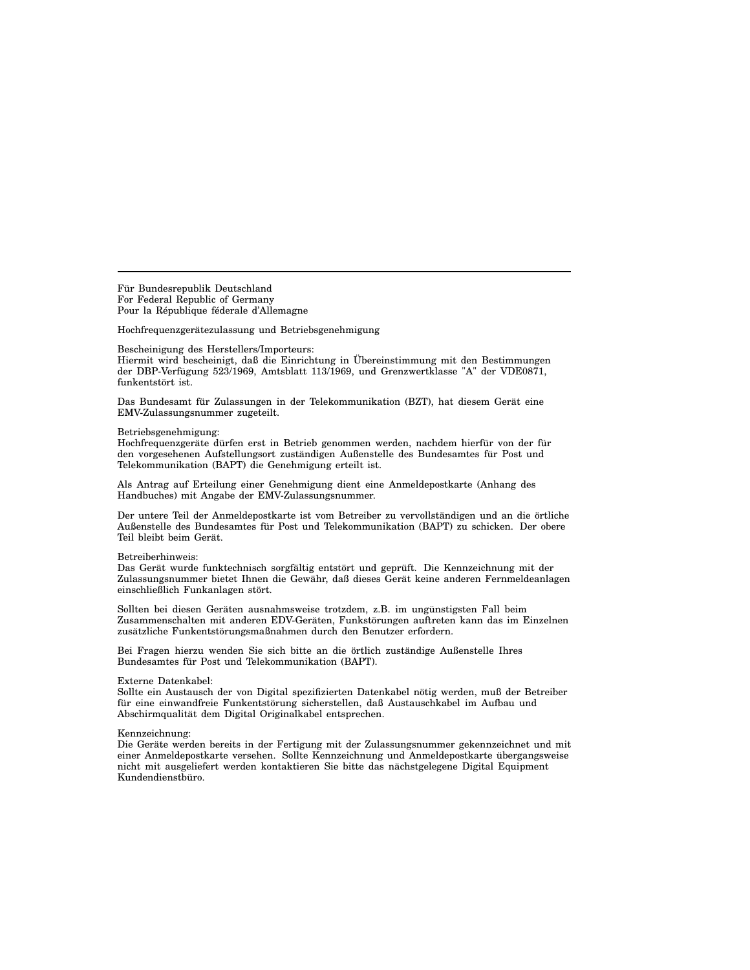Für Bundesrepublik Deutschland For Federal Republic of Germany Pour la République féderale d'Allemagne

Hochfrequenzgerätezulassung und Betriebsgenehmigung

#### Bescheinigung des Herstellers/Importeurs:

Hiermit wird bescheinigt, daß die Einrichtung in Übereinstimmung mit den Bestimmungen der DBP-Verfügung 523/1969, Amtsblatt 113/1969, und Grenzwertklasse "A" der VDE0871, funkentstört ist.

Das Bundesamt für Zulassungen in der Telekommunikation (BZT), hat diesem Gerät eine EMV-Zulassungsnummer zugeteilt.

#### Betriebsgenehmigung:

Hochfrequenzgeräte dürfen erst in Betrieb genommen werden, nachdem hierfür von der für den vorgesehenen Aufstellungsort zuständigen Außenstelle des Bundesamtes für Post und Telekommunikation (BAPT) die Genehmigung erteilt ist.

Als Antrag auf Erteilung einer Genehmigung dient eine Anmeldepostkarte (Anhang des Handbuches) mit Angabe der EMV-Zulassungsnummer.

Der untere Teil der Anmeldepostkarte ist vom Betreiber zu vervollständigen und an die örtliche Außenstelle des Bundesamtes für Post und Telekommunikation (BAPT) zu schicken. Der obere Teil bleibt beim Gerät.

#### Betreiberhinweis:

Das Gerät wurde funktechnisch sorgfältig entstört und geprüft. Die Kennzeichnung mit der Zulassungsnummer bietet Ihnen die Gewähr, daß dieses Gerät keine anderen Fernmeldeanlagen einschließlich Funkanlagen stört.

Sollten bei diesen Geräten ausnahmsweise trotzdem, z.B. im ungünstigsten Fall beim Zusammenschalten mit anderen EDV-Geräten, Funkstörungen auftreten kann das im Einzelnen zusätzliche Funkentstörungsmaßnahmen durch den Benutzer erfordern.

Bei Fragen hierzu wenden Sie sich bitte an die örtlich zuständige Außenstelle Ihres Bundesamtes für Post und Telekommunikation (BAPT).

#### Externe Datenkabel:

Sollte ein Austausch der von Digital spezifizierten Datenkabel nötig werden, muß der Betreiber für eine einwandfreie Funkentstörung sicherstellen, daß Austauschkabel im Aufbau und Abschirmqualität dem Digital Originalkabel entsprechen.

#### Kennzeichnung:

Die Geräte werden bereits in der Fertigung mit der Zulassungsnummer gekennzeichnet und mit einer Anmeldepostkarte versehen. Sollte Kennzeichnung und Anmeldepostkarte übergangsweise nicht mit ausgeliefert werden kontaktieren Sie bitte das nächstgelegene Digital Equipment Kundendienstbüro.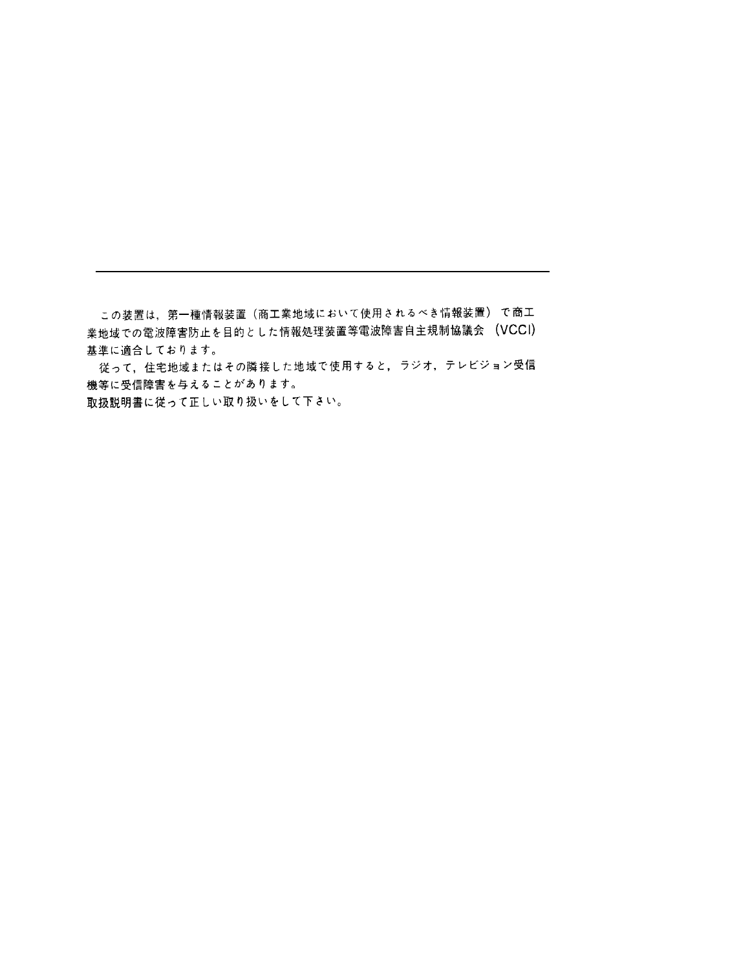この装置は,第一種情報装置(商工業地域において使用されるべき情報装置) で商工 業地域での電波障害防止を目的とした情報処理装置等電波障害自主規制協議会 (VCCI) 基準に適合しております。

従って、住宅地域またはその隣接した地域で使用すると、ラジオ、テレビジョン受信 機等に受信障害を与えることがあります。

取扱説明書に従って正しい取り扱いをして下さい。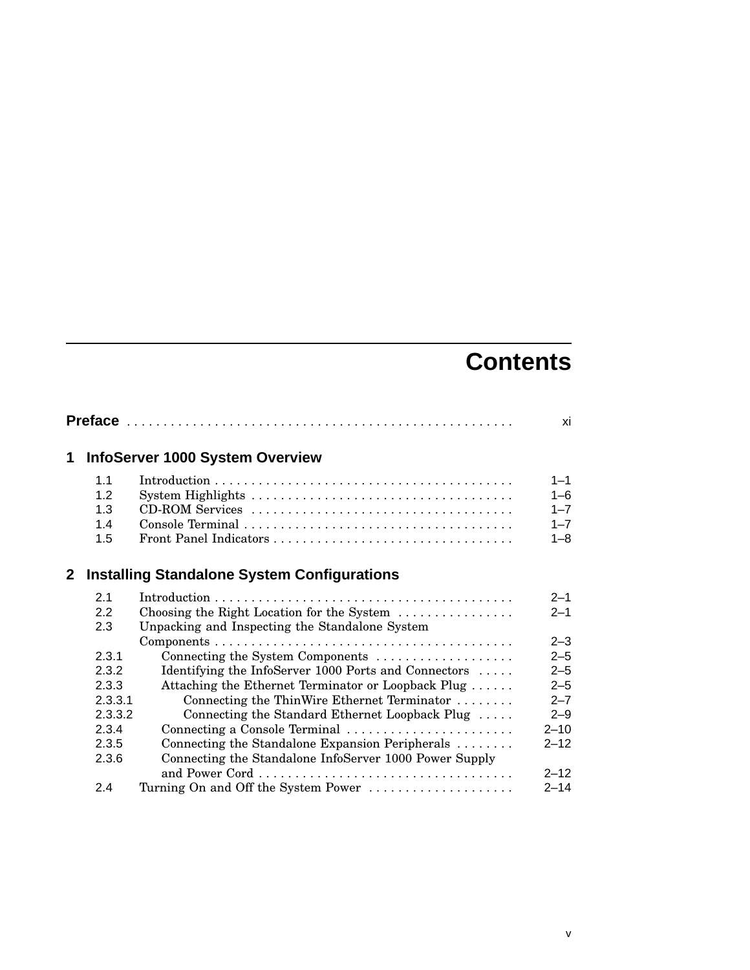# **Contents**

|                |         |                                                        | xi       |
|----------------|---------|--------------------------------------------------------|----------|
| 1              |         | <b>InfoServer 1000 System Overview</b>                 |          |
|                | 1.1     |                                                        | $1 - 1$  |
|                | 1.2     |                                                        | $1 - 6$  |
|                | 1.3     |                                                        | $1 - 7$  |
|                | 1.4     |                                                        | $1 - 7$  |
|                | 1.5     |                                                        | $1 - 8$  |
| $\mathbf{2}^-$ |         | <b>Installing Standalone System Configurations</b>     |          |
|                | 2.1     |                                                        | $2 - 1$  |
|                | 2.2     | Choosing the Right Location for the System             | $2 - 1$  |
|                | 2.3     | Unpacking and Inspecting the Standalone System         |          |
|                |         |                                                        | $2 - 3$  |
|                | 2.3.1   | Connecting the System Components                       | $2 - 5$  |
|                | 2.3.2   | Identifying the InfoServer 1000 Ports and Connectors   | $2 - 5$  |
|                | 2.3.3   | Attaching the Ethernet Terminator or Loopback Plug     | $2 - 5$  |
|                | 2.3.3.1 | Connecting the ThinWire Ethernet Terminator            | $2 - 7$  |
|                | 2.3.3.2 | Connecting the Standard Ethernet Loopback Plug         | $2 - 9$  |
|                | 2.3.4   | Connecting a Console Terminal                          | $2 - 10$ |
|                | 2.3.5   | Connecting the Standalone Expansion Peripherals        | $2 - 12$ |
|                | 2.3.6   | Connecting the Standalone InfoServer 1000 Power Supply |          |
|                |         |                                                        | $2 - 12$ |
|                | 2.4     | Turning On and Off the System Power                    | $2 - 14$ |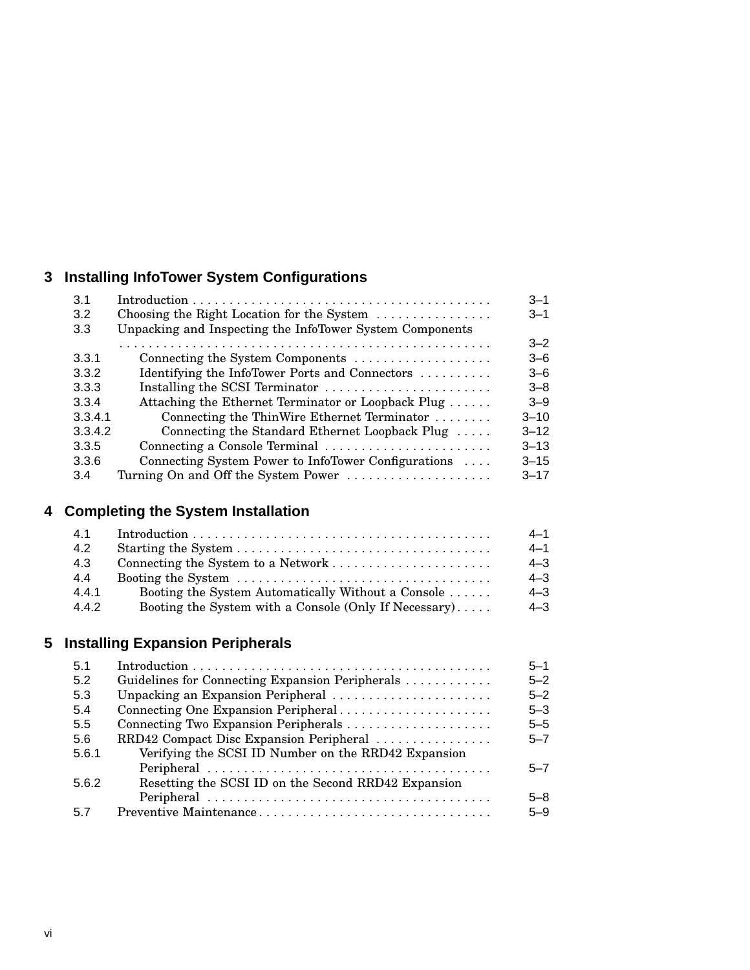# **3 Installing InfoTower System Configurations**

| 3.1     |                                                                      | $3 - 1$  |
|---------|----------------------------------------------------------------------|----------|
| 3.2     | Choosing the Right Location for the System $\dots \dots \dots \dots$ | $3 - 1$  |
| 3.3     | Unpacking and Inspecting the InfoTower System Components             |          |
|         |                                                                      | $3 - 2$  |
| 3.3.1   | Connecting the System Components                                     | $3 - 6$  |
| 3.3.2   | Identifying the InfoTower Ports and Connectors                       | $3 - 6$  |
| 3.3.3   | Installing the SCSI Terminator                                       | $3 - 8$  |
| 3.3.4   | Attaching the Ethernet Terminator or Loopback Plug                   | $3 - 9$  |
| 3.3.4.1 | Connecting the ThinWire Ethernet Terminator                          | $3 - 10$ |
| 3.3.4.2 | Connecting the Standard Ethernet Loopback Plug                       | $3 - 12$ |
| 3.3.5   | Connecting a Console Terminal                                        | $3 - 13$ |
| 3.3.6   | Connecting System Power to InfoTower Configurations                  | $3 - 15$ |
| 3.4     | Turning On and Off the System Power                                  | $3 - 17$ |

# **4 Completing the System Installation**

| 4.1   |                                                       | $4 - 1$ |
|-------|-------------------------------------------------------|---------|
| 4.2   |                                                       | $4 - 1$ |
| 4.3   | Connecting the System to a Network                    | $4 - 3$ |
| 4.4   |                                                       | $4 - 3$ |
| 4.4.1 | Booting the System Automatically Without a Console    | $4 - 3$ |
| 4.4.2 | Booting the System with a Console (Only If Necessary) | $4 - 3$ |

# **5 Installing Expansion Peripherals**

| 5.1   |                                                     | $5 - 1$ |
|-------|-----------------------------------------------------|---------|
| 5.2   | Guidelines for Connecting Expansion Peripherals     | $5 - 2$ |
| 5.3   | Unpacking an Expansion Peripheral                   | $5 - 2$ |
| 5.4   | Connecting One Expansion Peripheral                 | $5 - 3$ |
| 5.5   | Connecting Two Expansion Peripherals                | $5 - 5$ |
| 5.6   | RRD42 Compact Disc Expansion Peripheral             | $5 - 7$ |
| 5.6.1 | Verifying the SCSI ID Number on the RRD42 Expansion |         |
|       |                                                     | $5 - 7$ |
| 5.6.2 | Resetting the SCSI ID on the Second RRD42 Expansion |         |
|       |                                                     | $5 - 8$ |
| 57    | Preventive Maintenance                              | $5 - 9$ |
|       |                                                     |         |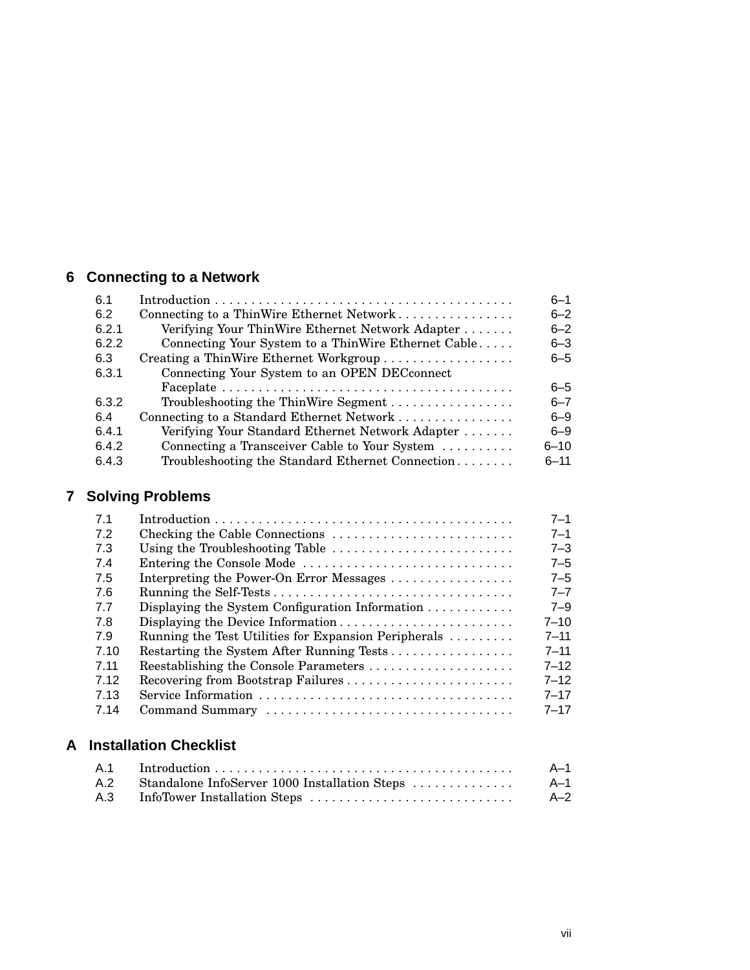# **6 Connecting to a Network**

| 6.1   |                                                     | $6 - 1$  |
|-------|-----------------------------------------------------|----------|
| 6.2   | Connecting to a ThinWire Ethernet Network           | $6 - 2$  |
| 6.2.1 | Verifying Your ThinWire Ethernet Network Adapter    | $6 - 2$  |
| 6.2.2 | Connecting Your System to a ThinWire Ethernet Cable | $6 - 3$  |
| 6.3   | Creating a ThinWire Ethernet Workgroup              | $6 - 5$  |
| 6.3.1 | Connecting Your System to an OPEN DECconnect        |          |
|       |                                                     | $6 - 5$  |
| 6.3.2 | Troubleshooting the ThinWire Segment                | $6 - 7$  |
| 6.4   | Connecting to a Standard Ethernet Network           | $6 - 9$  |
| 6.4.1 | Verifying Your Standard Ethernet Network Adapter    | $6 - 9$  |
| 6.4.2 | Connecting a Transceiver Cable to Your System       | $6 - 10$ |
| 6.4.3 | Troubleshooting the Standard Ethernet Connection    | $6 - 11$ |

# **7 Solving Problems**

| 7.1  |                                                                     | $7 - 1$  |
|------|---------------------------------------------------------------------|----------|
| 7.2  |                                                                     | $7 - 1$  |
| 7.3  | Using the Troubleshooting Table                                     | $7 - 3$  |
| 7.4  | Entering the Console Mode                                           | $7 - 5$  |
| 7.5  | Interpreting the Power-On Error Messages                            | $7 - 5$  |
| -7.6 |                                                                     | $7 - 7$  |
| 77   | Displaying the System Configuration Information $\dots \dots \dots$ | $7 - 9$  |
| 7.8  | Displaying the Device Information                                   | $7 - 10$ |
| 7.9  | Running the Test Utilities for Expansion Peripherals                | $7 - 11$ |
| 7.10 | Restarting the System After Running Tests                           | $7 - 11$ |
| 7.11 | Reestablishing the Console Parameters                               | $7 - 12$ |
| 7.12 | Recovering from Bootstrap Failures                                  | $7 - 12$ |
| 7.13 |                                                                     | $7 - 17$ |
| 7.14 |                                                                     | $7 - 17$ |

# **A Installation Checklist**

| A.1 | $Introduction \dots \dots \dots \dots \dots \dots \dots \dots \dots \dots \dots \dots \dots \dots$ | $A-1$ |
|-----|----------------------------------------------------------------------------------------------------|-------|
|     | A.2 Standalone InfoServer 1000 Installation Steps                                                  | A-1   |
| A.3 |                                                                                                    | $A-2$ |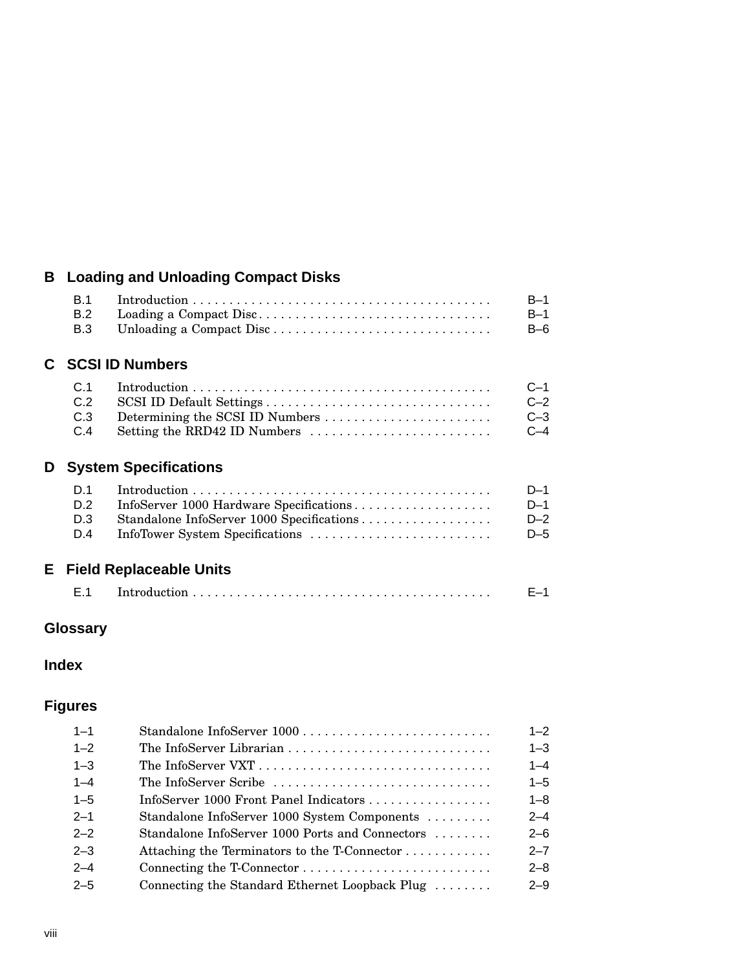# **B Loading and Unloading Compact Disks**

|     | <b>B.1</b><br><b>B.2</b><br>B.3 | Unloading a Compact Disc                                                   | $B-1$<br>$B-1$<br>$B-6$          |
|-----|---------------------------------|----------------------------------------------------------------------------|----------------------------------|
| C . |                                 | <b>SCSI ID Numbers</b>                                                     |                                  |
|     | C.1<br>C.2<br>C.3<br>C.4        | Determining the SCSI ID Numbers<br>Setting the RRD42 ID Numbers            | $C-1$<br>$C-2$<br>$C-3$<br>$C-4$ |
| D   |                                 | <b>System Specifications</b>                                               |                                  |
|     | D.1<br>D.2<br>D.3<br>D.4        | InfoServer 1000 Hardware Specifications<br>InfoTower System Specifications | $D-1$<br>$D-1$<br>$D-2$<br>$D-5$ |
| E.  |                                 | <b>Field Replaceable Units</b>                                             |                                  |
|     | E.1                             |                                                                            | $F-1$                            |

# **Glossary**

**Index**

# **Figures**

| $1 - 1$ |                                                 | $1 - 2$ |
|---------|-------------------------------------------------|---------|
| $1 - 2$ |                                                 | $1 - 3$ |
| $1 - 3$ |                                                 | $1 - 4$ |
| $1 - 4$ | The InfoServer Scribe                           | $1 - 5$ |
| $1 - 5$ | InfoServer 1000 Front Panel Indicators          | $1 - 8$ |
| $2 - 1$ | Standalone InfoServer 1000 System Components    | $2 - 4$ |
| $2 - 2$ | Standalone InfoServer 1000 Ports and Connectors | $2 - 6$ |
| $2 - 3$ | Attaching the Terminators to the T-Connector    | $2 - 7$ |
| $2 - 4$ |                                                 | $2 - 8$ |
| $2 - 5$ | Connecting the Standard Ethernet Loopback Plug  | $2 - 9$ |
|         |                                                 |         |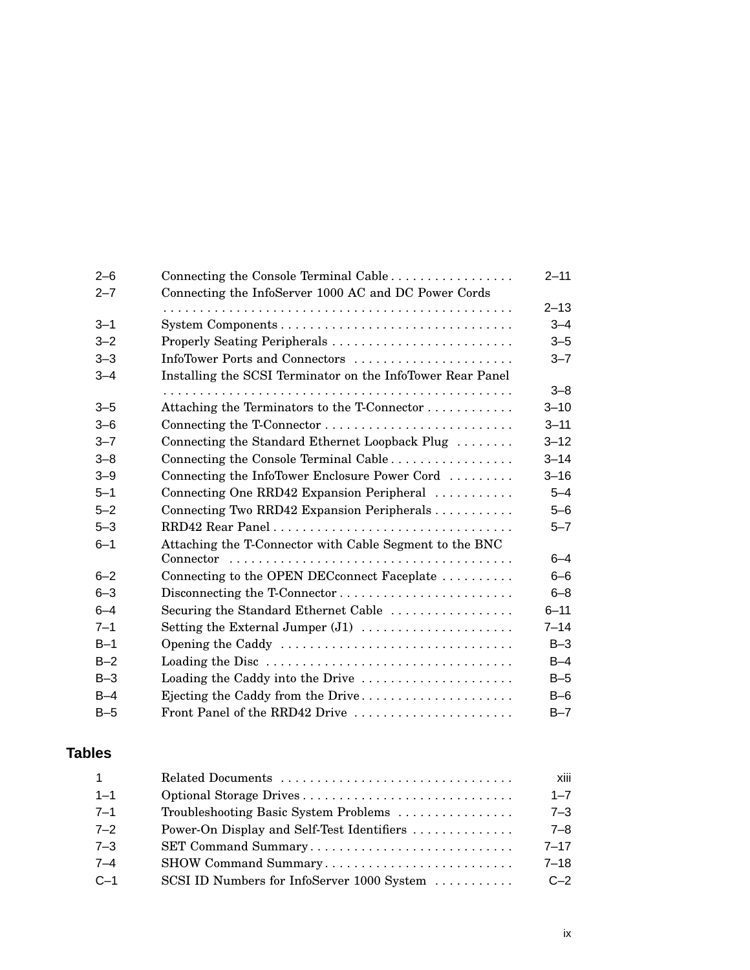| $2 - 6$ |                                                            | $2 - 11$ |
|---------|------------------------------------------------------------|----------|
| $2 - 7$ | Connecting the InfoServer 1000 AC and DC Power Cords       |          |
|         |                                                            | $2 - 13$ |
| $3 - 1$ |                                                            | $3 - 4$  |
| $3 - 2$ |                                                            | $3 - 5$  |
| $3 - 3$ | InfoTower Ports and Connectors                             | $3 - 7$  |
| $3 - 4$ | Installing the SCSI Terminator on the InfoTower Rear Panel |          |
|         |                                                            | $3 - 8$  |
| $3 - 5$ | Attaching the Terminators to the T-Connector               | $3 - 10$ |
| $3 - 6$ |                                                            | $3 - 11$ |
| $3 - 7$ | Connecting the Standard Ethernet Loopback Plug             | $3 - 12$ |
| $3 - 8$ | Connecting the Console Terminal Cable                      | $3 - 14$ |
| $3 - 9$ | Connecting the InfoTower Enclosure Power Cord              | $3 - 16$ |
| $5 - 1$ | Connecting One RRD42 Expansion Peripheral                  | $5 - 4$  |
| $5 - 2$ | Connecting Two RRD42 Expansion Peripherals                 | $5 - 6$  |
| $5 - 3$ |                                                            | $5 - 7$  |
| $6 - 1$ | Attaching the T-Connector with Cable Segment to the BNC    |          |
|         |                                                            | $6 - 4$  |
| $6 - 2$ | Connecting to the OPEN DECconnect Faceplate                | $6 - 6$  |
| $6 - 3$ |                                                            | $6 - 8$  |
| $6 - 4$ | Securing the Standard Ethernet Cable                       | $6 - 11$ |
| $7 - 1$ |                                                            | $7 - 14$ |
| $B-1$   | Opening the Caddy                                          | $B-3$    |
| $B-2$   |                                                            | $B-4$    |
| $B-3$   | Loading the Caddy into the Drive                           | $B-5$    |
| $B-4$   | Ejecting the Caddy from the Drive                          | $B-6$    |
| $B-5$   | Front Panel of the RRD42 Drive                             | $B - 7$  |

# **Tables**

| $\mathbf{1}$ | Related Documents                          | xiii     |
|--------------|--------------------------------------------|----------|
| $1 - 1$      |                                            | $1 - 7$  |
| $7 - 1$      | Troubleshooting Basic System Problems      | $7 - 3$  |
| $7 - 2$      | Power-On Display and Self-Test Identifiers | 7–8      |
| $7 - 3$      | SET Command Summary                        | $7 - 17$ |
| $7 - 4$      | SHOW Command Summary                       | $7 - 18$ |
| $C-1$        | SCSI ID Numbers for InfoServer 1000 System | $C-2$    |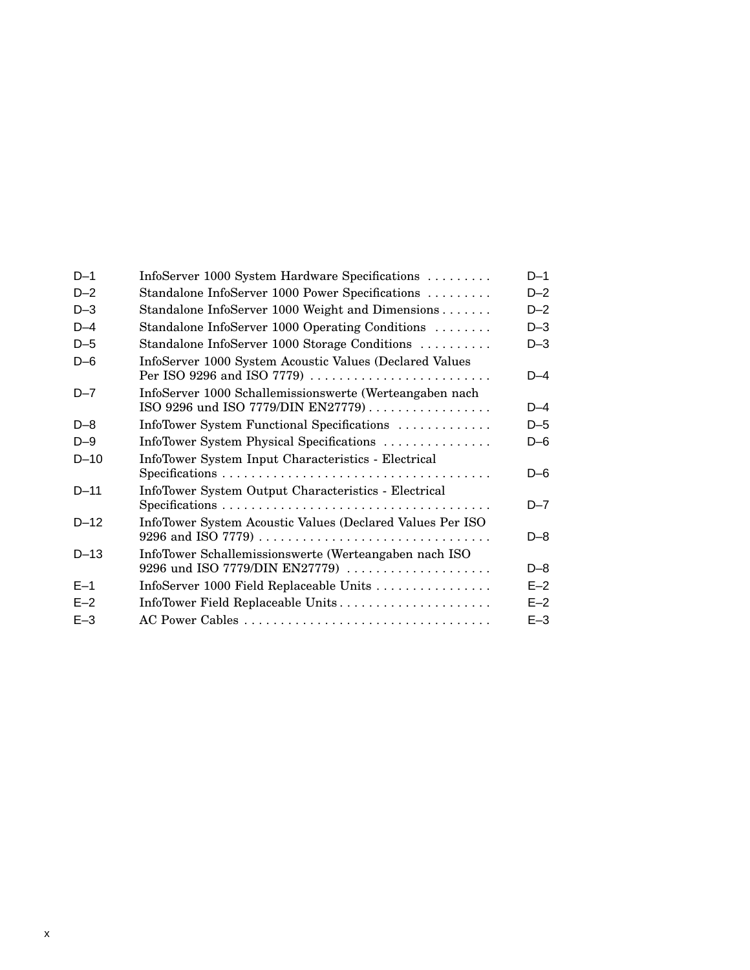| $D-1$    | InfoServer 1000 System Hardware Specifications                                                | $D-1$ |
|----------|-----------------------------------------------------------------------------------------------|-------|
| $D-2$    | Standalone InfoServer 1000 Power Specifications                                               | $D-2$ |
| $D-3$    | Standalone InfoServer 1000 Weight and Dimensions                                              | $D-2$ |
| $D-4$    | Standalone InfoServer 1000 Operating Conditions                                               | $D-3$ |
| $D-5$    | Standalone InfoServer 1000 Storage Conditions                                                 | $D-3$ |
| $D-6$    | InfoServer 1000 System Acoustic Values (Declared Values<br>Per ISO 9296 and ISO 7779)         | D-4   |
| $D - 7$  | InfoServer 1000 Schallemissionswerte (Werteangaben nach<br>ISO 9296 und ISO 7779/DIN EN27779) | $D-4$ |
| $D - 8$  | InfoTower System Functional Specifications                                                    | $D-5$ |
| $D-9$    | InfoTower System Physical Specifications                                                      | $D-6$ |
| $D-10$   | InfoTower System Input Characteristics - Electrical                                           |       |
|          |                                                                                               | $D-6$ |
| $D - 11$ | InfoTower System Output Characteristics - Electrical                                          |       |
|          |                                                                                               | D–7   |
| $D - 12$ | InfoTower System Acoustic Values (Declared Values Per ISO                                     |       |
|          |                                                                                               | $D-8$ |
| $D-13$   | InfoTower Schallemissionswerte (Werteangaben nach ISO<br>9296 und ISO 7779/DIN EN27779)       | $D-8$ |
| $E-1$    | InfoServer 1000 Field Replaceable Units                                                       | $E-2$ |
| $E-2$    | InfoTower Field Replaceable Units                                                             | $E-2$ |
| $E-3$    |                                                                                               | $E-3$ |
|          |                                                                                               |       |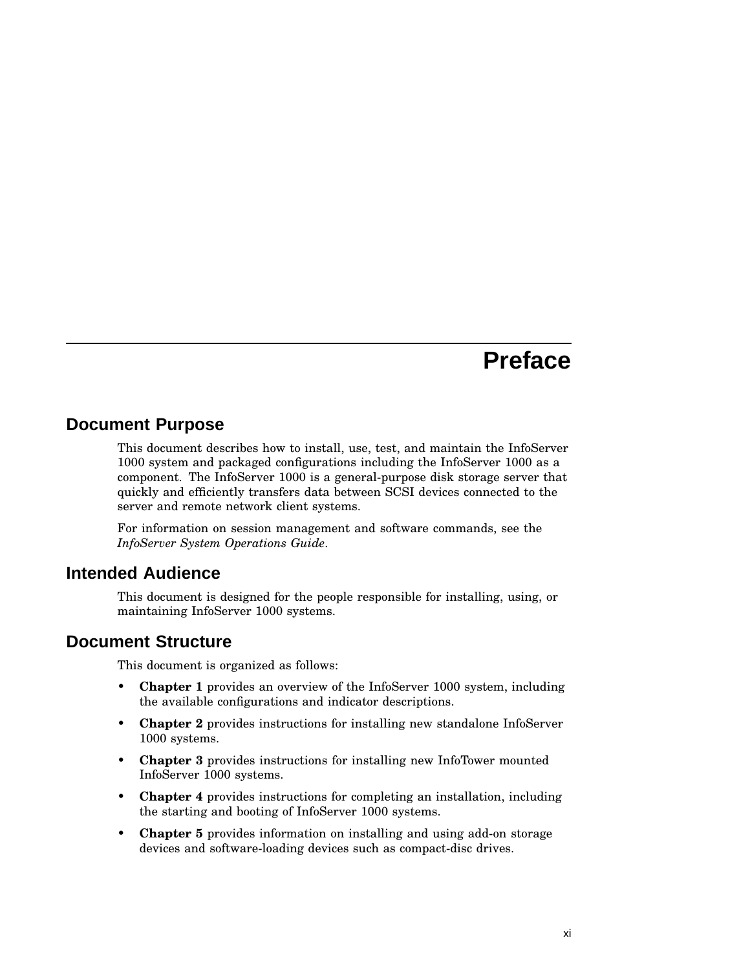# **Preface**

## **Document Purpose**

This document describes how to install, use, test, and maintain the InfoServer 1000 system and packaged configurations including the InfoServer 1000 as a component. The InfoServer 1000 is a general-purpose disk storage server that quickly and efficiently transfers data between SCSI devices connected to the server and remote network client systems.

For information on session management and software commands, see the *InfoServer System Operations Guide*.

#### **Intended Audience**

This document is designed for the people responsible for installing, using, or maintaining InfoServer 1000 systems.

#### **Document Structure**

This document is organized as follows:

- **Chapter 1** provides an overview of the InfoServer 1000 system, including the available configurations and indicator descriptions.
- **Chapter** 2 provides instructions for installing new standalone InfoServer 1000 systems.
- **Chapter 3** provides instructions for installing new InfoTower mounted InfoServer 1000 systems.
- **Chapter 4** provides instructions for completing an installation, including the starting and booting of InfoServer 1000 systems.
- **Chapter 5** provides information on installing and using add-on storage devices and software-loading devices such as compact-disc drives.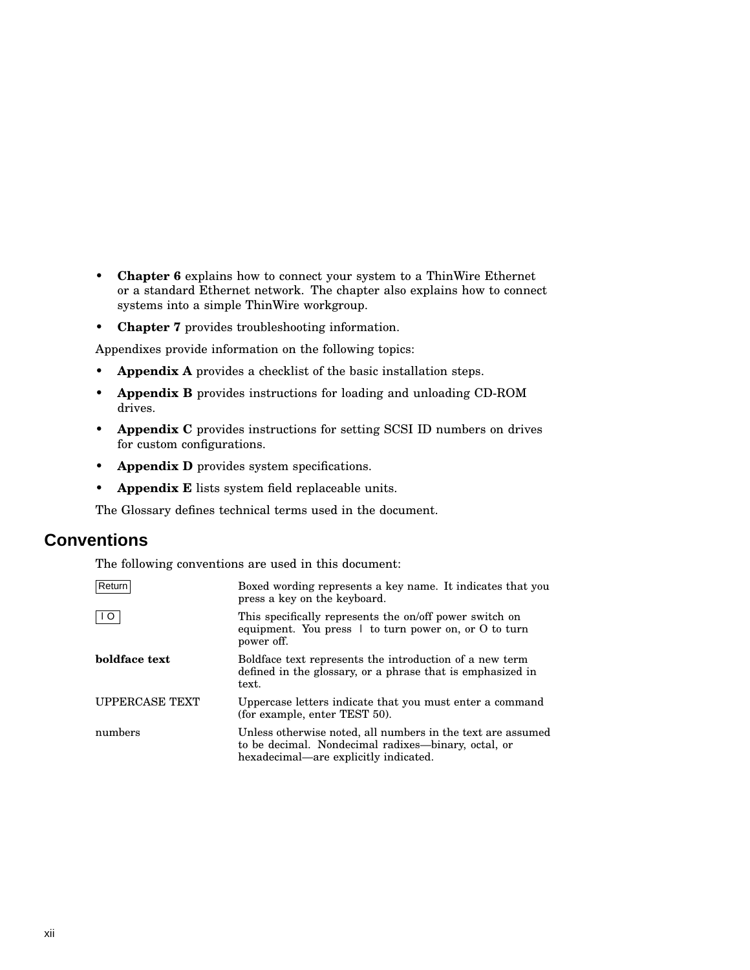- **Chapter 6** explains how to connect your system to a ThinWire Ethernet or a standard Ethernet network. The chapter also explains how to connect systems into a simple ThinWire workgroup.
- **Chapter 7** provides troubleshooting information.

Appendixes provide information on the following topics:

- **Appendix A** provides a checklist of the basic installation steps.
- **Appendix B** provides instructions for loading and unloading CD-ROM drives.
- **Appendix C** provides instructions for setting SCSI ID numbers on drives for custom configurations.
- **Appendix D** provides system specifications.
- **Appendix E** lists system field replaceable units.

The Glossary defines technical terms used in the document.

#### **Conventions**

The following conventions are used in this document:

| Return                | Boxed wording represents a key name. It indicates that you<br>press a key on the keyboard.                                                                  |
|-----------------------|-------------------------------------------------------------------------------------------------------------------------------------------------------------|
| I I O                 | This specifically represents the on/off power switch on<br>equipment. You press $\perp$ to turn power on, or O to turn<br>power off.                        |
| boldface text         | Boldface text represents the introduction of a new term<br>defined in the glossary, or a phrase that is emphasized in<br>text.                              |
| <b>UPPERCASE TEXT</b> | Uppercase letters indicate that you must enter a command<br>(for example, enter TEST 50).                                                                   |
| numbers               | Unless otherwise noted, all numbers in the text are assumed<br>to be decimal. Nondecimal radixes—binary, octal, or<br>hexadecimal—are explicitly indicated. |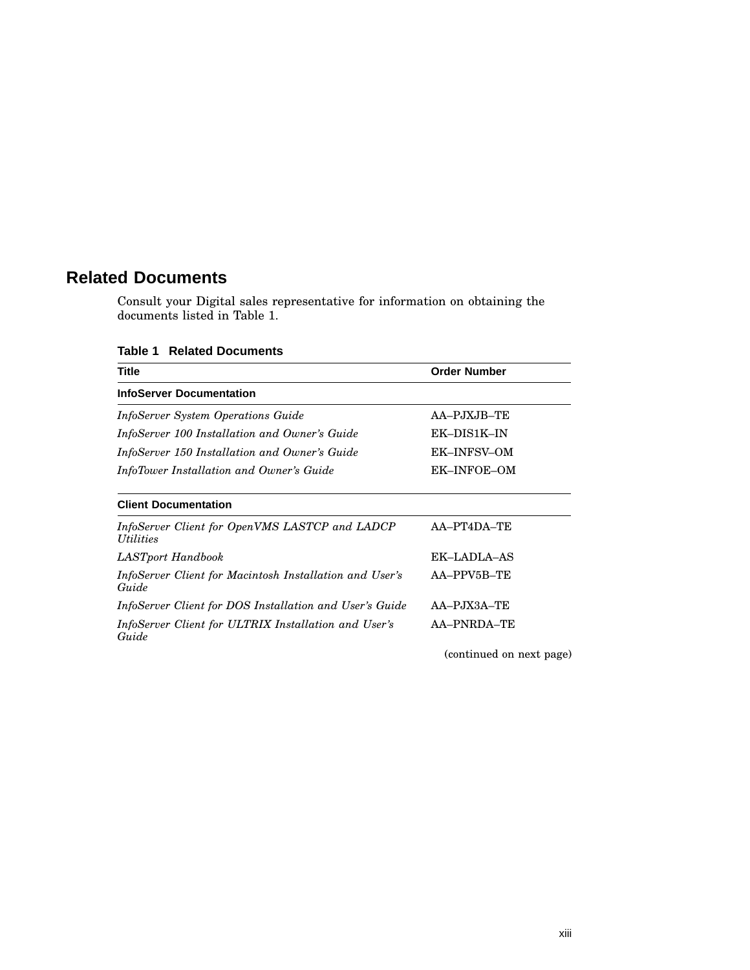# **Related Documents**

Consult your Digital sales representative for information on obtaining the documents listed in Table 1.

**Table 1 Related Documents**

| <b>Title</b>                                                                     | <b>Order Number</b>      |
|----------------------------------------------------------------------------------|--------------------------|
| <b>InfoServer Documentation</b>                                                  |                          |
| <i>InfoServer System Operations Guide</i>                                        | AA-PJXJB-TE              |
| InfoServer 100 Installation and Owner's Guide                                    | EK-DIS1K-IN              |
| InfoServer 150 Installation and Owner's Guide                                    | <b>EK-INFSV-OM</b>       |
| InfoTower Installation and Owner's Guide                                         | EK-INFOE-OM              |
| <b>Client Documentation</b>                                                      |                          |
| InfoServer Client for OpenVMS LASTCP and LADCP<br><i><u><b>Utilities</b></u></i> | AA-PT4DA-TE              |
| LASTport Handbook                                                                | EK-LADLA-AS              |
| InfoServer Client for Macintosh Installation and User's<br>Guide                 | AA-PPV5B-TE              |
| InfoServer Client for DOS Installation and User's Guide                          | $AA-PJX3A-TE$            |
| InfoServer Client for ULTRIX Installation and User's<br>Guide                    | <b>AA-PNRDA-TE</b>       |
|                                                                                  | (continued on next page) |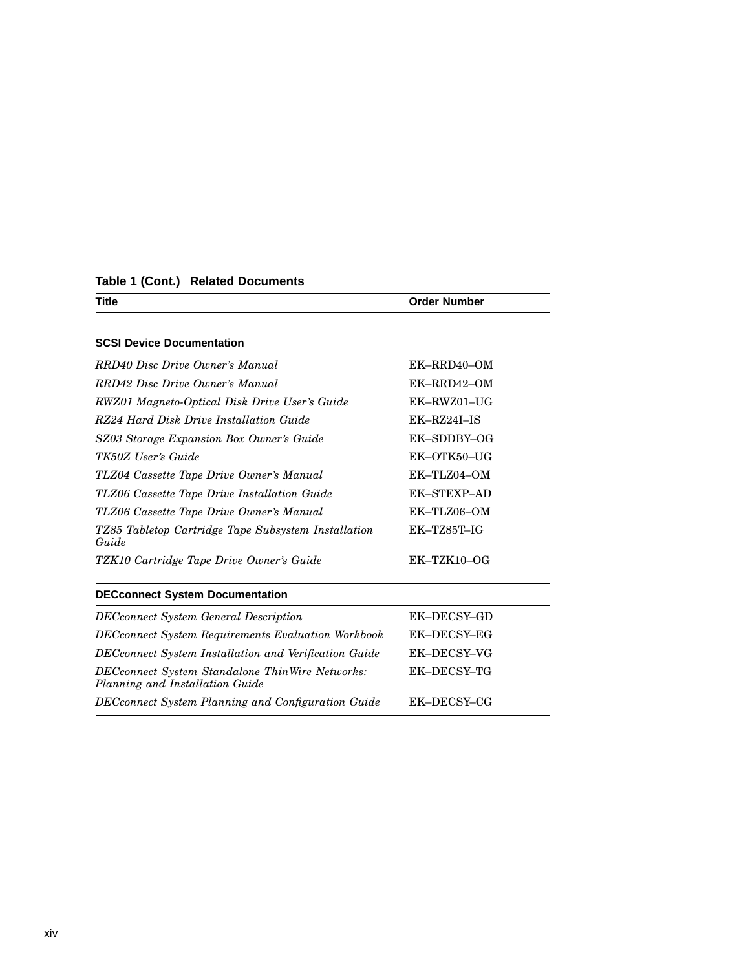| Table 1 (Cont.) Related Documents |  |  |
|-----------------------------------|--|--|
|-----------------------------------|--|--|

| Title                                                                              | <b>Order Number</b> |
|------------------------------------------------------------------------------------|---------------------|
|                                                                                    |                     |
| <b>SCSI Device Documentation</b>                                                   |                     |
| RRD40 Disc Drive Owner's Manual                                                    | EK-RRD40-OM         |
| RRD42 Disc Drive Owner's Manual                                                    | EK-RRD42-OM         |
| RWZ01 Magneto-Optical Disk Drive User's Guide                                      | EK-RWZ01-UG         |
| RZ24 Hard Disk Drive Installation Guide                                            | $EK-RZ24I-IS$       |
| SZ03 Storage Expansion Box Owner's Guide                                           | EK-SDDBY-OG         |
| TK50Z User's Guide                                                                 | EK-OTK50-UG         |
| TLZ04 Cassette Tape Drive Owner's Manual                                           | EK-TLZ04-OM         |
| TLZ06 Cassette Tape Drive Installation Guide                                       | <b>EK-STEXP-AD</b>  |
| TLZ06 Cassette Tape Drive Owner's Manual                                           | EK-TLZ06-OM         |
| TZ85 Tabletop Cartridge Tape Subsystem Installation<br>Guide                       | EK-TZ85T-IG         |
| TZK10 Cartridge Tape Drive Owner's Guide                                           | $EK-TZK10-OG$       |
| <b>DECconnect System Documentation</b>                                             |                     |
| <b>DECconnect System General Description</b>                                       | EK-DECSY-GD         |
| DECconnect System Requirements Evaluation Workbook                                 | EK-DECSY-EG         |
| DECconnect System Installation and Verification Guide                              | EK-DECSY-VG         |
| DECconnect System Standalone ThinWire Networks:<br>Planning and Installation Guide | EK-DECSY-TG         |
| DECconnect System Planning and Configuration Guide                                 | EK-DECSY-CG         |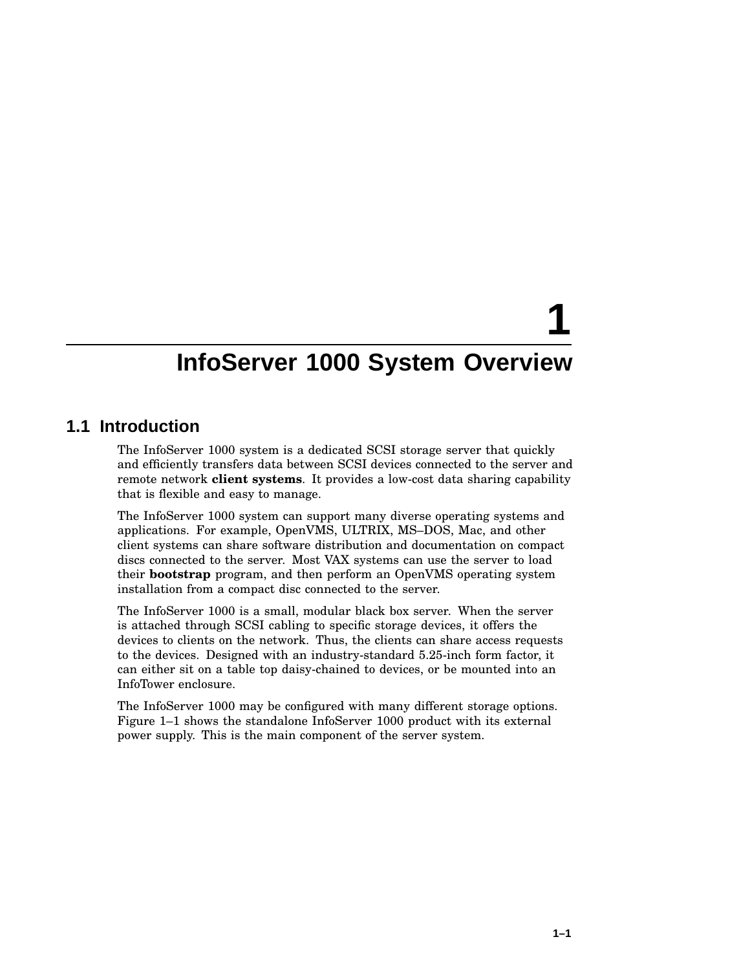# **1**

# **InfoServer 1000 System Overview**

#### **1.1 Introduction**

The InfoServer 1000 system is a dedicated SCSI storage server that quickly and efficiently transfers data between SCSI devices connected to the server and remote network **client systems**. It provides a low-cost data sharing capability that is flexible and easy to manage.

The InfoServer 1000 system can support many diverse operating systems and applications. For example, OpenVMS, ULTRIX, MS–DOS, Mac, and other client systems can share software distribution and documentation on compact discs connected to the server. Most VAX systems can use the server to load their **bootstrap** program, and then perform an OpenVMS operating system installation from a compact disc connected to the server.

The InfoServer 1000 is a small, modular black box server. When the server is attached through SCSI cabling to specific storage devices, it offers the devices to clients on the network. Thus, the clients can share access requests to the devices. Designed with an industry-standard 5.25-inch form factor, it can either sit on a table top daisy-chained to devices, or be mounted into an InfoTower enclosure.

The InfoServer 1000 may be configured with many different storage options. Figure 1–1 shows the standalone InfoServer 1000 product with its external power supply. This is the main component of the server system.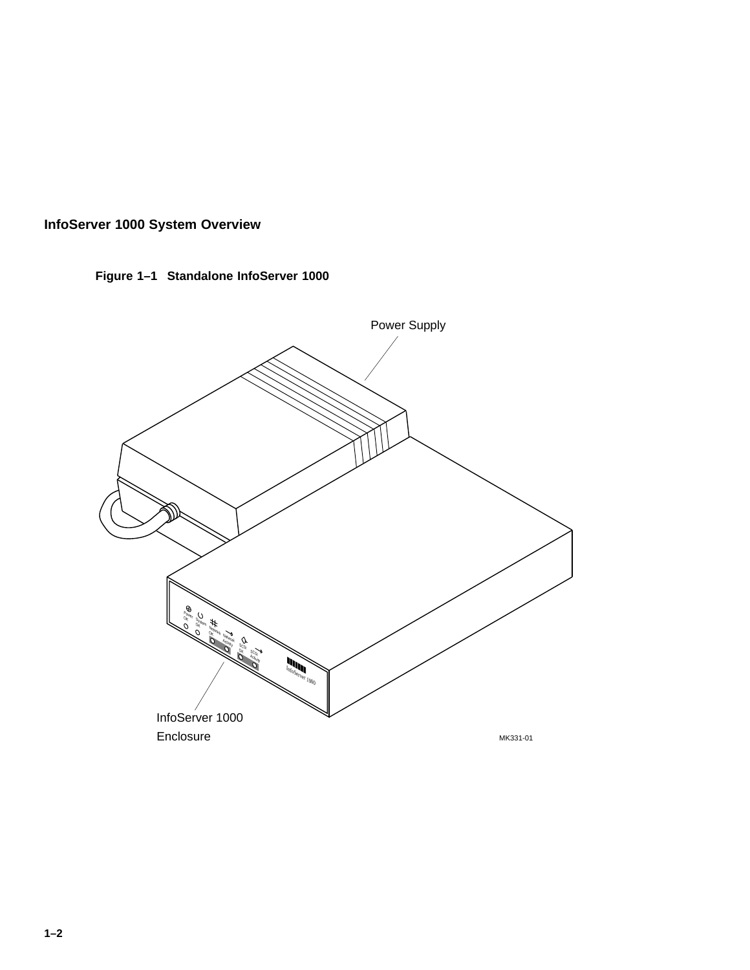



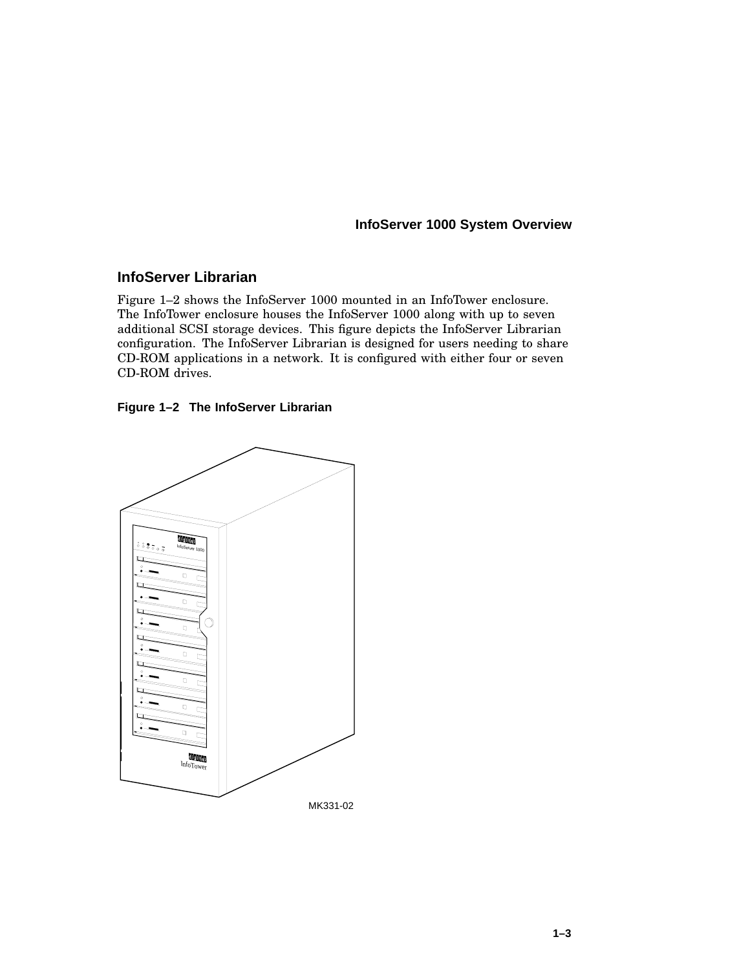#### **InfoServer Librarian**

Figure 1–2 shows the InfoServer 1000 mounted in an InfoTower enclosure. The InfoTower enclosure houses the InfoServer 1000 along with up to seven additional SCSI storage devices. This figure depicts the InfoServer Librarian configuration. The InfoServer Librarian is designed for users needing to share CD-ROM applications in a network. It is configured with either four or seven CD-ROM drives.



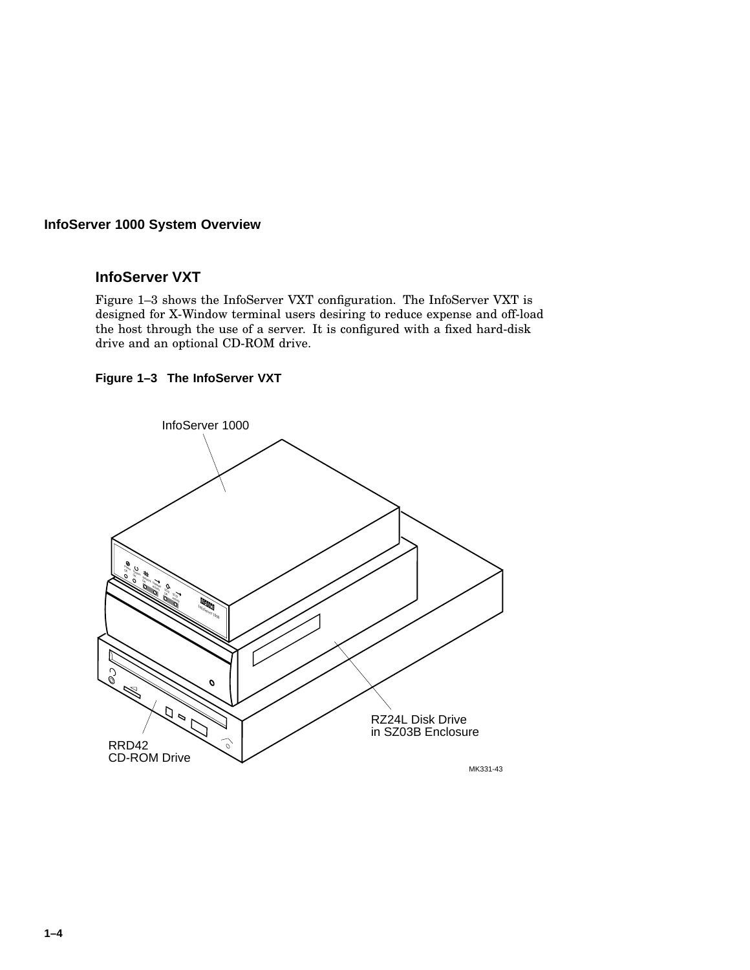#### **InfoServer VXT**

Figure 1–3 shows the InfoServer VXT configuration. The InfoServer VXT is designed for X-Window terminal users desiring to reduce expense and off-load the host through the use of a server. It is configured with a fixed hard-disk drive and an optional CD-ROM drive.

#### **Figure 1–3 The InfoServer VXT**

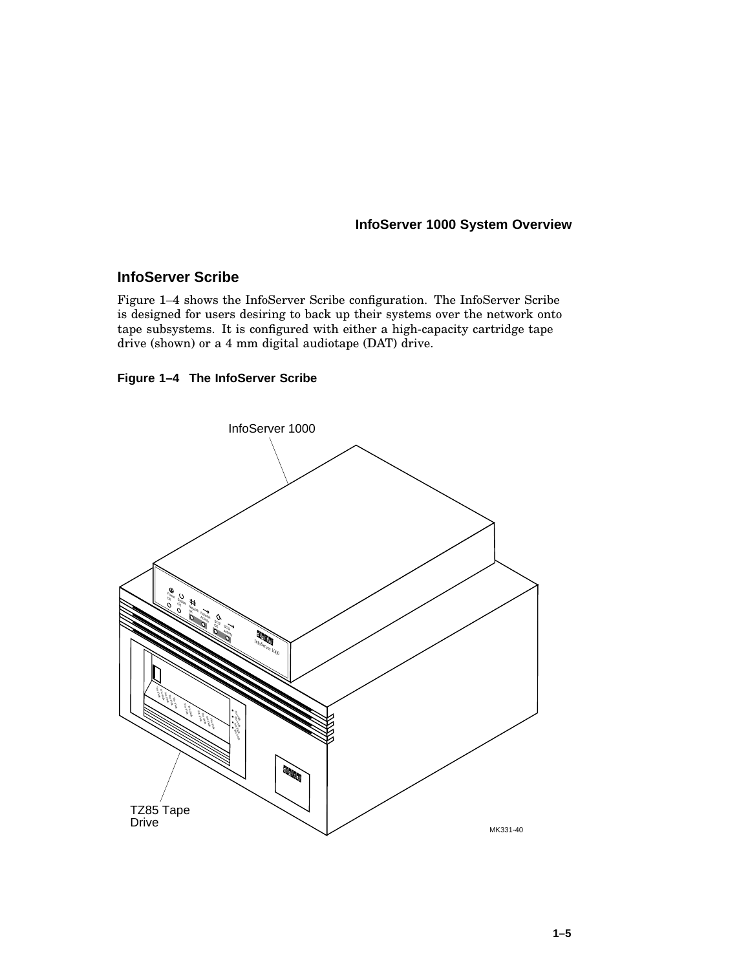#### **InfoServer Scribe**

Figure 1–4 shows the InfoServer Scribe configuration. The InfoServer Scribe is designed for users desiring to back up their systems over the network onto tape subsystems. It is configured with either a high-capacity cartridge tape drive (shown) or a 4 mm digital audiotape (DAT) drive.

#### **Figure 1–4 The InfoServer Scribe**

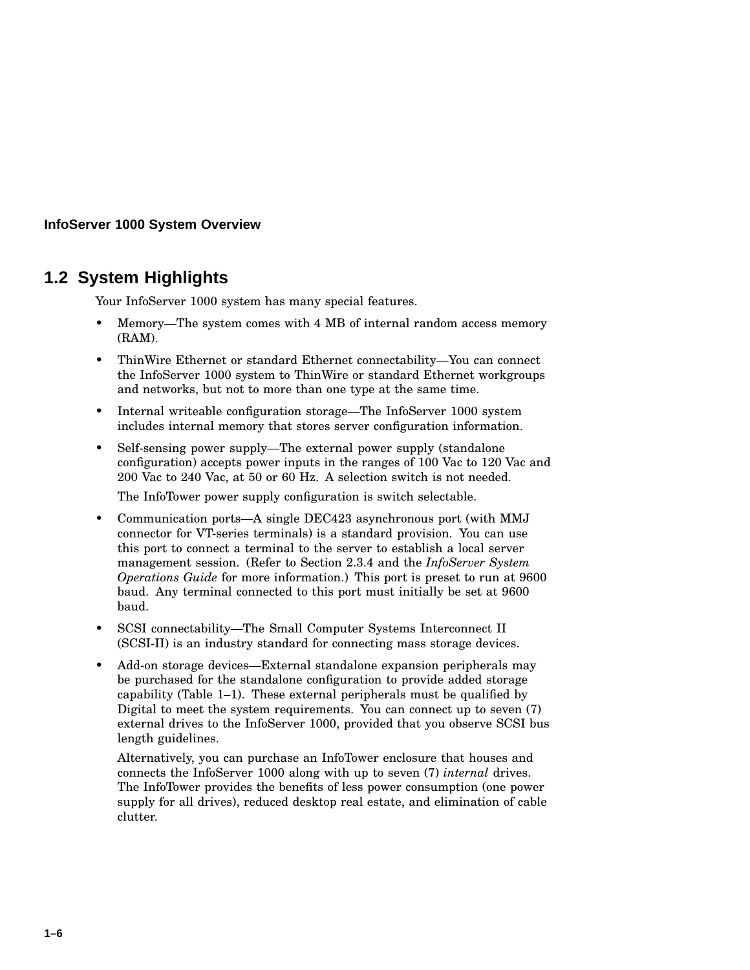# **1.2 System Highlights**

Your InfoServer 1000 system has many special features.

- Memory—The system comes with 4 MB of internal random access memory (RAM).
- ThinWire Ethernet or standard Ethernet connectability—You can connect the InfoServer 1000 system to ThinWire or standard Ethernet workgroups and networks, but not to more than one type at the same time.
- Internal writeable configuration storage—The InfoServer 1000 system includes internal memory that stores server configuration information.
- Self-sensing power supply—The external power supply (standalone configuration) accepts power inputs in the ranges of 100 Vac to 120 Vac and 200 Vac to 240 Vac, at 50 or 60 Hz. A selection switch is not needed.

The InfoTower power supply configuration is switch selectable.

- Communication ports—A single DEC423 asynchronous port (with MMJ connector for VT-series terminals) is a standard provision. You can use this port to connect a terminal to the server to establish a local server management session. (Refer to Section 2.3.4 and the *InfoServer System Operations Guide* for more information.) This port is preset to run at 9600 baud. Any terminal connected to this port must initially be set at 9600 baud.
- SCSI connectability—The Small Computer Systems Interconnect II (SCSI-II) is an industry standard for connecting mass storage devices.
- Add-on storage devices—External standalone expansion peripherals may be purchased for the standalone configuration to provide added storage capability (Table 1–1). These external peripherals must be qualified by Digital to meet the system requirements. You can connect up to seven (7) external drives to the InfoServer 1000, provided that you observe SCSI bus length guidelines.

Alternatively, you can purchase an InfoTower enclosure that houses and connects the InfoServer 1000 along with up to seven (7) *internal* drives. The InfoTower provides the benefits of less power consumption (one power supply for all drives), reduced desktop real estate, and elimination of cable clutter.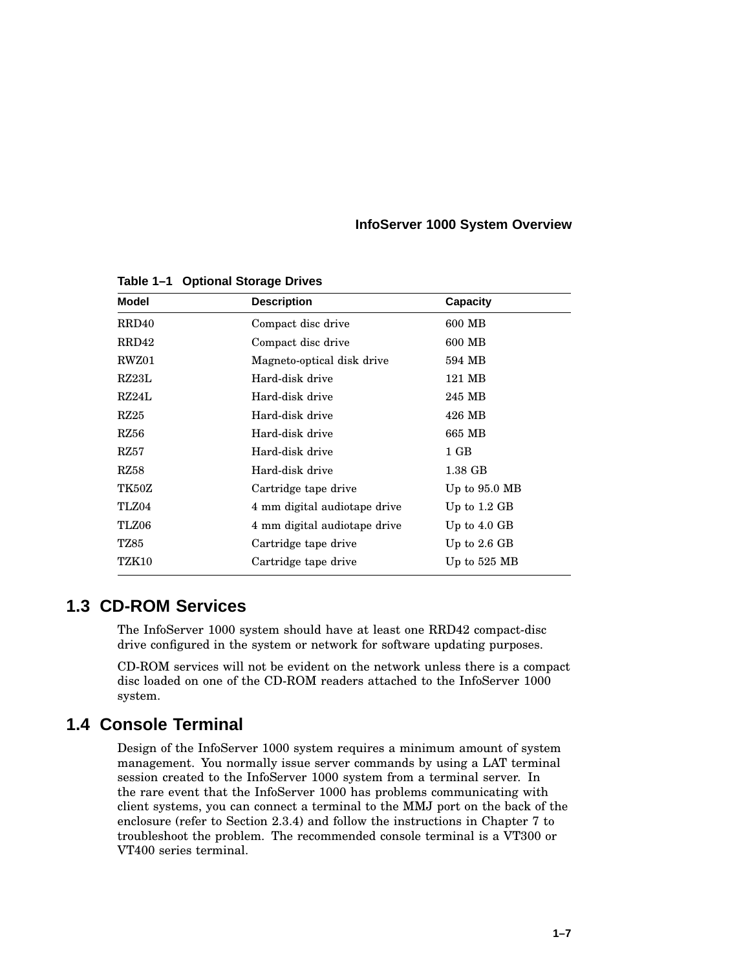| <b>Model</b> | <b>Description</b>           | <b>Capacity</b> |
|--------------|------------------------------|-----------------|
| RRD40        | Compact disc drive           | 600 MB          |
| RRD42        | Compact disc drive           | 600 MB          |
| RWZ01        | Magneto-optical disk drive   | 594 MB          |
| RZ23L        | Hard-disk drive              | 121 MB          |
| RZ24L        | Hard-disk drive              | 245 MB          |
| RZ25         | Hard-disk drive              | 426 MB          |
| RZ56         | Hard-disk drive              | 665 MB          |
| RZ57         | Hard-disk drive              | $1$ GB          |
| RZ58         | Hard-disk drive              | $1.38$ GB       |
| TK50Z        | Cartridge tape drive         | Up to $95.0$ MB |
| TLZ04        | 4 mm digital audiotape drive | Up to $1.2$ GB  |
| TLZ06        | 4 mm digital audiotape drive | Up to $4.0$ GB  |
| TZ85         | Cartridge tape drive         | Up to $2.6$ GB  |
| TZK10        | Cartridge tape drive         | Up to $525$ MB  |
|              |                              |                 |

**Table 1–1 Optional Storage Drives**

#### **1.3 CD-ROM Services**

The InfoServer 1000 system should have at least one RRD42 compact-disc drive configured in the system or network for software updating purposes.

CD-ROM services will not be evident on the network unless there is a compact disc loaded on one of the CD-ROM readers attached to the InfoServer 1000 system.

#### **1.4 Console Terminal**

Design of the InfoServer 1000 system requires a minimum amount of system management. You normally issue server commands by using a LAT terminal session created to the InfoServer 1000 system from a terminal server. In the rare event that the InfoServer 1000 has problems communicating with client systems, you can connect a terminal to the MMJ port on the back of the enclosure (refer to Section 2.3.4) and follow the instructions in Chapter 7 to troubleshoot the problem. The recommended console terminal is a VT300 or VT400 series terminal.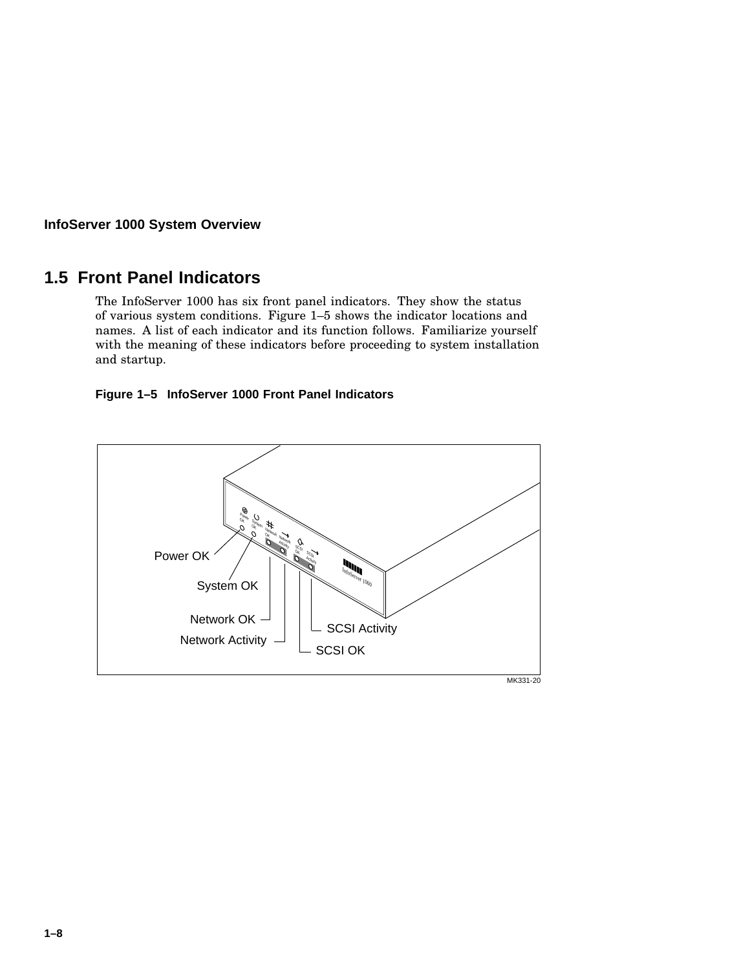## **1.5 Front Panel Indicators**

The InfoServer 1000 has six front panel indicators. They show the status of various system conditions. Figure 1–5 shows the indicator locations and names. A list of each indicator and its function follows. Familiarize yourself with the meaning of these indicators before proceeding to system installation and startup.

#### **Figure 1–5 InfoServer 1000 Front Panel Indicators**

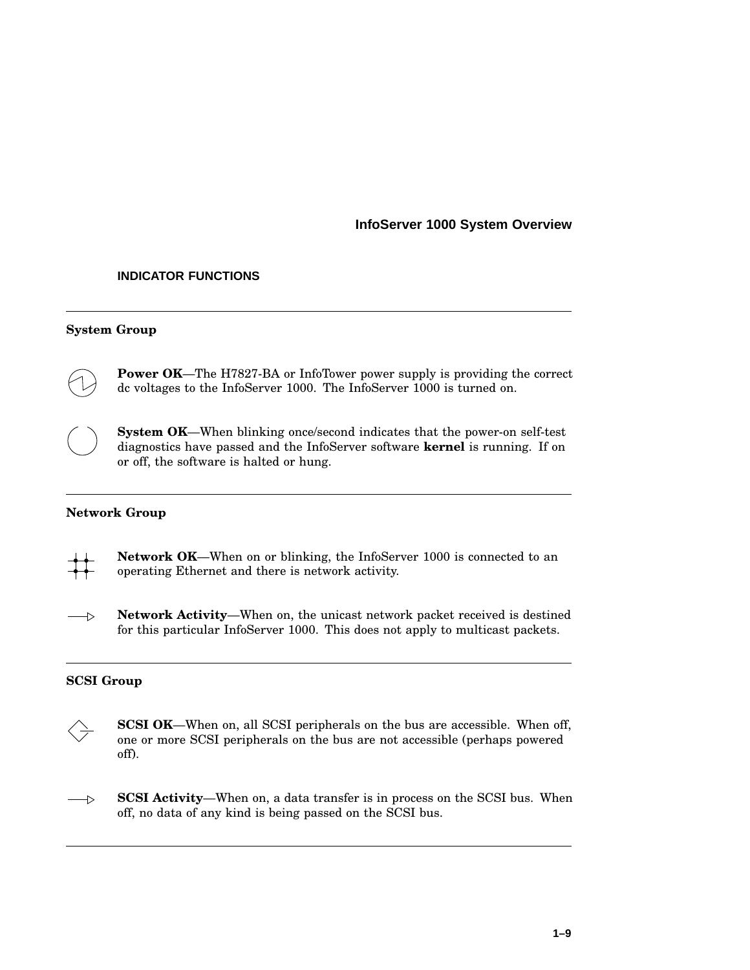#### **INDICATOR FUNCTIONS**

#### **System Group**



**Power OK**—The H7827-BA or InfoTower power supply is providing the correct dc voltages to the InfoServer 1000. The InfoServer 1000 is turned on.



**System OK**—When blinking once/second indicates that the power-on self-test diagnostics have passed and the InfoServer software **kernel** is running. If on or off, the software is halted or hung.

#### **Network Group**



**Network Activity**—When on, the unicast network packet received is destined  $\rightarrow$ for this particular InfoServer 1000. This does not apply to multicast packets.

#### **SCSI Group**



**SCSI OK**—When on, all SCSI peripherals on the bus are accessible. When off, one or more SCSI peripherals on the bus are not accessible (perhaps powered off).

**SCSI Activity**—When on, a data transfer is in process on the SCSI bus. When  $\rightarrow$ off, no data of any kind is being passed on the SCSI bus.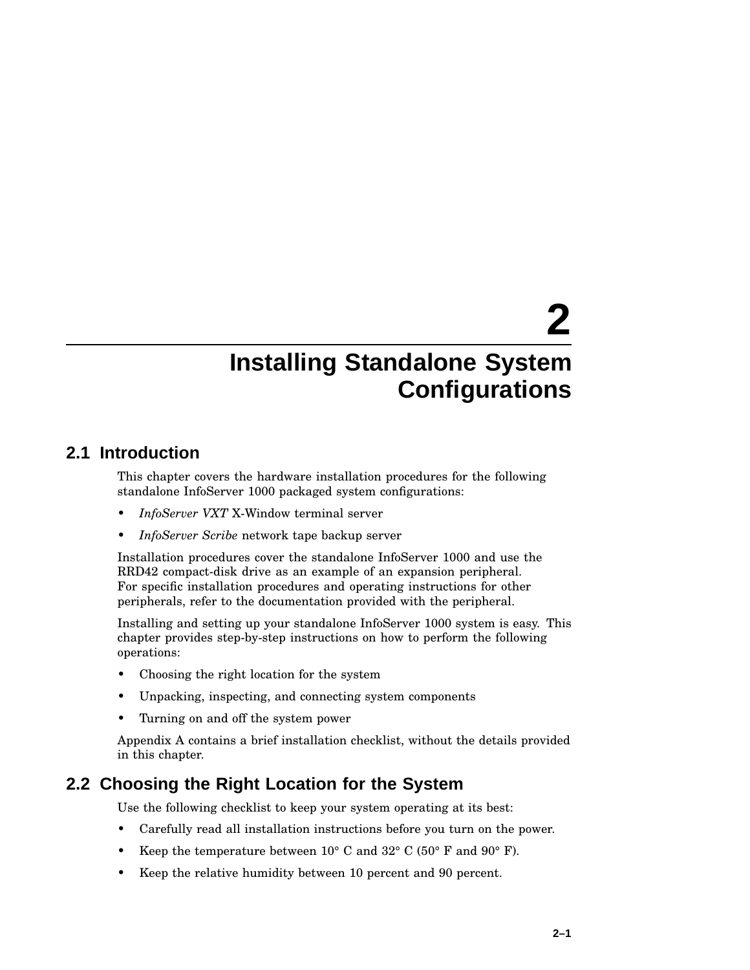# **2.1 Introduction**

This chapter covers the hardware installation procedures for the following standalone InfoServer 1000 packaged system configurations:

- *InfoServer VXT* X-Window terminal server
- *InfoServer Scribe* network tape backup server

Installation procedures cover the standalone InfoServer 1000 and use the RRD42 compact-disk drive as an example of an expansion peripheral. For specific installation procedures and operating instructions for other peripherals, refer to the documentation provided with the peripheral.

Installing and setting up your standalone InfoServer 1000 system is easy. This chapter provides step-by-step instructions on how to perform the following operations:

- Choosing the right location for the system
- Unpacking, inspecting, and connecting system components
- Turning on and off the system power

Appendix A contains a brief installation checklist, without the details provided in this chapter.

## **2.2 Choosing the Right Location for the System**

Use the following checklist to keep your system operating at its best:

- Carefully read all installation instructions before you turn on the power.
- Keep the temperature between  $10^{\circ}$  C and  $32^{\circ}$  C (50° F and 90° F).
- Keep the relative humidity between 10 percent and 90 percent.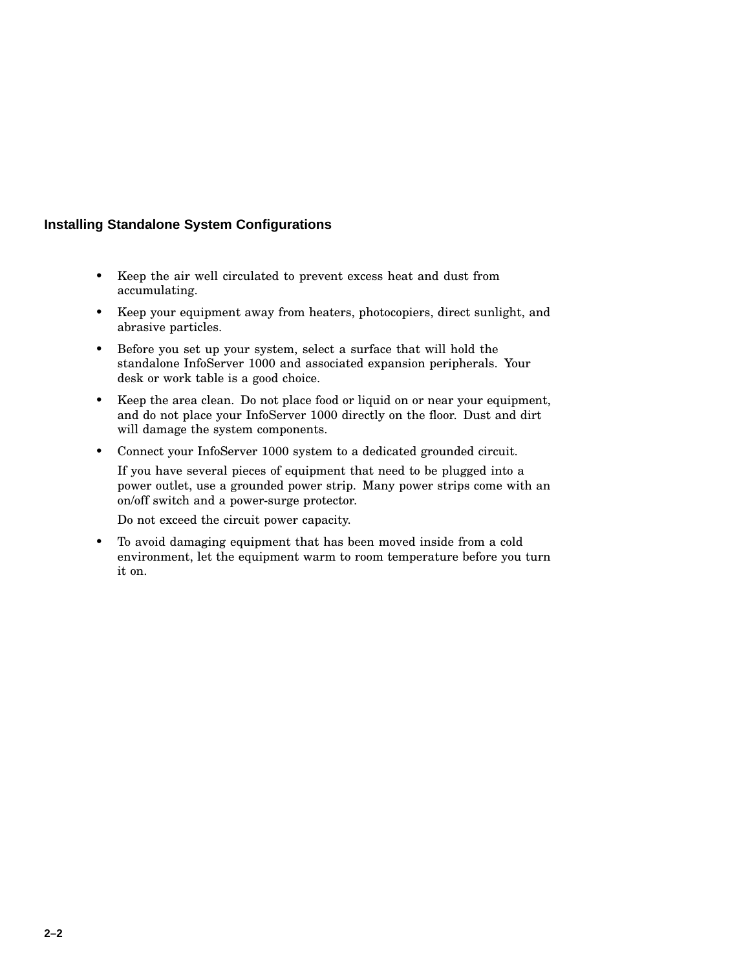- Keep the air well circulated to prevent excess heat and dust from accumulating.
- Keep your equipment away from heaters, photocopiers, direct sunlight, and abrasive particles.
- Before you set up your system, select a surface that will hold the standalone InfoServer 1000 and associated expansion peripherals. Your desk or work table is a good choice.
- Keep the area clean. Do not place food or liquid on or near your equipment, and do not place your InfoServer 1000 directly on the floor. Dust and dirt will damage the system components.
- Connect your InfoServer 1000 system to a dedicated grounded circuit.

If you have several pieces of equipment that need to be plugged into a power outlet, use a grounded power strip. Many power strips come with an on/off switch and a power-surge protector.

Do not exceed the circuit power capacity.

• To avoid damaging equipment that has been moved inside from a cold environment, let the equipment warm to room temperature before you turn it on.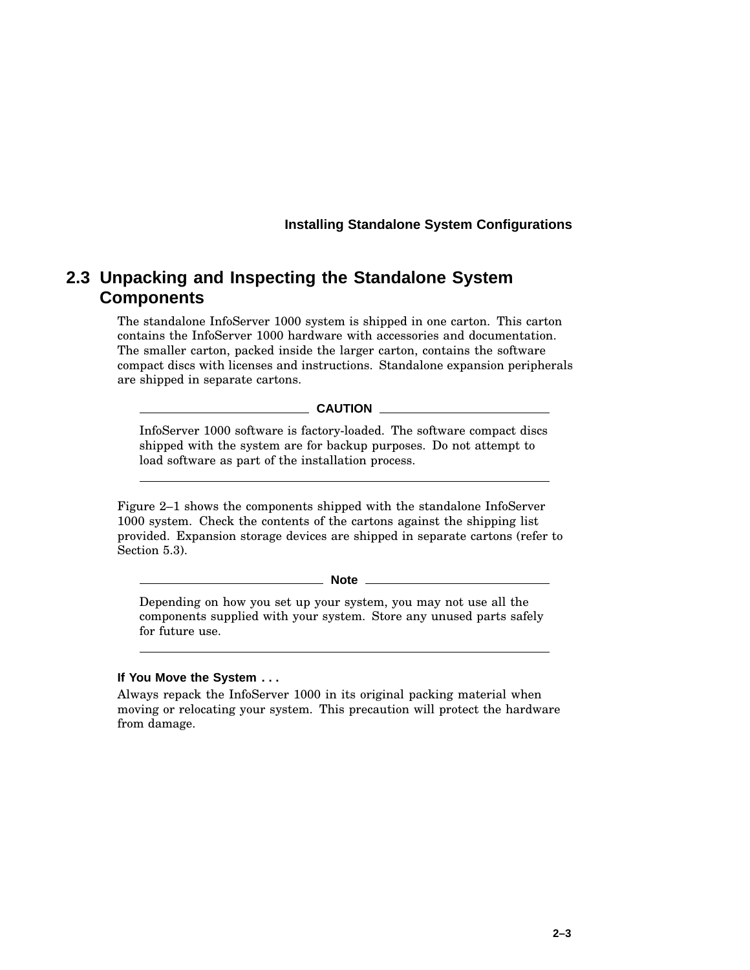## **2.3 Unpacking and Inspecting the Standalone System Components**

The standalone InfoServer 1000 system is shipped in one carton. This carton contains the InfoServer 1000 hardware with accessories and documentation. The smaller carton, packed inside the larger carton, contains the software compact discs with licenses and instructions. Standalone expansion peripherals are shipped in separate cartons.

**CAUTION**

InfoServer 1000 software is factory-loaded. The software compact discs shipped with the system are for backup purposes. Do not attempt to load software as part of the installation process.

Figure 2–1 shows the components shipped with the standalone InfoServer 1000 system. Check the contents of the cartons against the shipping list provided. Expansion storage devices are shipped in separate cartons (refer to Section 5.3).

**Note**

Depending on how you set up your system, you may not use all the components supplied with your system. Store any unused parts safely for future use.

#### **If You Move the System . . .**

Always repack the InfoServer 1000 in its original packing material when moving or relocating your system. This precaution will protect the hardware from damage.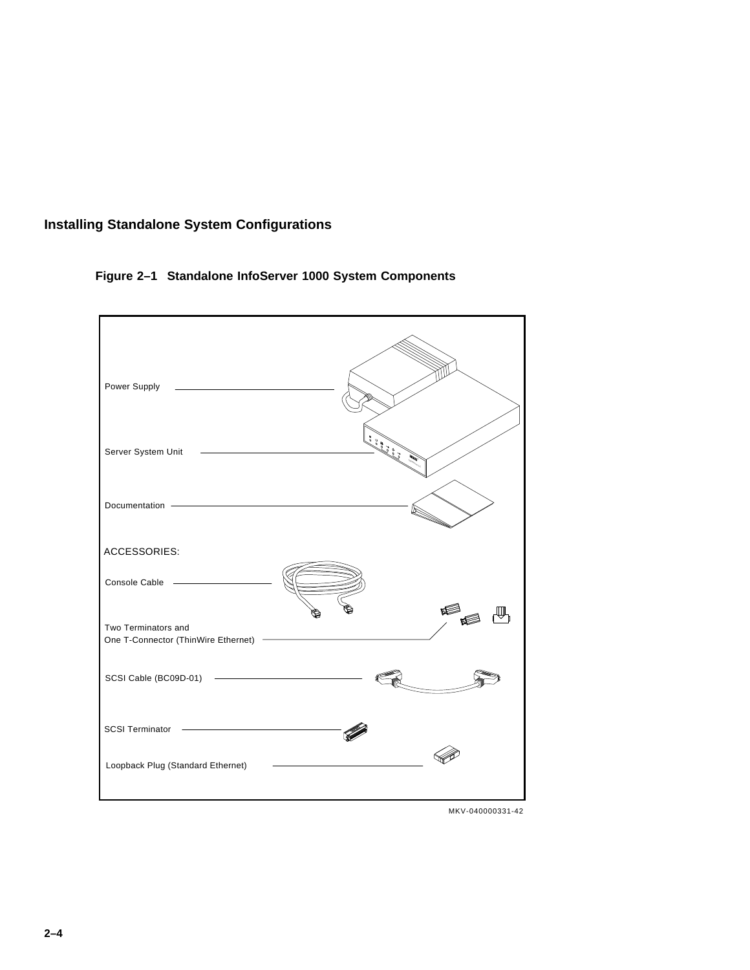

#### **Figure 2–1 Standalone InfoServer 1000 System Components**



MKV-040000331-42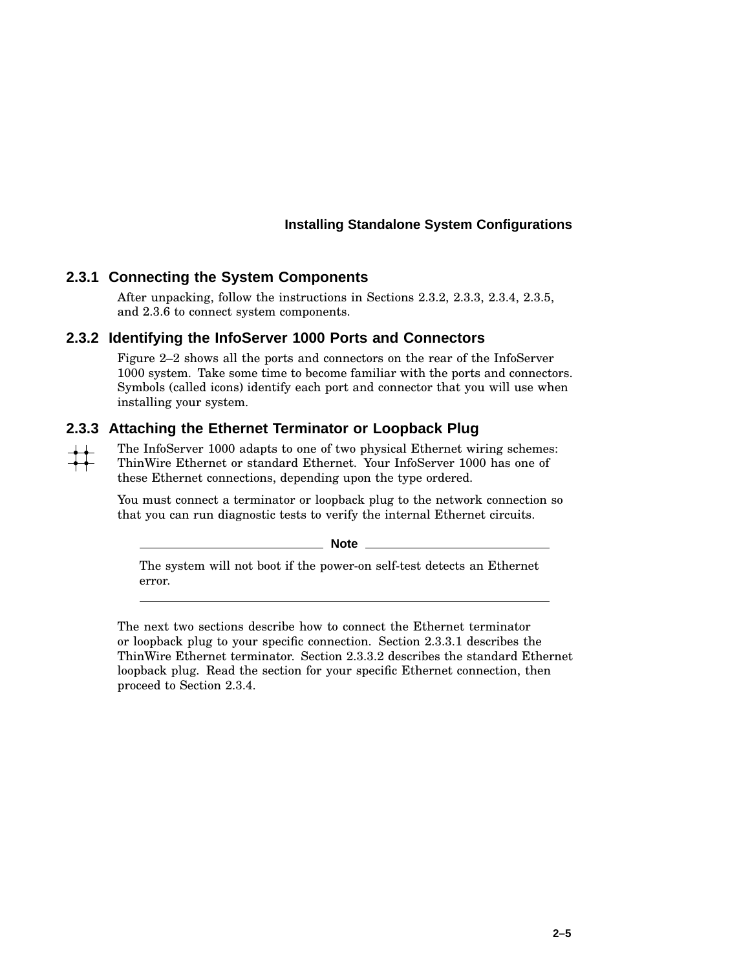#### **2.3.1 Connecting the System Components**

After unpacking, follow the instructions in Sections 2.3.2, 2.3.3, 2.3.4, 2.3.5, and 2.3.6 to connect system components.

#### **2.3.2 Identifying the InfoServer 1000 Ports and Connectors**

Figure 2–2 shows all the ports and connectors on the rear of the InfoServer 1000 system. Take some time to become familiar with the ports and connectors. Symbols (called icons) identify each port and connector that you will use when installing your system.

#### **2.3.3 Attaching the Ethernet Terminator or Loopback Plug**

The InfoServer 1000 adapts to one of two physical Ethernet wiring schemes:  $\begin{array}{c} \begin{array}{c} \uparrow \uparrow \end{array} \end{array}$ ThinWire Ethernet or standard Ethernet. Your InfoServer 1000 has one of these Ethernet connections, depending upon the type ordered.

> You must connect a terminator or loopback plug to the network connection so that you can run diagnostic tests to verify the internal Ethernet circuits.

> > **Note**

The system will not boot if the power-on self-test detects an Ethernet error.

The next two sections describe how to connect the Ethernet terminator or loopback plug to your specific connection. Section 2.3.3.1 describes the ThinWire Ethernet terminator. Section 2.3.3.2 describes the standard Ethernet loopback plug. Read the section for your specific Ethernet connection, then proceed to Section 2.3.4.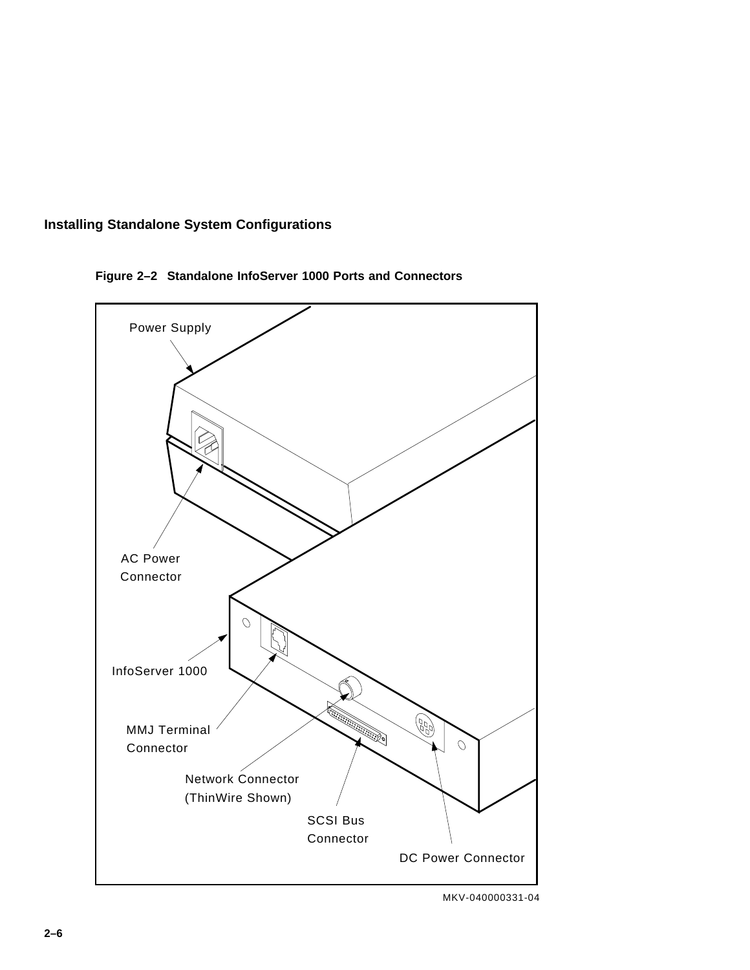



**Figure 2–2 Standalone InfoServer 1000 Ports and Connectors**

MKV-040000331-04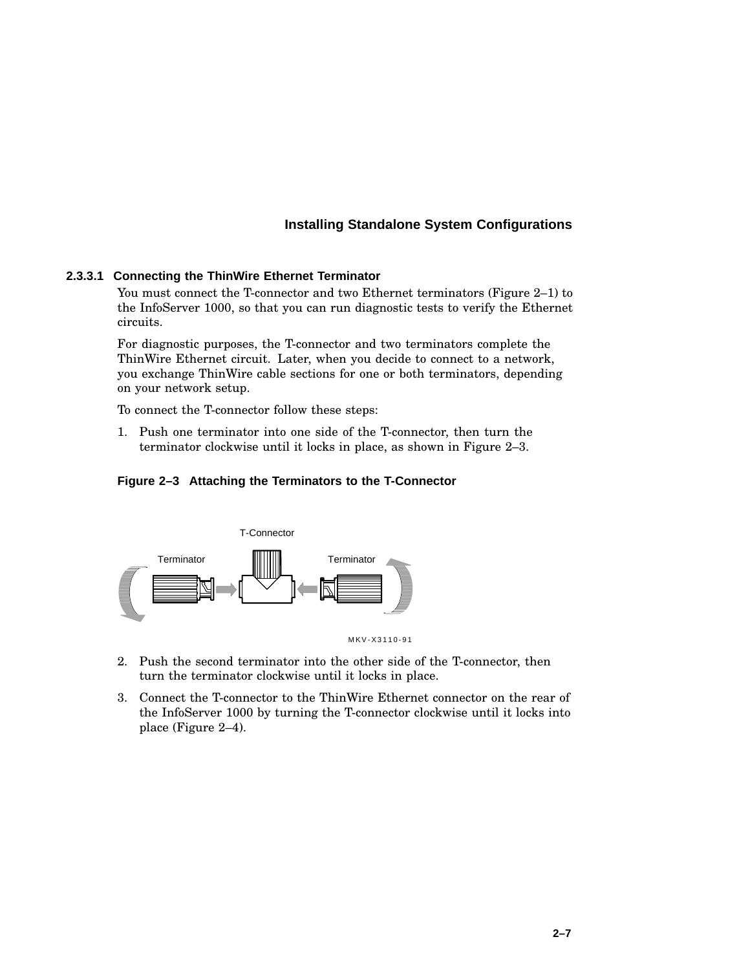#### **2.3.3.1 Connecting the ThinWire Ethernet Terminator**

You must connect the T-connector and two Ethernet terminators (Figure 2–1) to the InfoServer 1000, so that you can run diagnostic tests to verify the Ethernet circuits.

For diagnostic purposes, the T-connector and two terminators complete the ThinWire Ethernet circuit. Later, when you decide to connect to a network, you exchange ThinWire cable sections for one or both terminators, depending on your network setup.

To connect the T-connector follow these steps:

1. Push one terminator into one side of the T-connector, then turn the terminator clockwise until it locks in place, as shown in Figure 2–3.

#### **Figure 2–3 Attaching the Terminators to the T-Connector**



- 2. Push the second terminator into the other side of the T-connector, then turn the terminator clockwise until it locks in place.
- 3. Connect the T-connector to the ThinWire Ethernet connector on the rear of the InfoServer 1000 by turning the T-connector clockwise until it locks into place (Figure 2–4).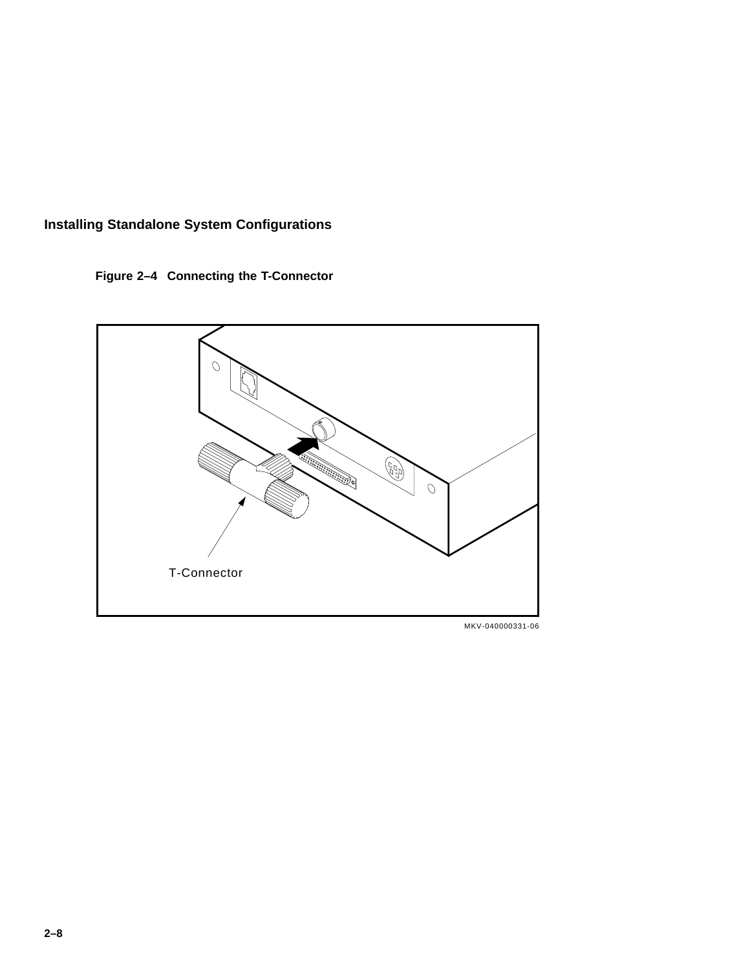**Figure 2–4 Connecting the T-Connector**



MKV-040000331-06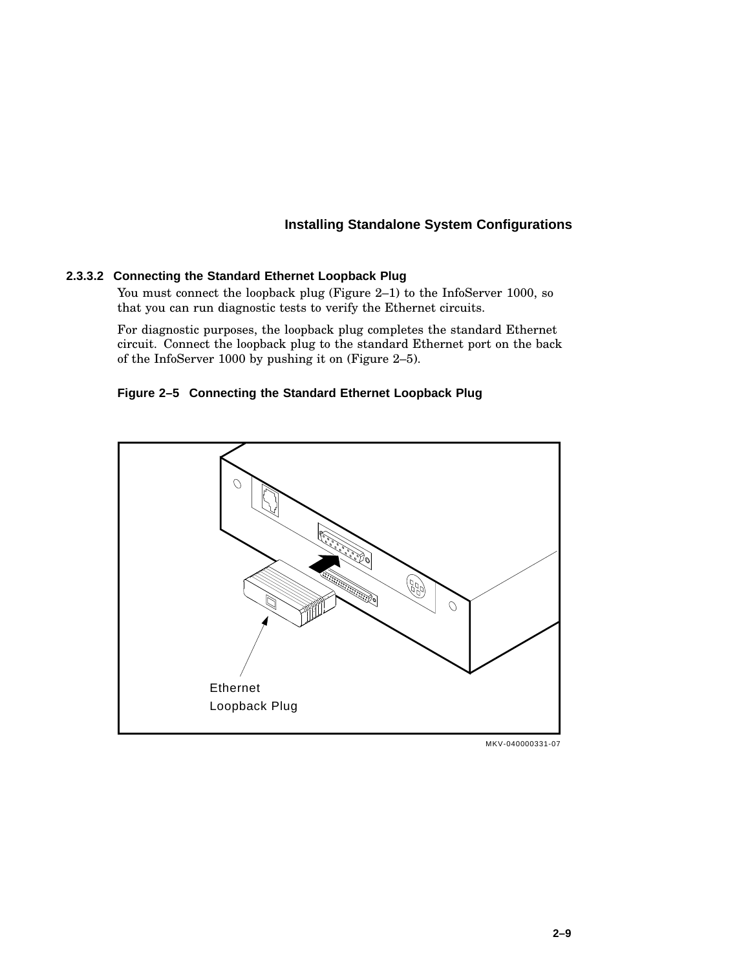#### **2.3.3.2 Connecting the Standard Ethernet Loopback Plug**

You must connect the loopback plug (Figure 2–1) to the InfoServer 1000, so that you can run diagnostic tests to verify the Ethernet circuits.

For diagnostic purposes, the loopback plug completes the standard Ethernet circuit. Connect the loopback plug to the standard Ethernet port on the back of the InfoServer 1000 by pushing it on (Figure 2–5).

#### **Figure 2–5 Connecting the Standard Ethernet Loopback Plug**



MKV-040000331-07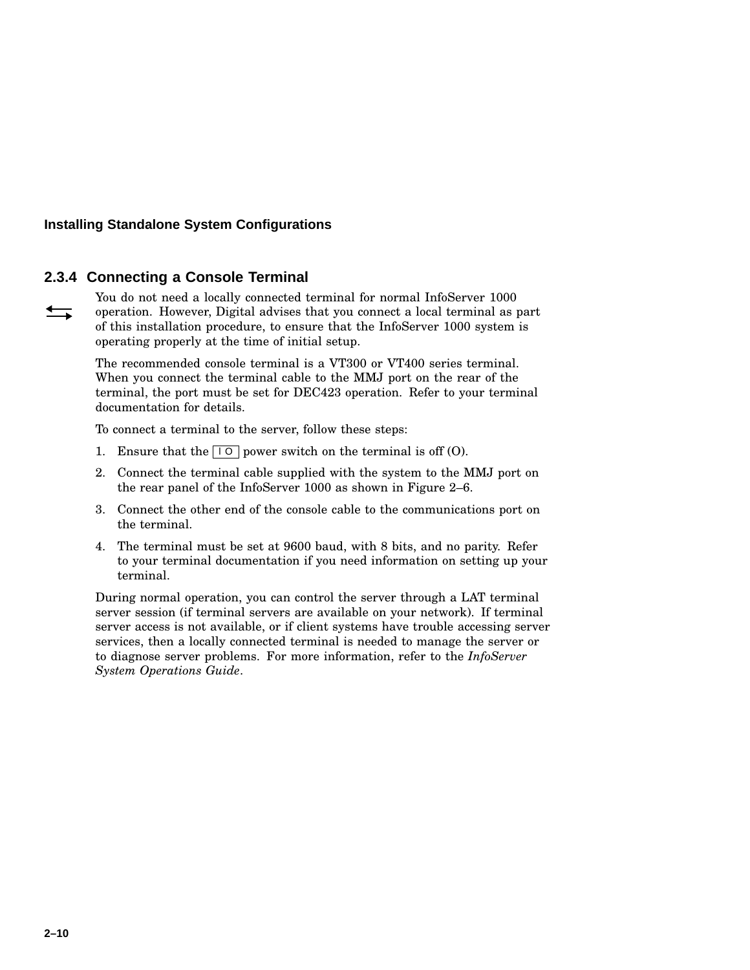#### **2.3.4 Connecting a Console Terminal**

You do not need a locally connected terminal for normal InfoServer 1000  $\longrightarrow$ operation. However, Digital advises that you connect a local terminal as part of this installation procedure, to ensure that the InfoServer 1000 system is operating properly at the time of initial setup.

> The recommended console terminal is a VT300 or VT400 series terminal. When you connect the terminal cable to the MMJ port on the rear of the terminal, the port must be set for DEC423 operation. Refer to your terminal documentation for details.

To connect a terminal to the server, follow these steps:

- 1. Ensure that the  $\boxed{10}$  power switch on the terminal is off (O).
- 2. Connect the terminal cable supplied with the system to the MMJ port on the rear panel of the InfoServer 1000 as shown in Figure 2–6.
- 3. Connect the other end of the console cable to the communications port on the terminal.
- 4. The terminal must be set at 9600 baud, with 8 bits, and no parity. Refer to your terminal documentation if you need information on setting up your terminal.

During normal operation, you can control the server through a LAT terminal server session (if terminal servers are available on your network). If terminal server access is not available, or if client systems have trouble accessing server services, then a locally connected terminal is needed to manage the server or to diagnose server problems. For more information, refer to the *InfoServer System Operations Guide*.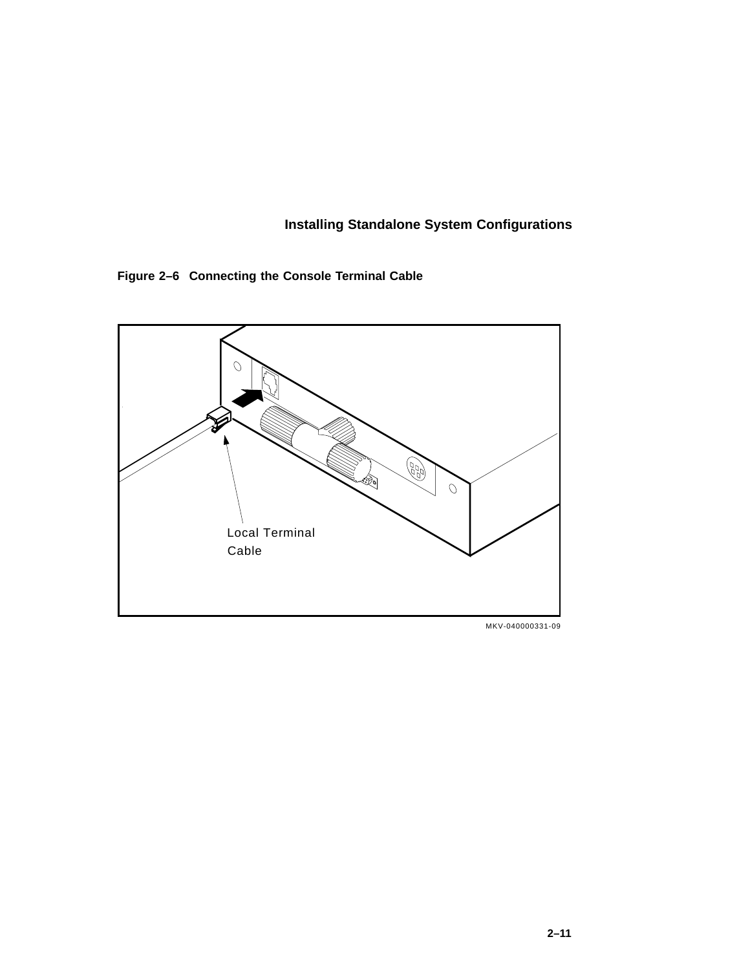**Figure 2–6 Connecting the Console Terminal Cable**



MKV-040000331-09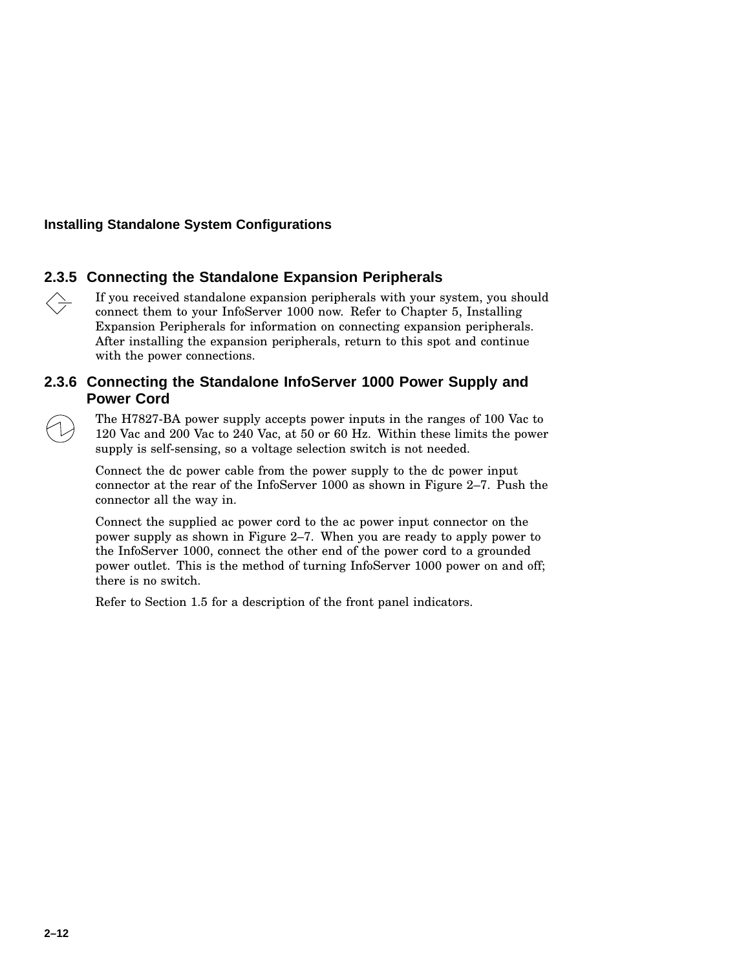#### **2.3.5 Connecting the Standalone Expansion Peripherals**

If you received standalone expansion peripherals with your system, you should  $\left\langle \right\rangle$ connect them to your InfoServer 1000 now. Refer to Chapter 5, Installing Expansion Peripherals for information on connecting expansion peripherals. After installing the expansion peripherals, return to this spot and continue with the power connections.

#### **2.3.6 Connecting the Standalone InfoServer 1000 Power Supply and Power Cord**

The H7827-BA power supply accepts power inputs in the ranges of 100 Vac to 120 Vac and 200 Vac to 240 Vac, at 50 or 60 Hz. Within these limits the power supply is self-sensing, so a voltage selection switch is not needed.

Connect the dc power cable from the power supply to the dc power input connector at the rear of the InfoServer 1000 as shown in Figure 2–7. Push the connector all the way in.

Connect the supplied ac power cord to the ac power input connector on the power supply as shown in Figure 2–7. When you are ready to apply power to the InfoServer 1000, connect the other end of the power cord to a grounded power outlet. This is the method of turning InfoServer 1000 power on and off; there is no switch.

Refer to Section 1.5 for a description of the front panel indicators.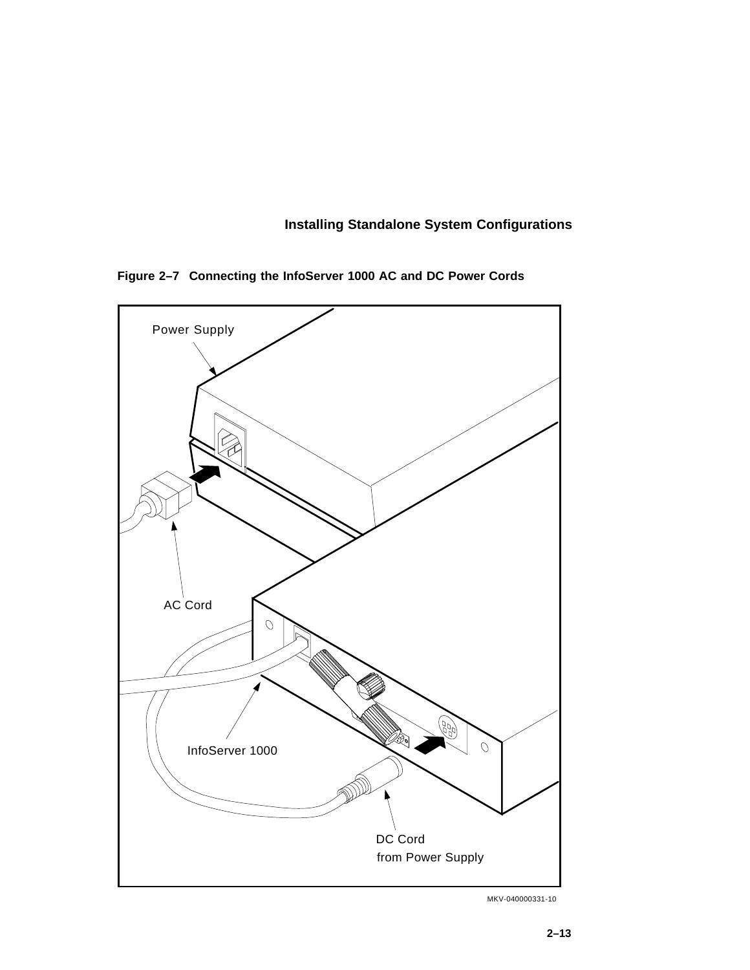# **Installing Standalone System Configurations**

**Figure 2–7 Connecting the InfoServer 1000 AC and DC Power Cords**



MKV-040000331-10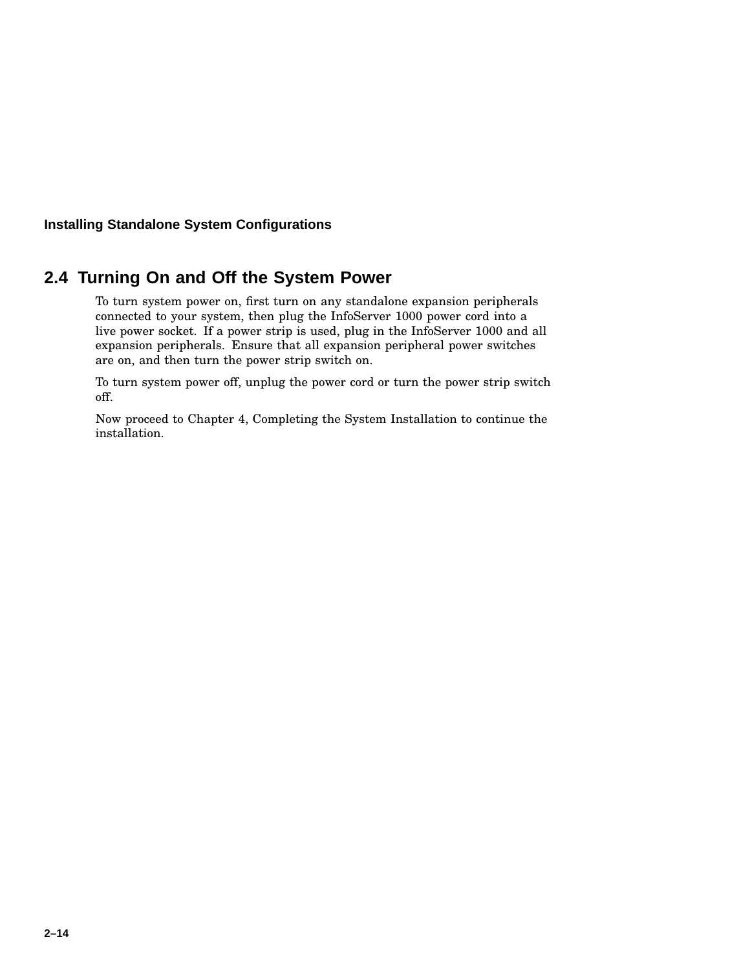### **Installing Standalone System Configurations**

# **2.4 Turning On and Off the System Power**

To turn system power on, first turn on any standalone expansion peripherals connected to your system, then plug the InfoServer 1000 power cord into a live power socket. If a power strip is used, plug in the InfoServer 1000 and all expansion peripherals. Ensure that all expansion peripheral power switches are on, and then turn the power strip switch on.

To turn system power off, unplug the power cord or turn the power strip switch off.

Now proceed to Chapter 4, Completing the System Installation to continue the installation.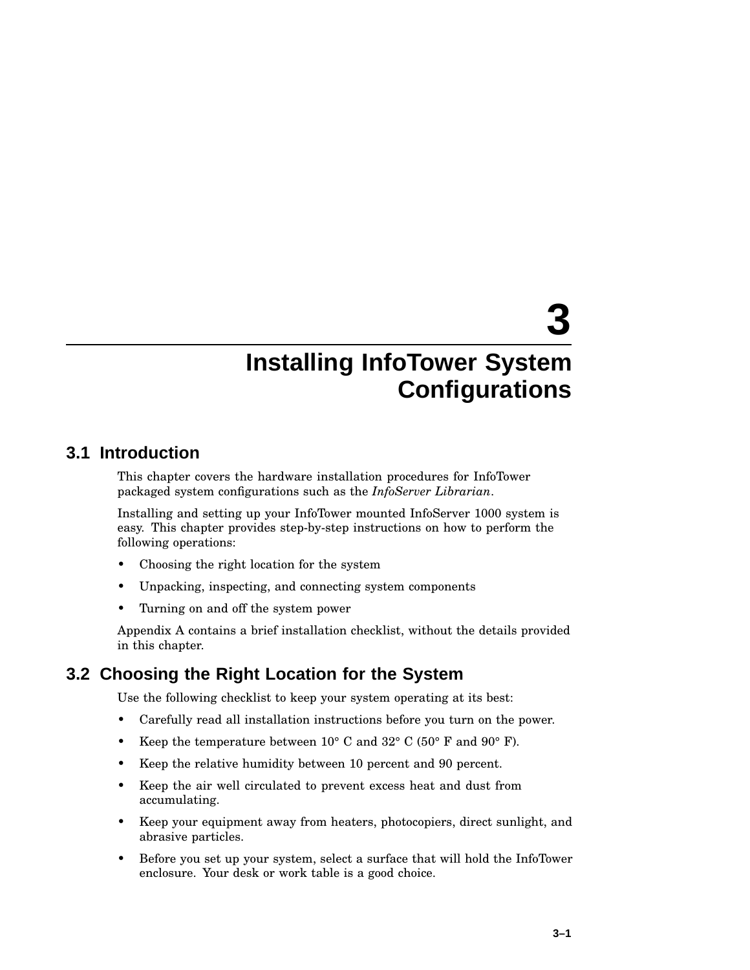# **3**

# **Installing InfoTower System Configurations**

# **3.1 Introduction**

This chapter covers the hardware installation procedures for InfoTower packaged system configurations such as the *InfoServer Librarian*.

Installing and setting up your InfoTower mounted InfoServer 1000 system is easy. This chapter provides step-by-step instructions on how to perform the following operations:

- Choosing the right location for the system
- Unpacking, inspecting, and connecting system components
- Turning on and off the system power

Appendix A contains a brief installation checklist, without the details provided in this chapter.

# **3.2 Choosing the Right Location for the System**

Use the following checklist to keep your system operating at its best:

- Carefully read all installation instructions before you turn on the power.
- Keep the temperature between  $10^{\circ}$  C and  $32^{\circ}$  C (50° F and 90° F).
- Keep the relative humidity between 10 percent and 90 percent.
- Keep the air well circulated to prevent excess heat and dust from accumulating.
- Keep your equipment away from heaters, photocopiers, direct sunlight, and abrasive particles.
- Before you set up your system, select a surface that will hold the InfoTower enclosure. Your desk or work table is a good choice.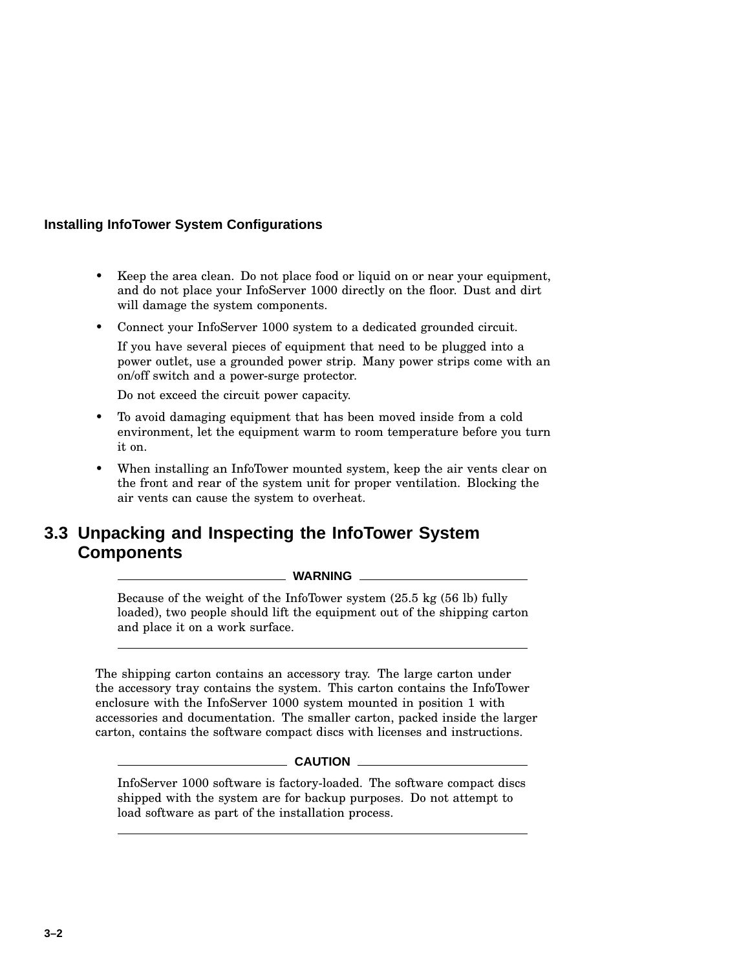- Keep the area clean. Do not place food or liquid on or near your equipment, and do not place your InfoServer 1000 directly on the floor. Dust and dirt will damage the system components.
- Connect your InfoServer 1000 system to a dedicated grounded circuit.

If you have several pieces of equipment that need to be plugged into a power outlet, use a grounded power strip. Many power strips come with an on/off switch and a power-surge protector.

Do not exceed the circuit power capacity.

- To avoid damaging equipment that has been moved inside from a cold environment, let the equipment warm to room temperature before you turn it on.
- When installing an InfoTower mounted system, keep the air vents clear on the front and rear of the system unit for proper ventilation. Blocking the air vents can cause the system to overheat.

# **3.3 Unpacking and Inspecting the InfoTower System Components**

#### **WARNING**

Because of the weight of the InfoTower system (25.5 kg (56 lb) fully loaded), two people should lift the equipment out of the shipping carton and place it on a work surface.

The shipping carton contains an accessory tray. The large carton under the accessory tray contains the system. This carton contains the InfoTower enclosure with the InfoServer 1000 system mounted in position 1 with accessories and documentation. The smaller carton, packed inside the larger carton, contains the software compact discs with licenses and instructions.

#### **CAUTION**

InfoServer 1000 software is factory-loaded. The software compact discs shipped with the system are for backup purposes. Do not attempt to load software as part of the installation process.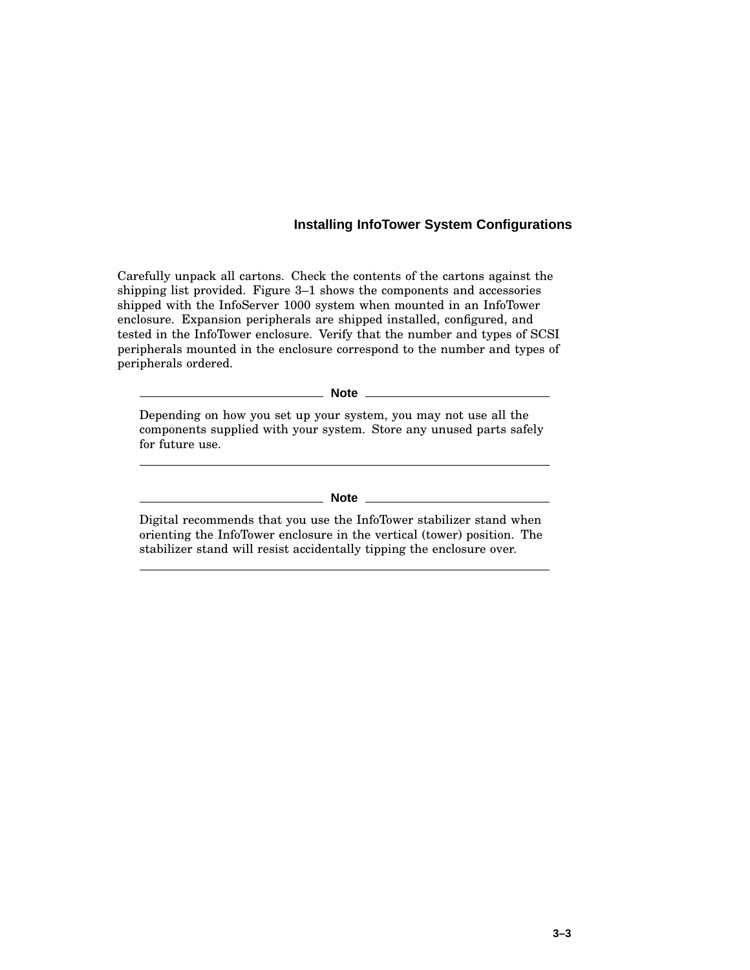Carefully unpack all cartons. Check the contents of the cartons against the shipping list provided. Figure 3–1 shows the components and accessories shipped with the InfoServer 1000 system when mounted in an InfoTower enclosure. Expansion peripherals are shipped installed, configured, and tested in the InfoTower enclosure. Verify that the number and types of SCSI peripherals mounted in the enclosure correspond to the number and types of peripherals ordered.

**Note**

Depending on how you set up your system, you may not use all the components supplied with your system. Store any unused parts safely for future use.

**Note**

Digital recommends that you use the InfoTower stabilizer stand when orienting the InfoTower enclosure in the vertical (tower) position. The stabilizer stand will resist accidentally tipping the enclosure over.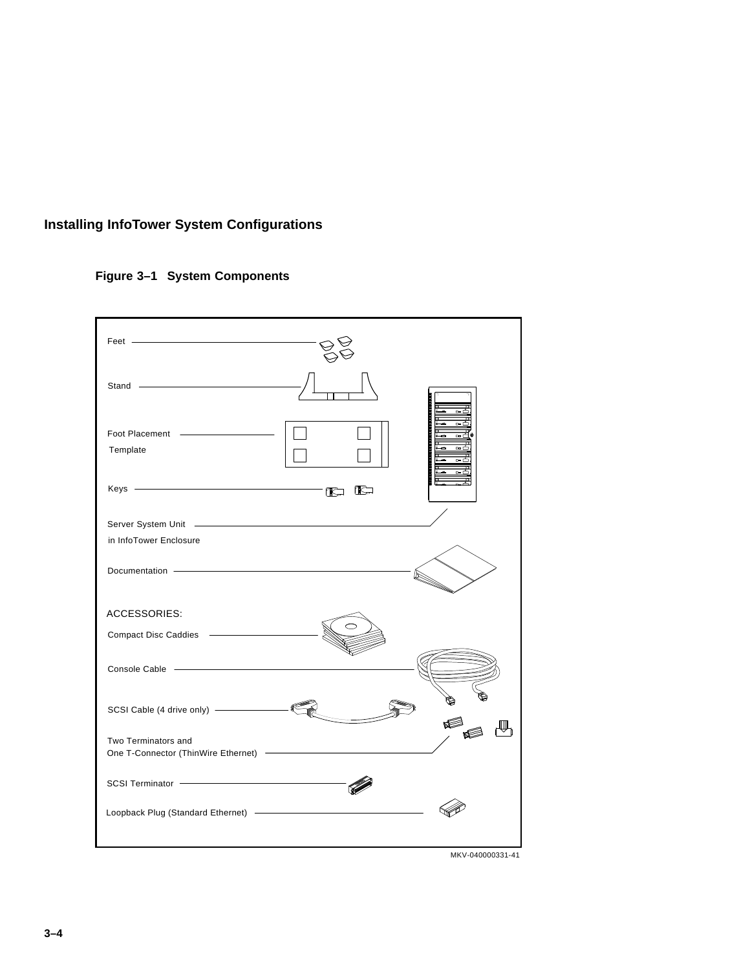# **Figure 3–1 System Components**

| Feet ——————————————————                                                                                                                                                                                                              |                  |
|--------------------------------------------------------------------------------------------------------------------------------------------------------------------------------------------------------------------------------------|------------------|
| Stand <b>Contract Contract Contract Contract Contract Contract Contract Contract Contract Contract Contract Contract Contract Contract Contract Contract Contract Contract Contract Contract Contract Contract Contract Contract</b> |                  |
| Template                                                                                                                                                                                                                             |                  |
| $Keys$ $\overline{\phantom{a}}$                                                                                                                                                                                                      | IC               |
| in InfoTower Enclosure                                                                                                                                                                                                               |                  |
| Documentation - Contract Contract Contract Contract Contract Contract Contract Contract Contract Contract Contract Contract Contract Contract Contract Contract Contract Contract Contract Contract Contract Contract Contract       |                  |
| <b>ACCESSORIES:</b>                                                                                                                                                                                                                  |                  |
|                                                                                                                                                                                                                                      |                  |
|                                                                                                                                                                                                                                      |                  |
|                                                                                                                                                                                                                                      |                  |
| Two Terminators and                                                                                                                                                                                                                  |                  |
|                                                                                                                                                                                                                                      |                  |
|                                                                                                                                                                                                                                      |                  |
|                                                                                                                                                                                                                                      | MKV-040000331-41 |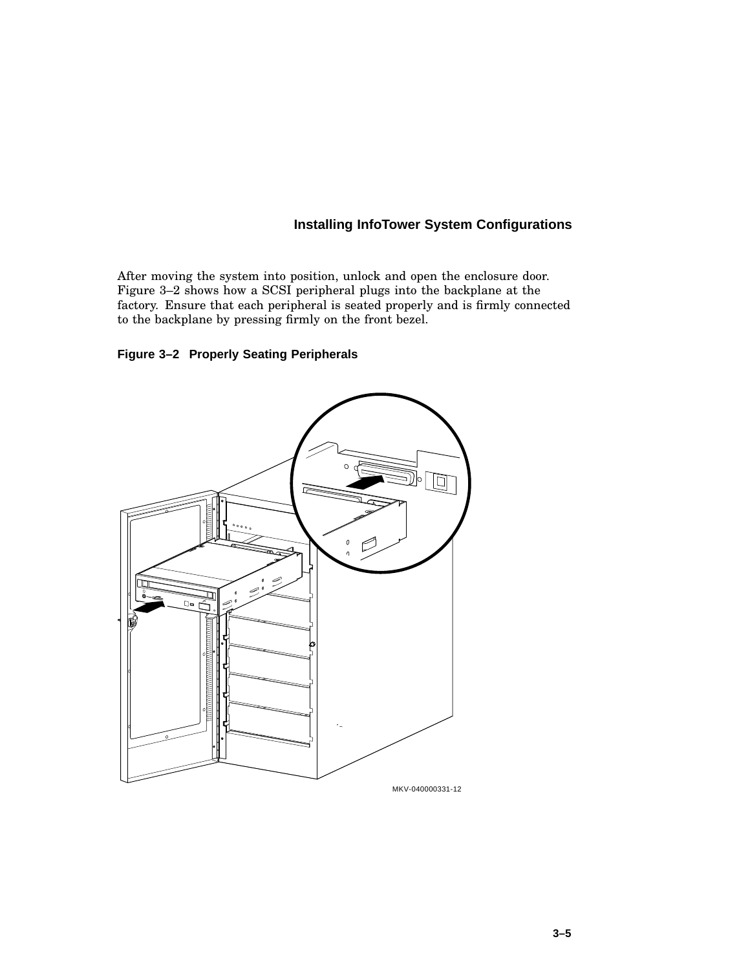After moving the system into position, unlock and open the enclosure door. Figure 3–2 shows how a SCSI peripheral plugs into the backplane at the factory. Ensure that each peripheral is seated properly and is firmly connected to the backplane by pressing firmly on the front bezel.

# **Figure 3–2 Properly Seating Peripherals**

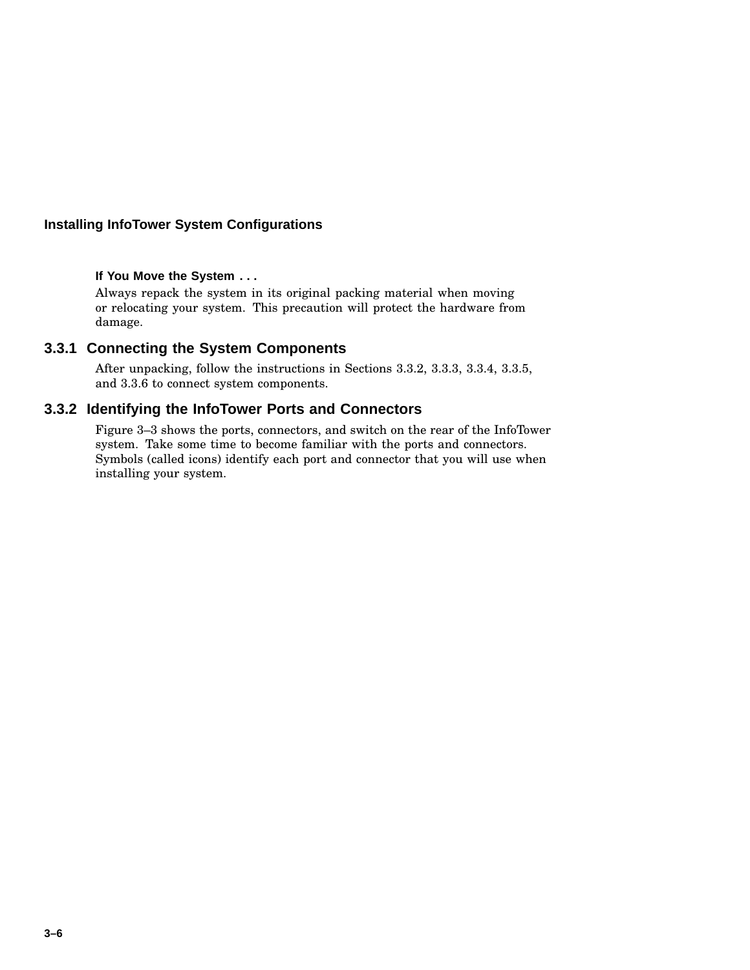### **If You Move the System . . .**

Always repack the system in its original packing material when moving or relocating your system. This precaution will protect the hardware from damage.

# **3.3.1 Connecting the System Components**

After unpacking, follow the instructions in Sections 3.3.2, 3.3.3, 3.3.4, 3.3.5, and 3.3.6 to connect system components.

### **3.3.2 Identifying the InfoTower Ports and Connectors**

Figure 3–3 shows the ports, connectors, and switch on the rear of the InfoTower system. Take some time to become familiar with the ports and connectors. Symbols (called icons) identify each port and connector that you will use when installing your system.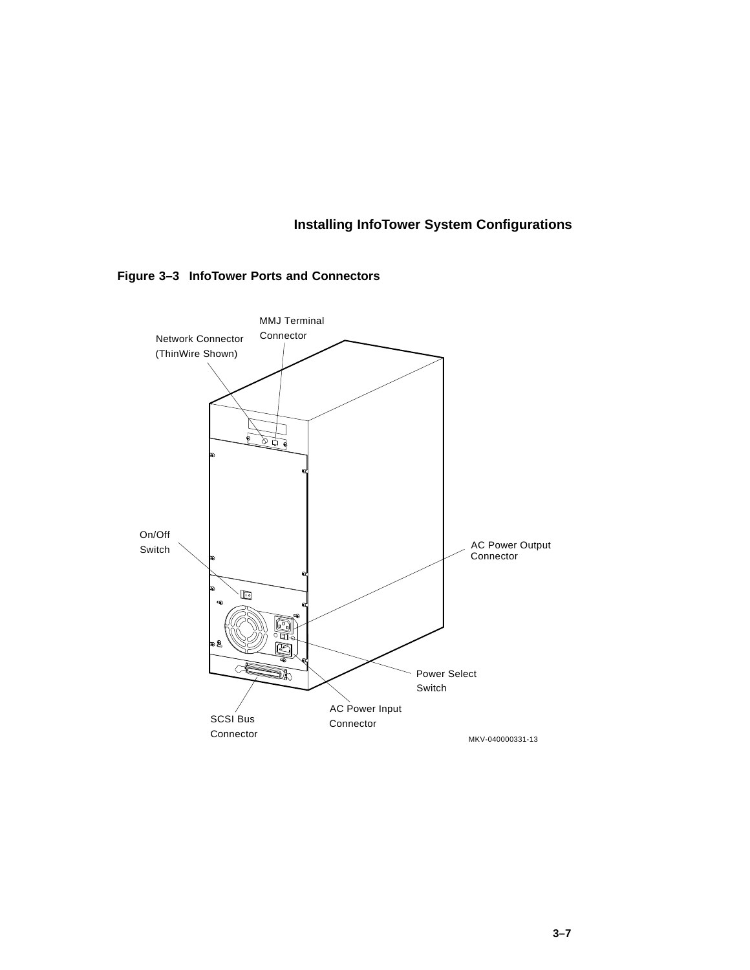

**Figure 3–3 InfoTower Ports and Connectors**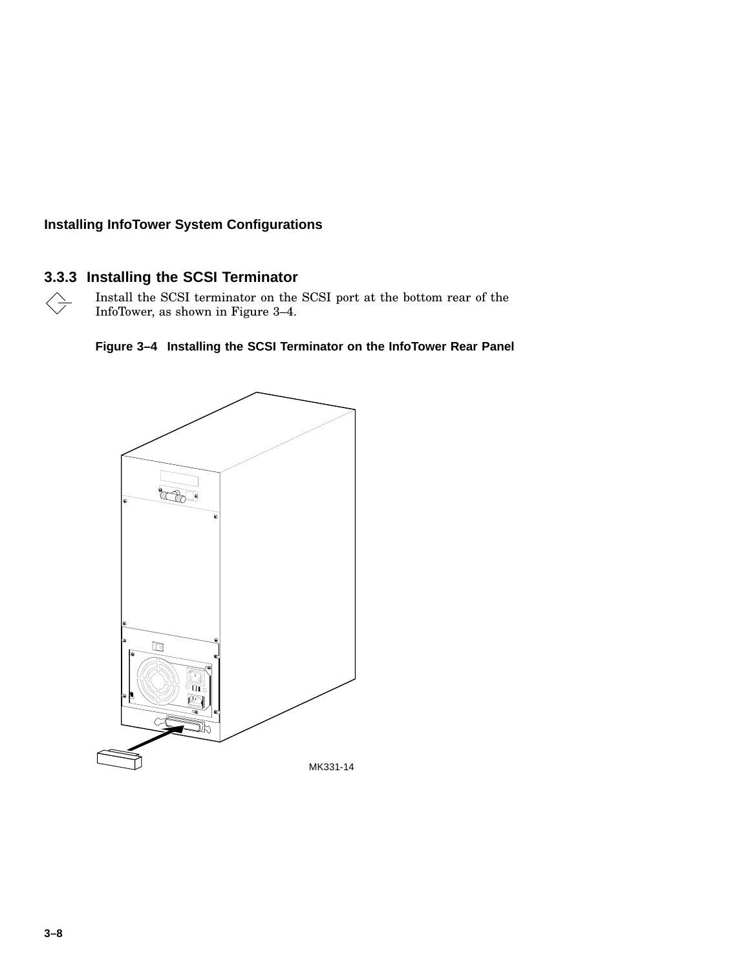# **3.3.3 Installing the SCSI Terminator**

 $\left\langle \right\rangle$ Install the SCSI terminator on the SCSI port at the bottom rear of the InfoTower, as shown in Figure 3–4.



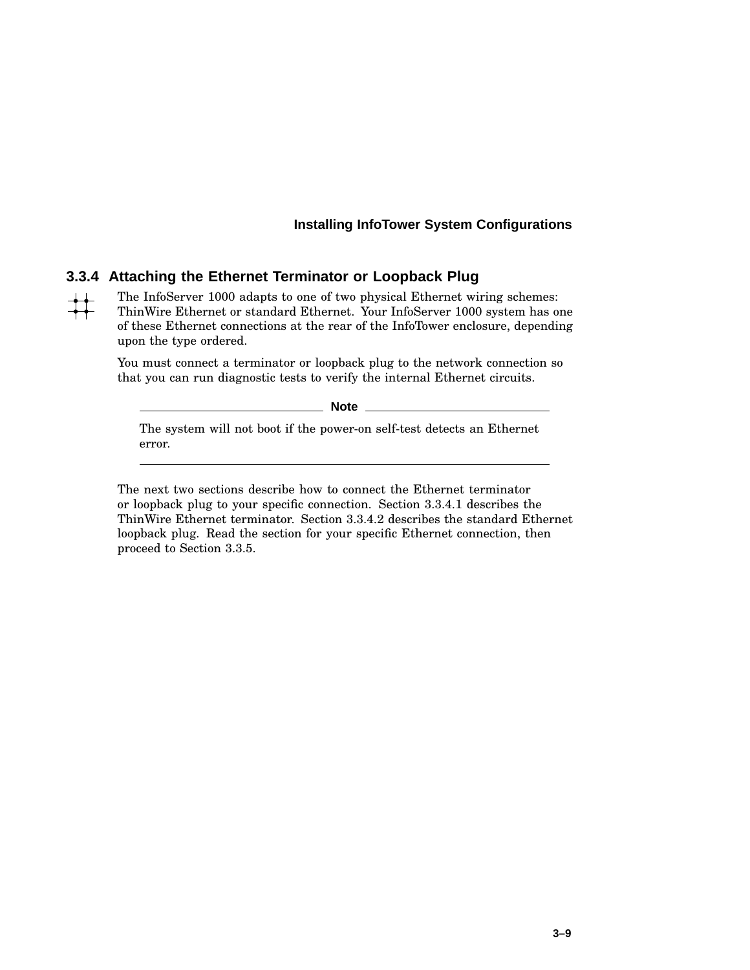### **3.3.4 Attaching the Ethernet Terminator or Loopback Plug**

The InfoServer 1000 adapts to one of two physical Ethernet wiring schemes:  $\frac{1}{2}$ ThinWire Ethernet or standard Ethernet. Your InfoServer 1000 system has one of these Ethernet connections at the rear of the InfoTower enclosure, depending upon the type ordered.

> You must connect a terminator or loopback plug to the network connection so that you can run diagnostic tests to verify the internal Ethernet circuits.

> > **Note**

The system will not boot if the power-on self-test detects an Ethernet error.

The next two sections describe how to connect the Ethernet terminator or loopback plug to your specific connection. Section 3.3.4.1 describes the ThinWire Ethernet terminator. Section 3.3.4.2 describes the standard Ethernet loopback plug. Read the section for your specific Ethernet connection, then proceed to Section 3.3.5.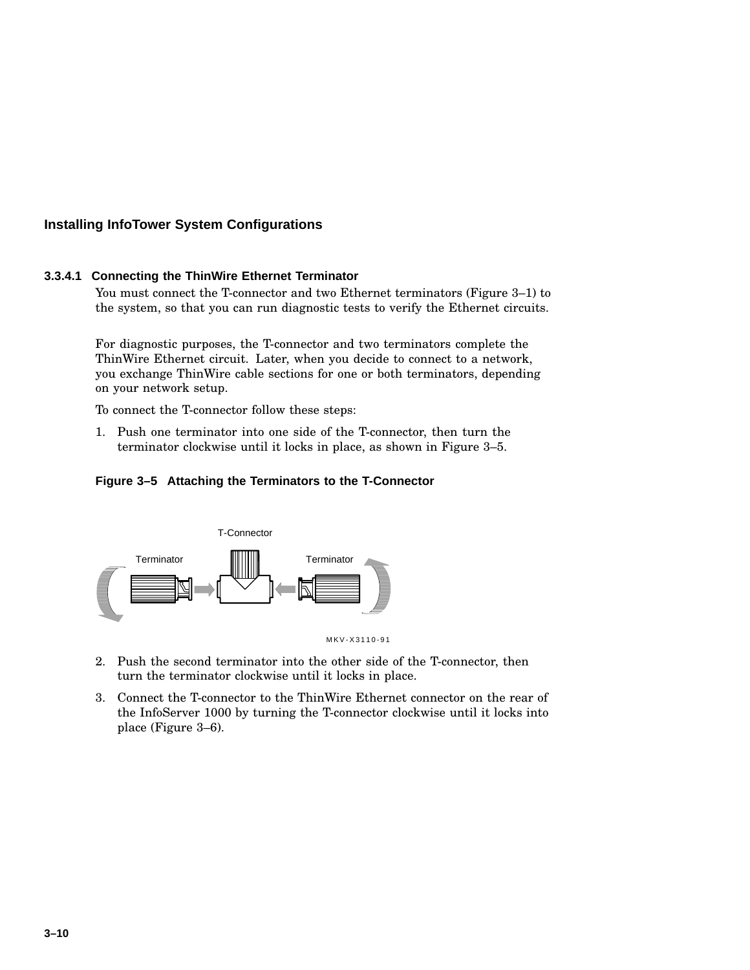#### **3.3.4.1 Connecting the ThinWire Ethernet Terminator**

You must connect the T-connector and two Ethernet terminators (Figure 3–1) to the system, so that you can run diagnostic tests to verify the Ethernet circuits.

For diagnostic purposes, the T-connector and two terminators complete the ThinWire Ethernet circuit. Later, when you decide to connect to a network, you exchange ThinWire cable sections for one or both terminators, depending on your network setup.

To connect the T-connector follow these steps:

1. Push one terminator into one side of the T-connector, then turn the terminator clockwise until it locks in place, as shown in Figure 3–5.

### **Figure 3–5 Attaching the Terminators to the T-Connector**



- 2. Push the second terminator into the other side of the T-connector, then turn the terminator clockwise until it locks in place.
- 3. Connect the T-connector to the ThinWire Ethernet connector on the rear of the InfoServer 1000 by turning the T-connector clockwise until it locks into place (Figure 3–6).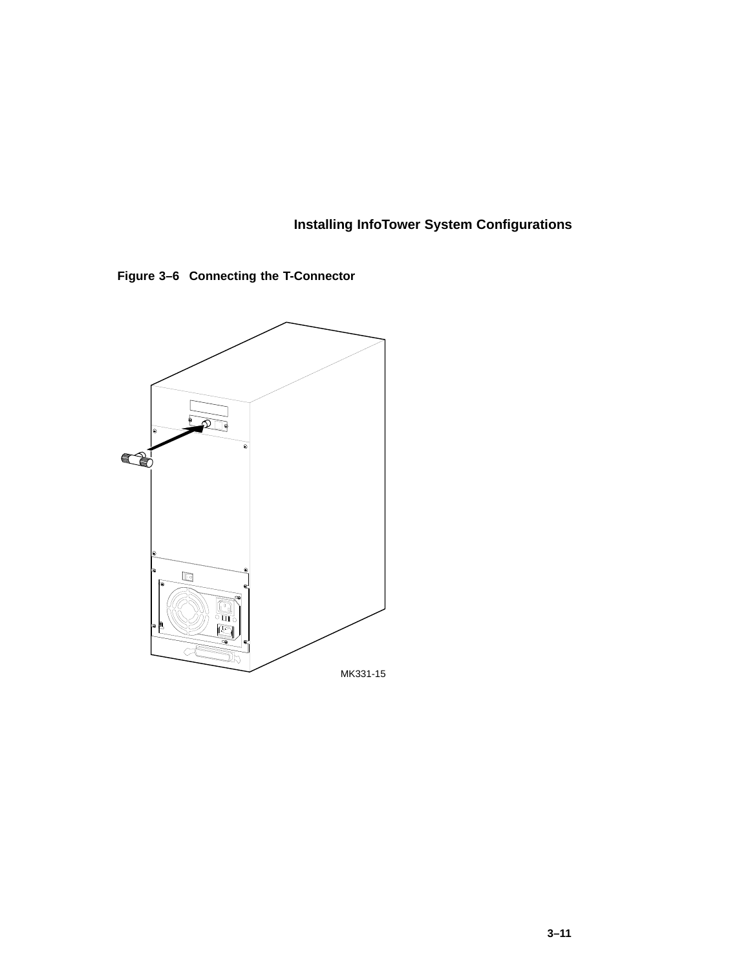**Figure 3–6 Connecting the T-Connector**

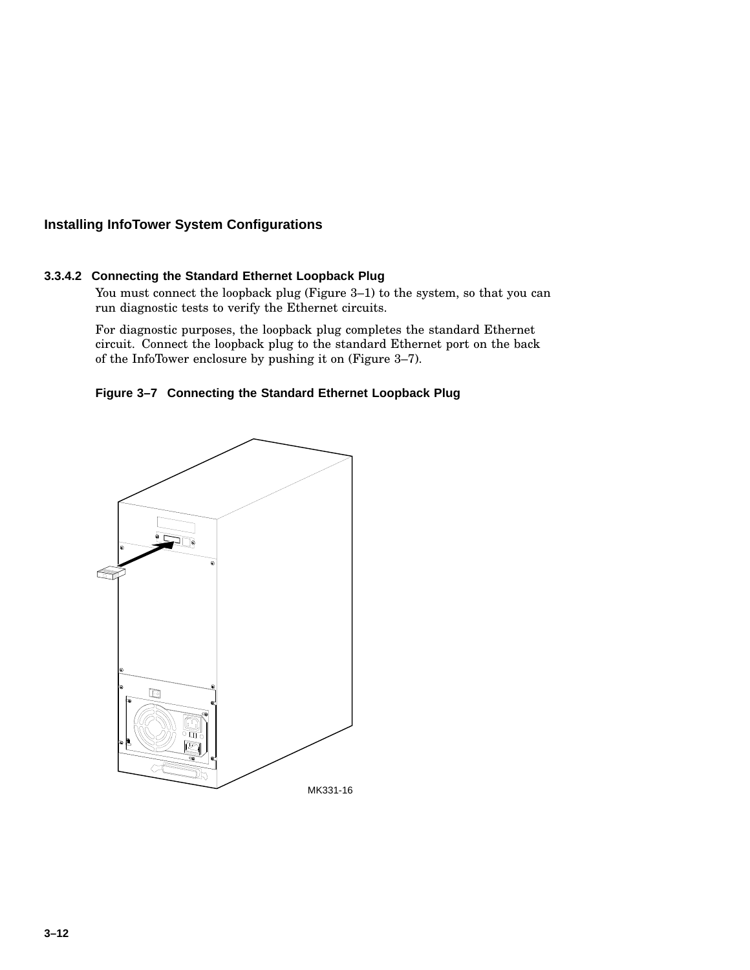### **3.3.4.2 Connecting the Standard Ethernet Loopback Plug**

You must connect the loopback plug (Figure 3–1) to the system, so that you can run diagnostic tests to verify the Ethernet circuits.

For diagnostic purposes, the loopback plug completes the standard Ethernet circuit. Connect the loopback plug to the standard Ethernet port on the back of the InfoTower enclosure by pushing it on (Figure 3–7).

### **Figure 3–7 Connecting the Standard Ethernet Loopback Plug**

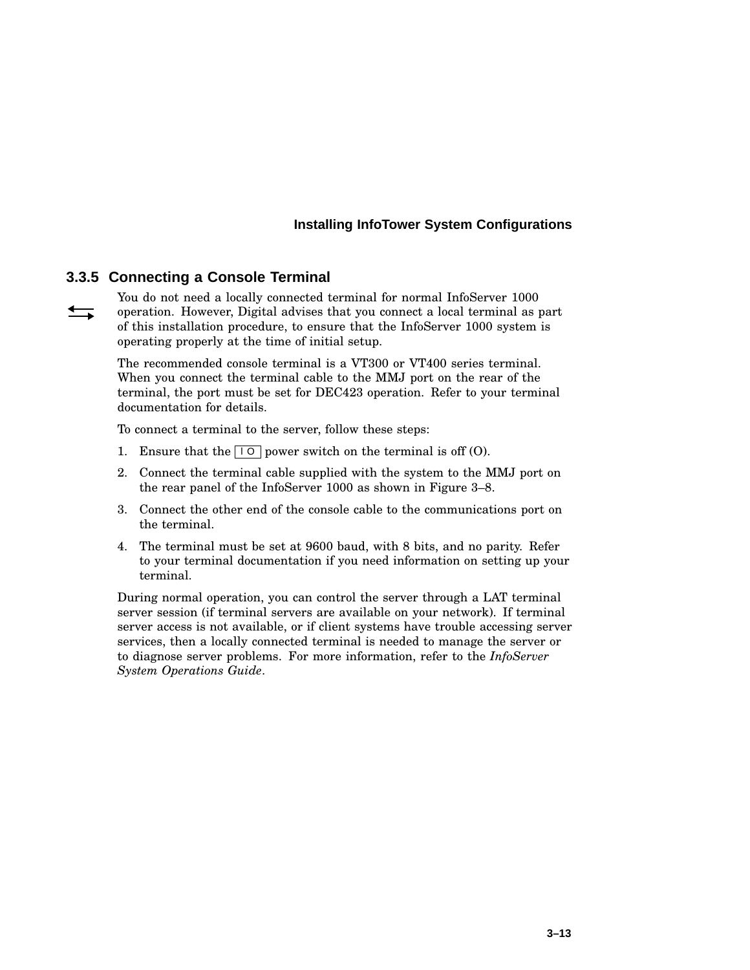### **3.3.5 Connecting a Console Terminal**

You do not need a locally connected terminal for normal InfoServer 1000  $\leftrightarrows$ operation. However, Digital advises that you connect a local terminal as part of this installation procedure, to ensure that the InfoServer 1000 system is operating properly at the time of initial setup.

> The recommended console terminal is a VT300 or VT400 series terminal. When you connect the terminal cable to the MMJ port on the rear of the terminal, the port must be set for DEC423 operation. Refer to your terminal documentation for details.

To connect a terminal to the server, follow these steps:

- 1. Ensure that the  $\boxed{10}$  power switch on the terminal is off (O).
- 2. Connect the terminal cable supplied with the system to the MMJ port on the rear panel of the InfoServer 1000 as shown in Figure 3–8.
- 3. Connect the other end of the console cable to the communications port on the terminal.
- 4. The terminal must be set at 9600 baud, with 8 bits, and no parity. Refer to your terminal documentation if you need information on setting up your terminal.

During normal operation, you can control the server through a LAT terminal server session (if terminal servers are available on your network). If terminal server access is not available, or if client systems have trouble accessing server services, then a locally connected terminal is needed to manage the server or to diagnose server problems. For more information, refer to the *InfoServer System Operations Guide*.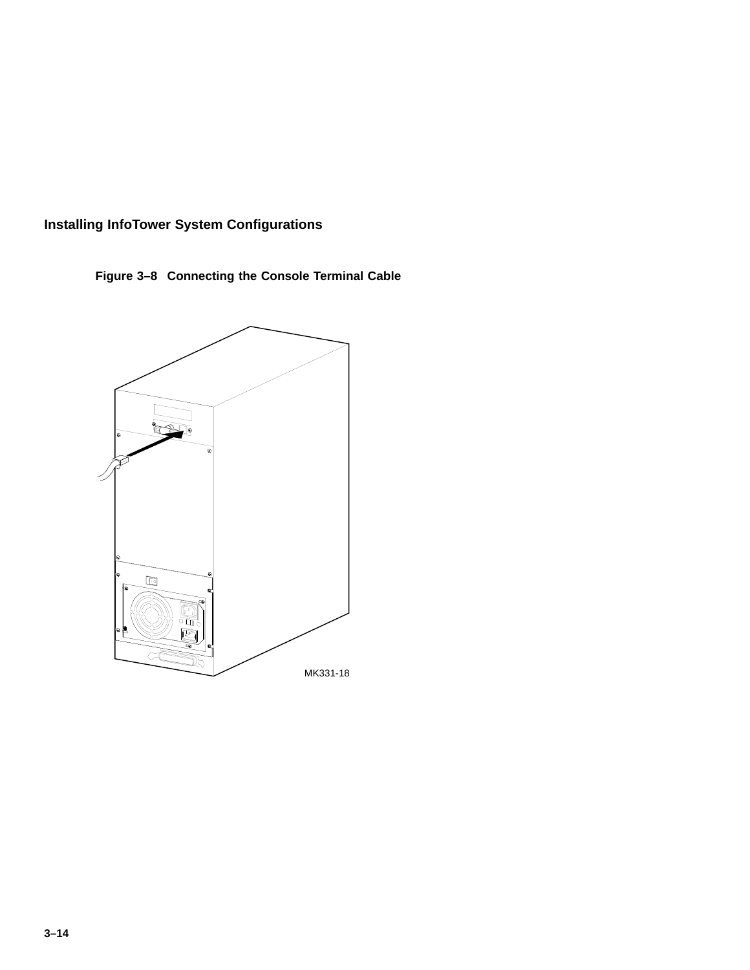**Figure 3–8 Connecting the Console Terminal Cable**

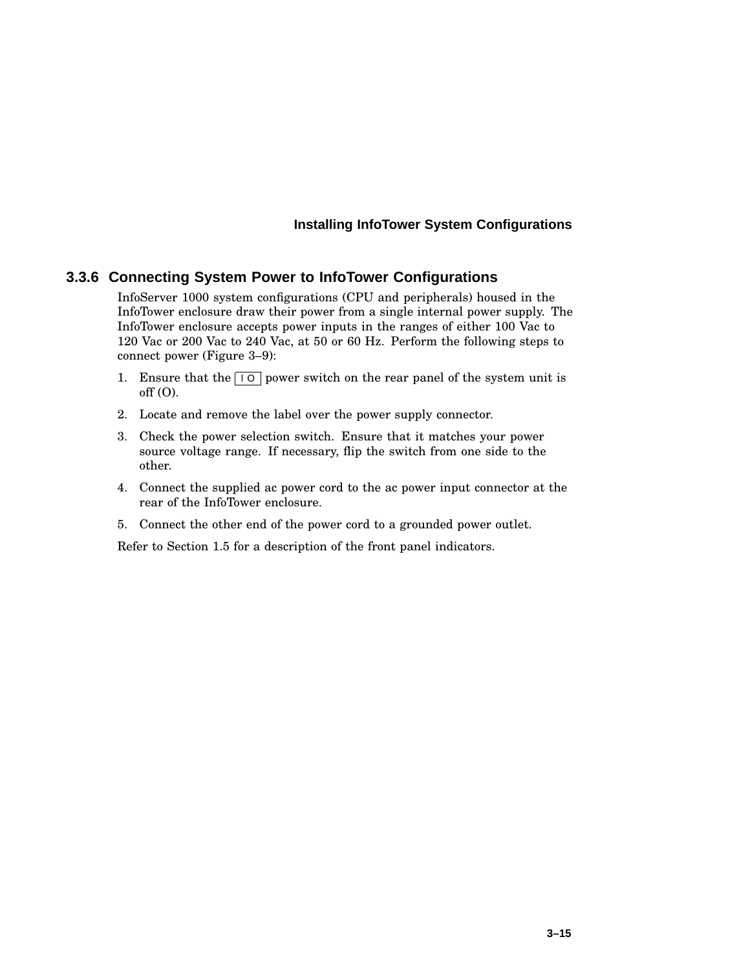### **3.3.6 Connecting System Power to InfoTower Configurations**

InfoServer 1000 system configurations (CPU and peripherals) housed in the InfoTower enclosure draw their power from a single internal power supply. The InfoTower enclosure accepts power inputs in the ranges of either 100 Vac to 120 Vac or 200 Vac to 240 Vac, at 50 or 60 Hz. Perform the following steps to connect power (Figure 3–9):

- 1. Ensure that the  $\boxed{10}$  power switch on the rear panel of the system unit is  $off (O)$ .
- 2. Locate and remove the label over the power supply connector.
- 3. Check the power selection switch. Ensure that it matches your power source voltage range. If necessary, flip the switch from one side to the other.
- 4. Connect the supplied ac power cord to the ac power input connector at the rear of the InfoTower enclosure.
- 5. Connect the other end of the power cord to a grounded power outlet.

Refer to Section 1.5 for a description of the front panel indicators.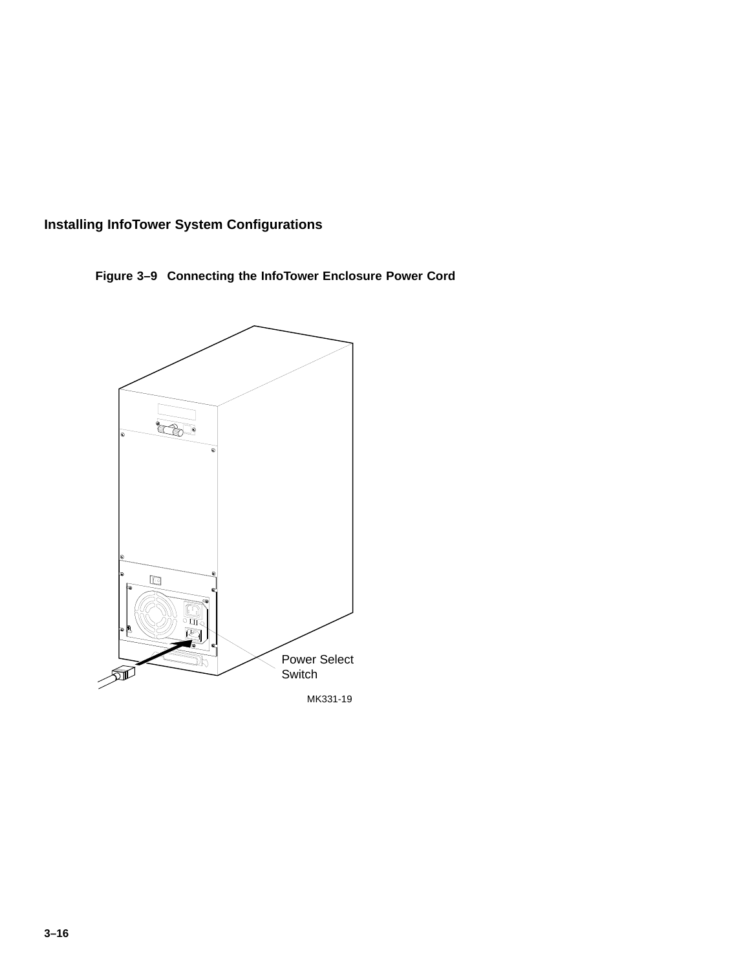

**Figure 3–9 Connecting the InfoTower Enclosure Power Cord**

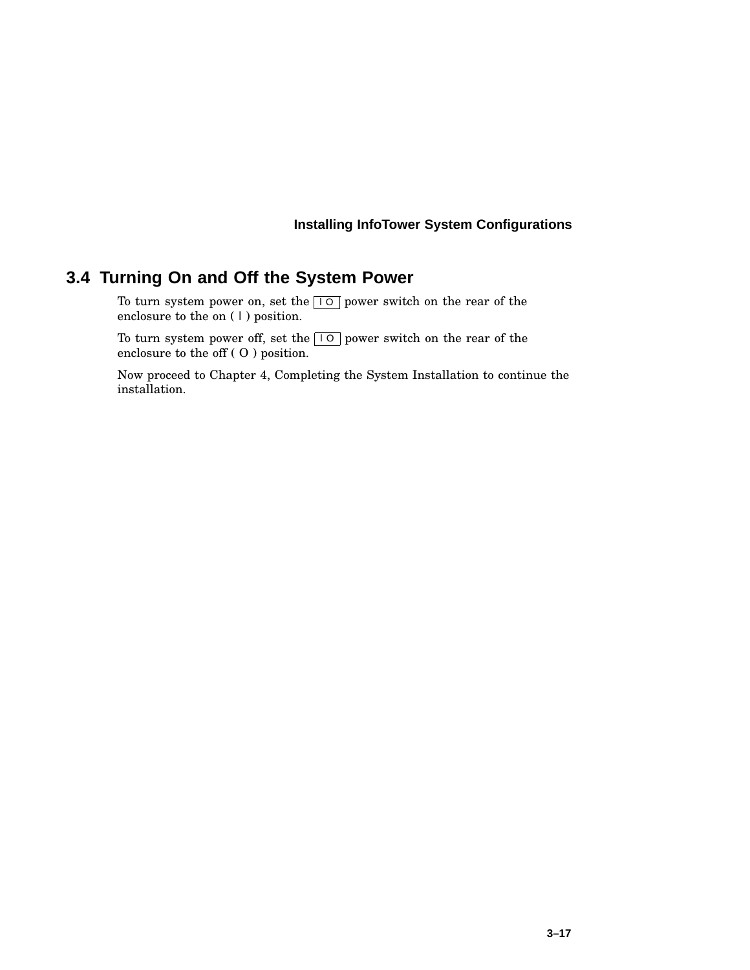# **3.4 Turning On and Off the System Power**

To turn system power on, set the  $\boxed{10}$  power switch on the rear of the enclosure to the on  $(1)$  position.

To turn system power off, set the  $\boxed{10}$  power switch on the rear of the enclosure to the off ( O ) position.

Now proceed to Chapter 4, Completing the System Installation to continue the installation.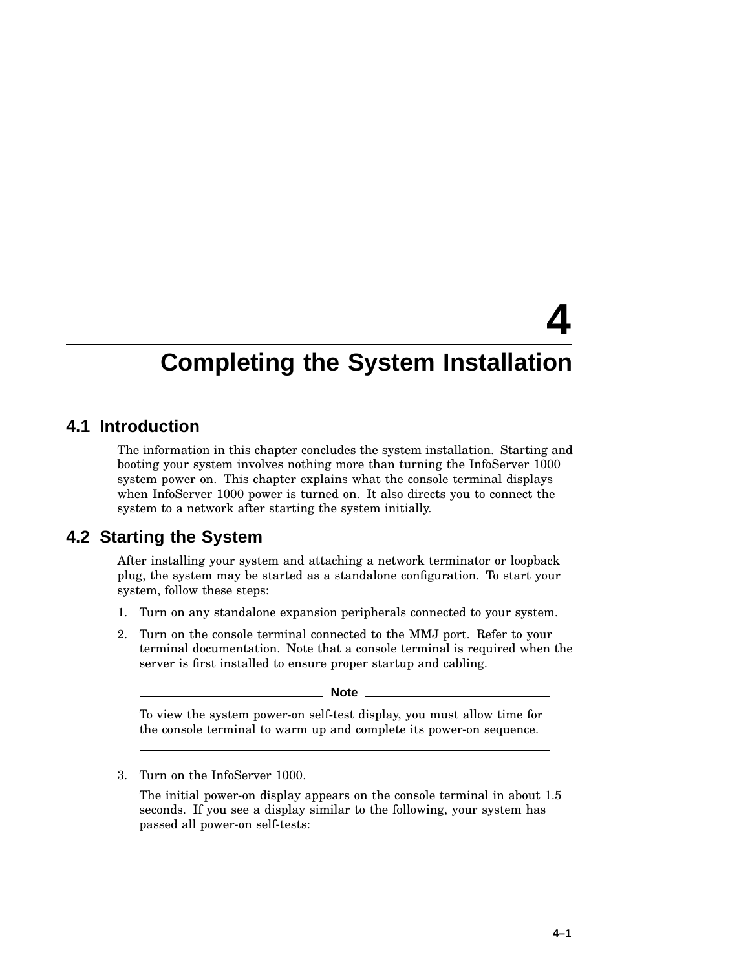# **4**

# **Completing the System Installation**

# **4.1 Introduction**

The information in this chapter concludes the system installation. Starting and booting your system involves nothing more than turning the InfoServer 1000 system power on. This chapter explains what the console terminal displays when InfoServer 1000 power is turned on. It also directs you to connect the system to a network after starting the system initially.

# **4.2 Starting the System**

After installing your system and attaching a network terminator or loopback plug, the system may be started as a standalone configuration. To start your system, follow these steps:

- 1. Turn on any standalone expansion peripherals connected to your system.
- 2. Turn on the console terminal connected to the MMJ port. Refer to your terminal documentation. Note that a console terminal is required when the server is first installed to ensure proper startup and cabling.

**Note**

To view the system power-on self-test display, you must allow time for the console terminal to warm up and complete its power-on sequence.

3. Turn on the InfoServer 1000.

The initial power-on display appears on the console terminal in about 1.5 seconds. If you see a display similar to the following, your system has passed all power-on self-tests: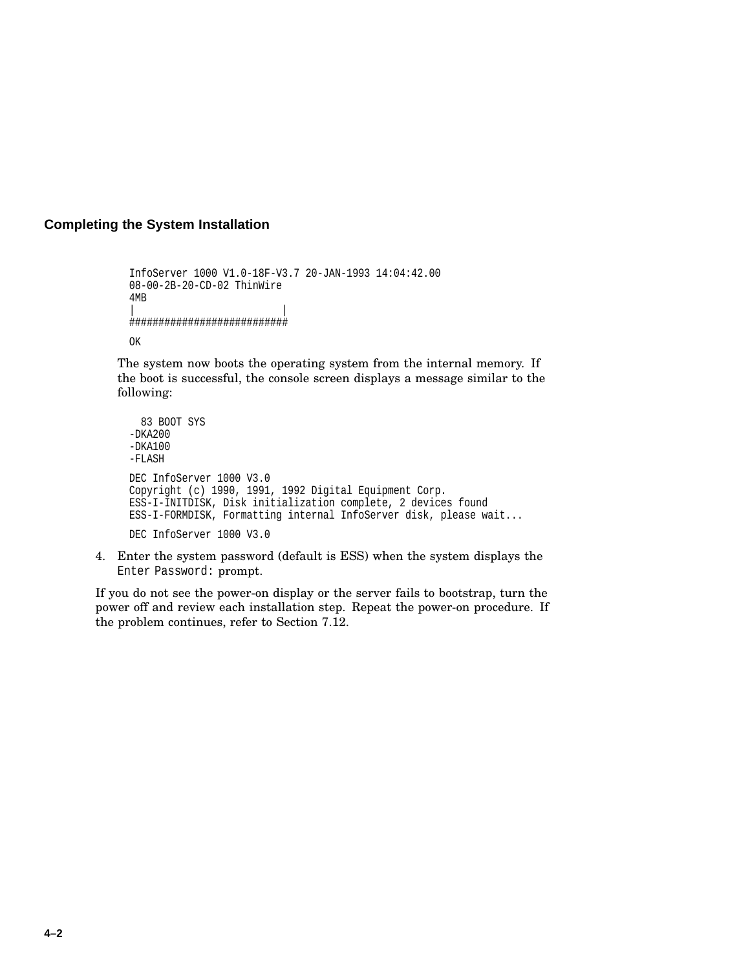### **Completing the System Installation**

```
InfoServer 1000 V1.0-18F-V3.7 20-JAN-1993 14:04:42.00
08-00-2B-20-CD-02 ThinWire
4MB
| |
###########################
OK
```
The system now boots the operating system from the internal memory. If the boot is successful, the console screen displays a message similar to the following:

```
83 BOOT SYS
-DKA200-DKA100
-FLASH
DEC InfoServer 1000 V3.0
Copyright (c) 1990, 1991, 1992 Digital Equipment Corp.
ESS-I-INITDISK, Disk initialization complete, 2 devices found
ESS-I-FORMDISK, Formatting internal InfoServer disk, please wait...
DEC InfoServer 1000 V3.0
```
4. Enter the system password (default is ESS) when the system displays the Enter Password: prompt.

If you do not see the power-on display or the server fails to bootstrap, turn the power off and review each installation step. Repeat the power-on procedure. If the problem continues, refer to Section 7.12.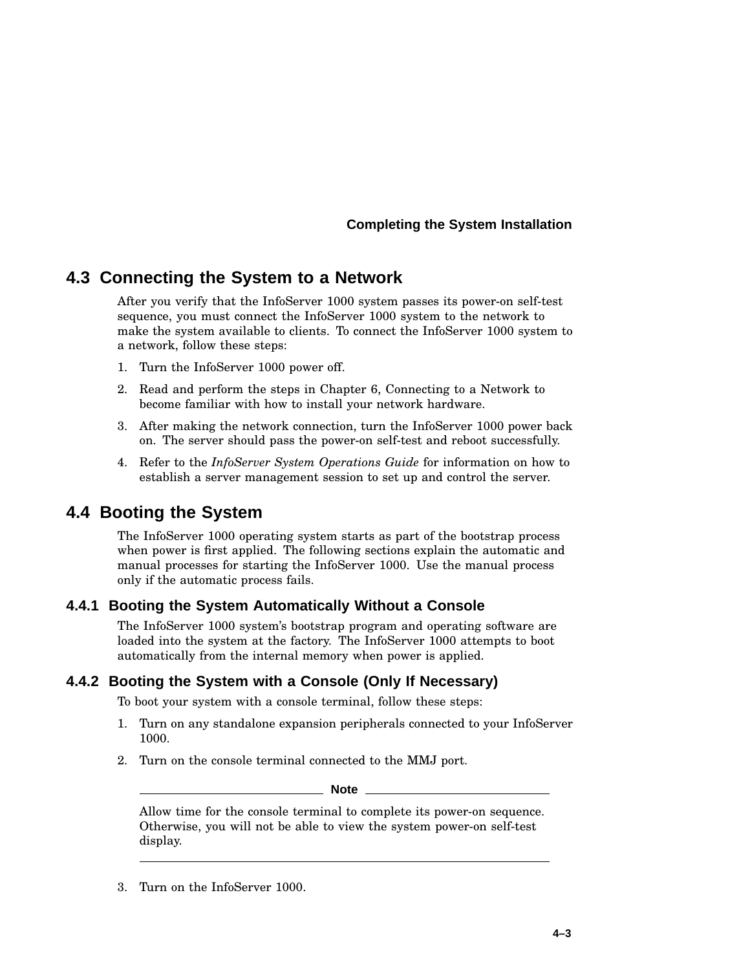### **Completing the System Installation**

# **4.3 Connecting the System to a Network**

After you verify that the InfoServer 1000 system passes its power-on self-test sequence, you must connect the InfoServer 1000 system to the network to make the system available to clients. To connect the InfoServer 1000 system to a network, follow these steps:

- 1. Turn the InfoServer 1000 power off.
- 2. Read and perform the steps in Chapter 6, Connecting to a Network to become familiar with how to install your network hardware.
- 3. After making the network connection, turn the InfoServer 1000 power back on. The server should pass the power-on self-test and reboot successfully.
- 4. Refer to the *InfoServer System Operations Guide* for information on how to establish a server management session to set up and control the server.

# **4.4 Booting the System**

The InfoServer 1000 operating system starts as part of the bootstrap process when power is first applied. The following sections explain the automatic and manual processes for starting the InfoServer 1000. Use the manual process only if the automatic process fails.

### **4.4.1 Booting the System Automatically Without a Console**

The InfoServer 1000 system's bootstrap program and operating software are loaded into the system at the factory. The InfoServer 1000 attempts to boot automatically from the internal memory when power is applied.

# **4.4.2 Booting the System with a Console (Only If Necessary)**

To boot your system with a console terminal, follow these steps:

- 1. Turn on any standalone expansion peripherals connected to your InfoServer 1000.
- 2. Turn on the console terminal connected to the MMJ port.

**Note**

Allow time for the console terminal to complete its power-on sequence. Otherwise, you will not be able to view the system power-on self-test display.

3. Turn on the InfoServer 1000.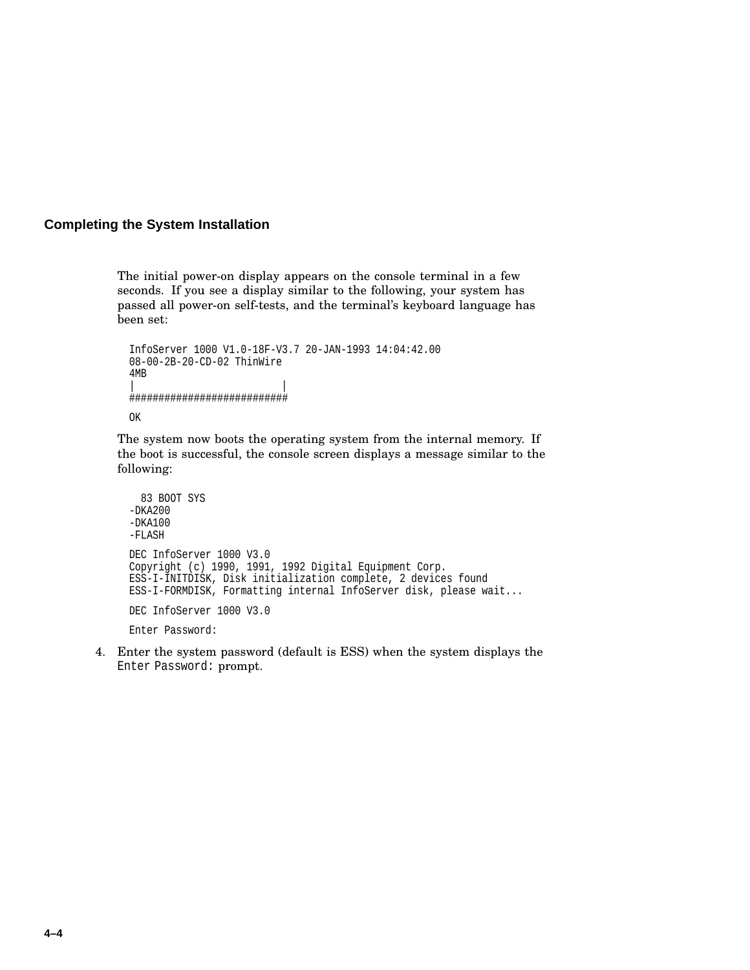### **Completing the System Installation**

The initial power-on display appears on the console terminal in a few seconds. If you see a display similar to the following, your system has passed all power-on self-tests, and the terminal's keyboard language has been set:

```
InfoServer 1000 V1.0-18F-V3.7 20-JAN-1993 14:04:42.00
08-00-2B-20-CD-02 ThinWire
4MB
| |
###########################
OK
```
The system now boots the operating system from the internal memory. If the boot is successful, the console screen displays a message similar to the following:

```
83 BOOT SYS
-DKA200
-DKA100
-FLASH
DEC InfoServer 1000 V3.0
Copyright (c) 1990, 1991, 1992 Digital Equipment Corp.
ESS-I-INITDISK, Disk initialization complete, 2 devices found
ESS-I-FORMDISK, Formatting internal InfoServer disk, please wait...
DEC InfoServer 1000 V3.0
Enter Password:
```
4. Enter the system password (default is ESS) when the system displays the Enter Password: prompt.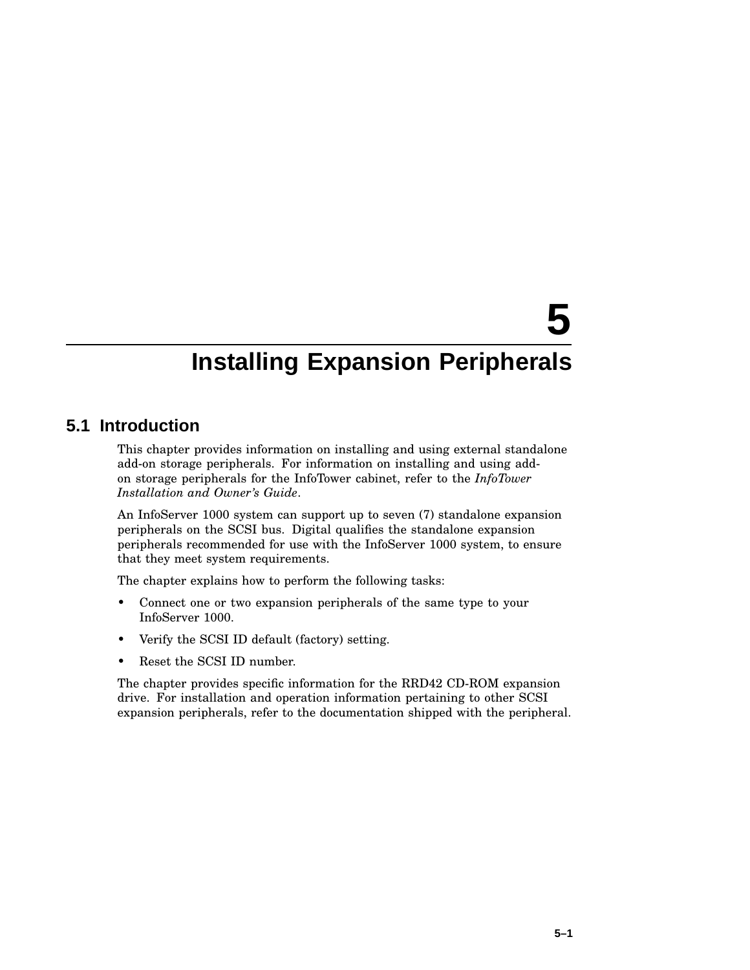# **5**

# **Installing Expansion Peripherals**

# **5.1 Introduction**

This chapter provides information on installing and using external standalone add-on storage peripherals. For information on installing and using addon storage peripherals for the InfoTower cabinet, refer to the *InfoTower Installation and Owner's Guide*.

An InfoServer 1000 system can support up to seven (7) standalone expansion peripherals on the SCSI bus. Digital qualifies the standalone expansion peripherals recommended for use with the InfoServer 1000 system, to ensure that they meet system requirements.

The chapter explains how to perform the following tasks:

- Connect one or two expansion peripherals of the same type to your InfoServer 1000.
- Verify the SCSI ID default (factory) setting.
- Reset the SCSI ID number.

The chapter provides specific information for the RRD42 CD-ROM expansion drive. For installation and operation information pertaining to other SCSI expansion peripherals, refer to the documentation shipped with the peripheral.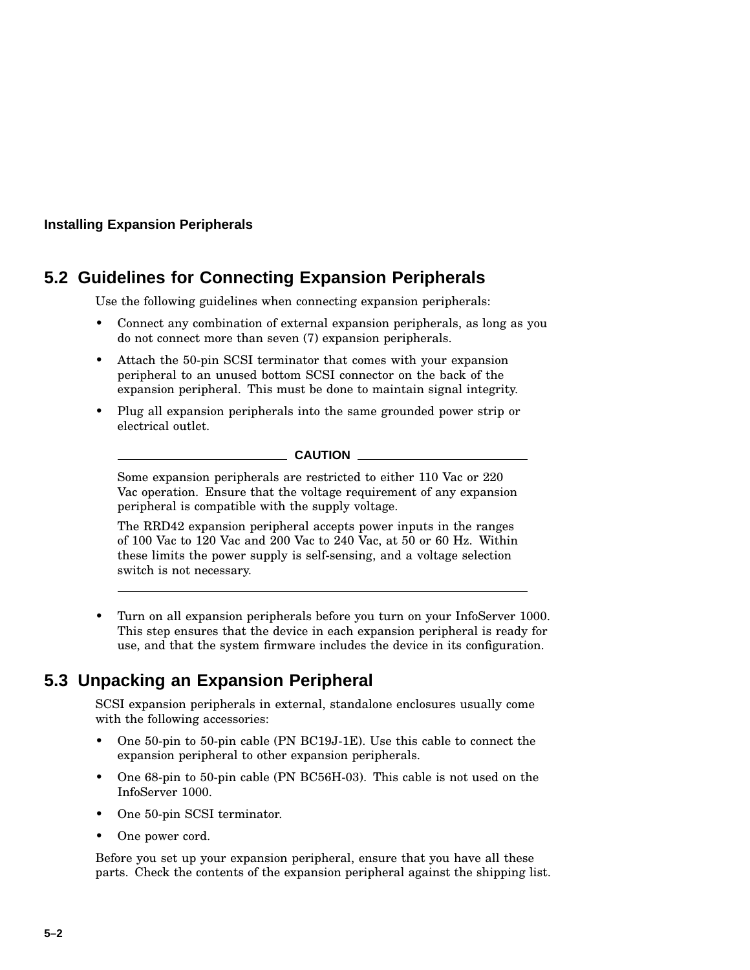# **5.2 Guidelines for Connecting Expansion Peripherals**

Use the following guidelines when connecting expansion peripherals:

- Connect any combination of external expansion peripherals, as long as you do not connect more than seven (7) expansion peripherals.
- Attach the 50-pin SCSI terminator that comes with your expansion peripheral to an unused bottom SCSI connector on the back of the expansion peripheral. This must be done to maintain signal integrity.
- Plug all expansion peripherals into the same grounded power strip or electrical outlet.

**CAUTION**

Some expansion peripherals are restricted to either 110 Vac or 220 Vac operation. Ensure that the voltage requirement of any expansion peripheral is compatible with the supply voltage.

The RRD42 expansion peripheral accepts power inputs in the ranges of 100 Vac to 120 Vac and 200 Vac to 240 Vac, at 50 or 60 Hz. Within these limits the power supply is self-sensing, and a voltage selection switch is not necessary.

• Turn on all expansion peripherals before you turn on your InfoServer 1000. This step ensures that the device in each expansion peripheral is ready for use, and that the system firmware includes the device in its configuration.

# **5.3 Unpacking an Expansion Peripheral**

SCSI expansion peripherals in external, standalone enclosures usually come with the following accessories:

- One 50-pin to 50-pin cable (PN BC19J-1E). Use this cable to connect the expansion peripheral to other expansion peripherals.
- One 68-pin to 50-pin cable (PN BC56H-03). This cable is not used on the InfoServer 1000.
- One 50-pin SCSI terminator.
- One power cord.

Before you set up your expansion peripheral, ensure that you have all these parts. Check the contents of the expansion peripheral against the shipping list.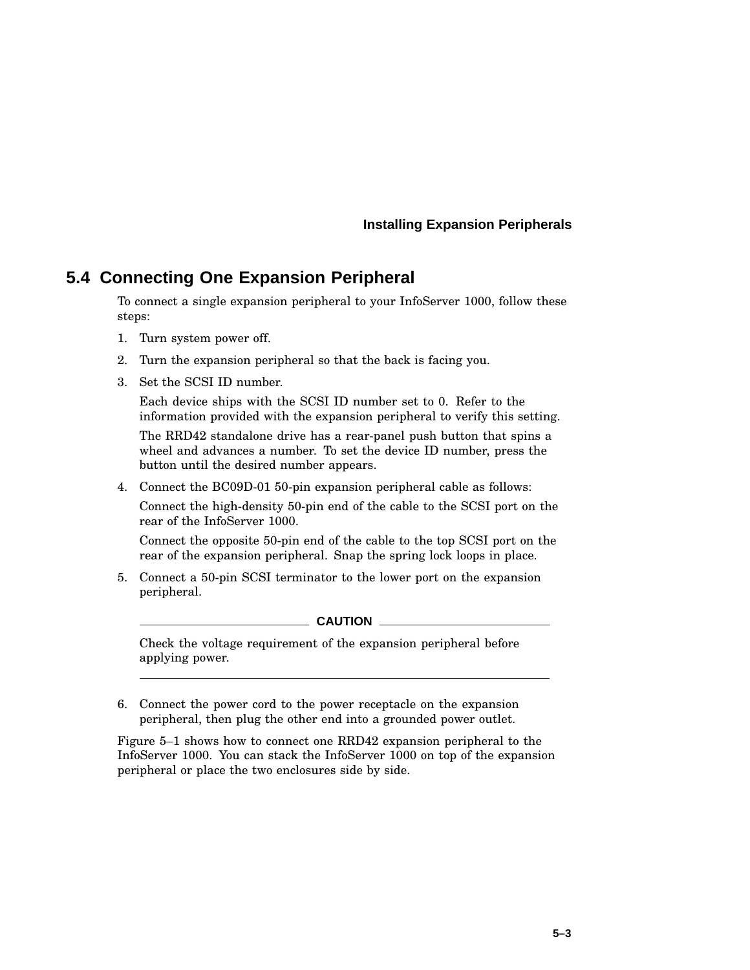# **5.4 Connecting One Expansion Peripheral**

To connect a single expansion peripheral to your InfoServer 1000, follow these steps:

- 1. Turn system power off.
- 2. Turn the expansion peripheral so that the back is facing you.
- 3. Set the SCSI ID number.

Each device ships with the SCSI ID number set to 0. Refer to the information provided with the expansion peripheral to verify this setting.

The RRD42 standalone drive has a rear-panel push button that spins a wheel and advances a number. To set the device ID number, press the button until the desired number appears.

4. Connect the BC09D-01 50-pin expansion peripheral cable as follows:

Connect the high-density 50-pin end of the cable to the SCSI port on the rear of the InfoServer 1000.

Connect the opposite 50-pin end of the cable to the top SCSI port on the rear of the expansion peripheral. Snap the spring lock loops in place.

5. Connect a 50-pin SCSI terminator to the lower port on the expansion peripheral.

 $\_$  CAUTION  $\_$ 

Check the voltage requirement of the expansion peripheral before applying power.

6. Connect the power cord to the power receptacle on the expansion peripheral, then plug the other end into a grounded power outlet.

Figure 5–1 shows how to connect one RRD42 expansion peripheral to the InfoServer 1000. You can stack the InfoServer 1000 on top of the expansion peripheral or place the two enclosures side by side.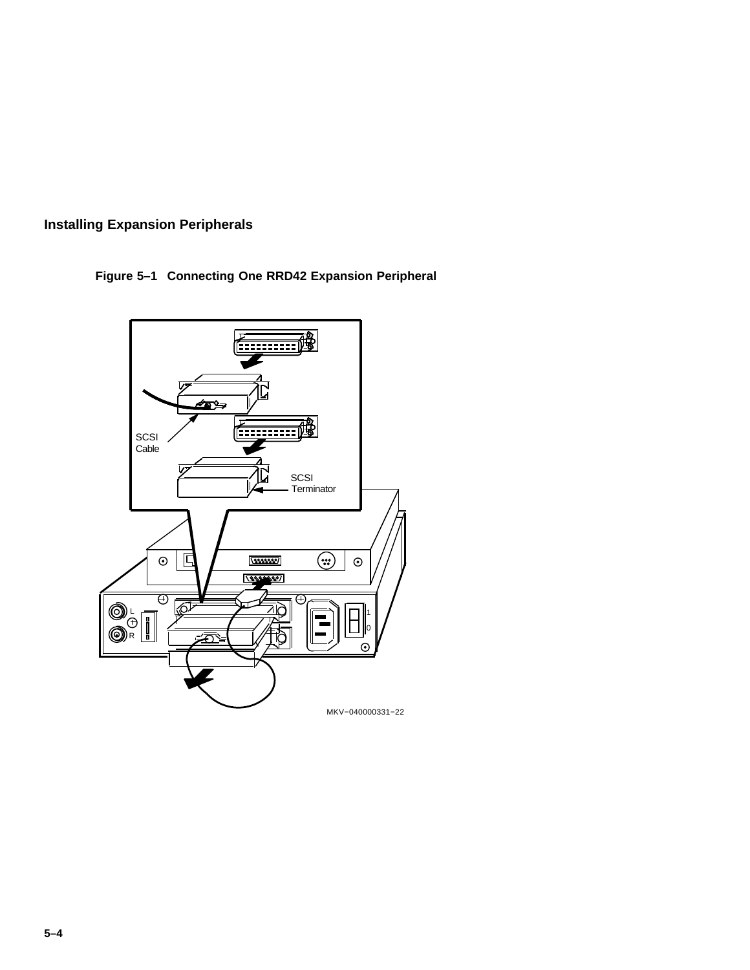

**Figure 5–1 Connecting One RRD42 Expansion Peripheral**

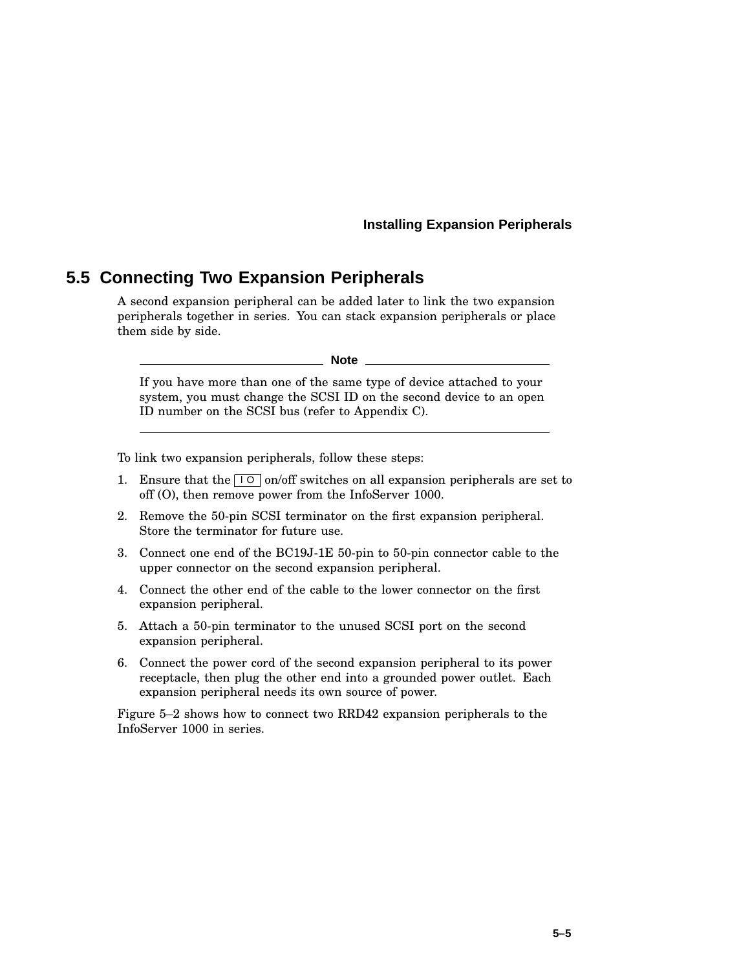# **5.5 Connecting Two Expansion Peripherals**

A second expansion peripheral can be added later to link the two expansion peripherals together in series. You can stack expansion peripherals or place them side by side.

#### **Note**

If you have more than one of the same type of device attached to your system, you must change the SCSI ID on the second device to an open ID number on the SCSI bus (refer to Appendix C).

To link two expansion peripherals, follow these steps:

- 1. Ensure that the  $\boxed{10}$  on/off switches on all expansion peripherals are set to off (O), then remove power from the InfoServer 1000.
- 2. Remove the 50-pin SCSI terminator on the first expansion peripheral. Store the terminator for future use.
- 3. Connect one end of the BC19J-1E 50-pin to 50-pin connector cable to the upper connector on the second expansion peripheral.
- 4. Connect the other end of the cable to the lower connector on the first expansion peripheral.
- 5. Attach a 50-pin terminator to the unused SCSI port on the second expansion peripheral.
- 6. Connect the power cord of the second expansion peripheral to its power receptacle, then plug the other end into a grounded power outlet. Each expansion peripheral needs its own source of power.

Figure 5–2 shows how to connect two RRD42 expansion peripherals to the InfoServer 1000 in series.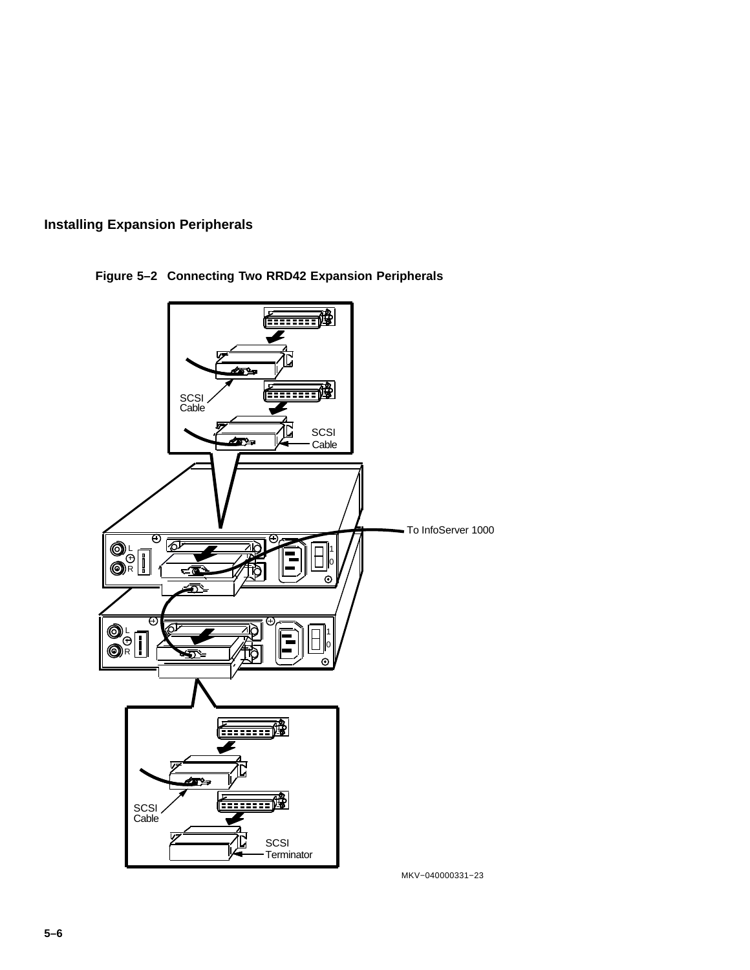



**Figure 5–2 Connecting Two RRD42 Expansion Peripherals**

MKV−040000331−23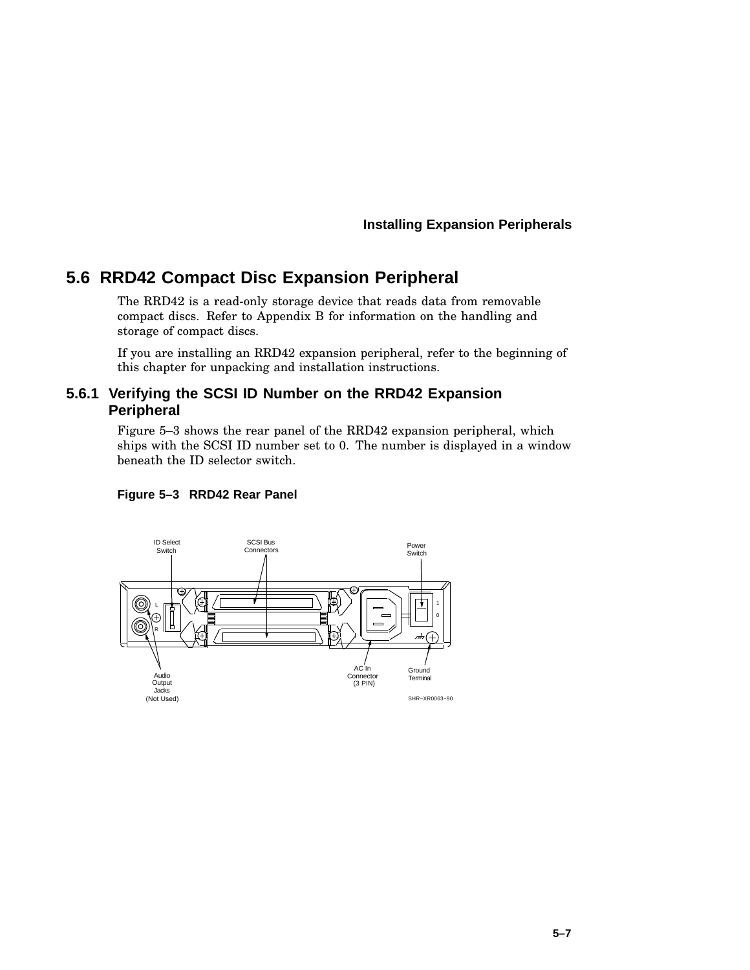# **5.6 RRD42 Compact Disc Expansion Peripheral**

The RRD42 is a read-only storage device that reads data from removable compact discs. Refer to Appendix B for information on the handling and storage of compact discs.

If you are installing an RRD42 expansion peripheral, refer to the beginning of this chapter for unpacking and installation instructions.

### **5.6.1 Verifying the SCSI ID Number on the RRD42 Expansion Peripheral**

Figure 5–3 shows the rear panel of the RRD42 expansion peripheral, which ships with the SCSI ID number set to 0. The number is displayed in a window beneath the ID selector switch.



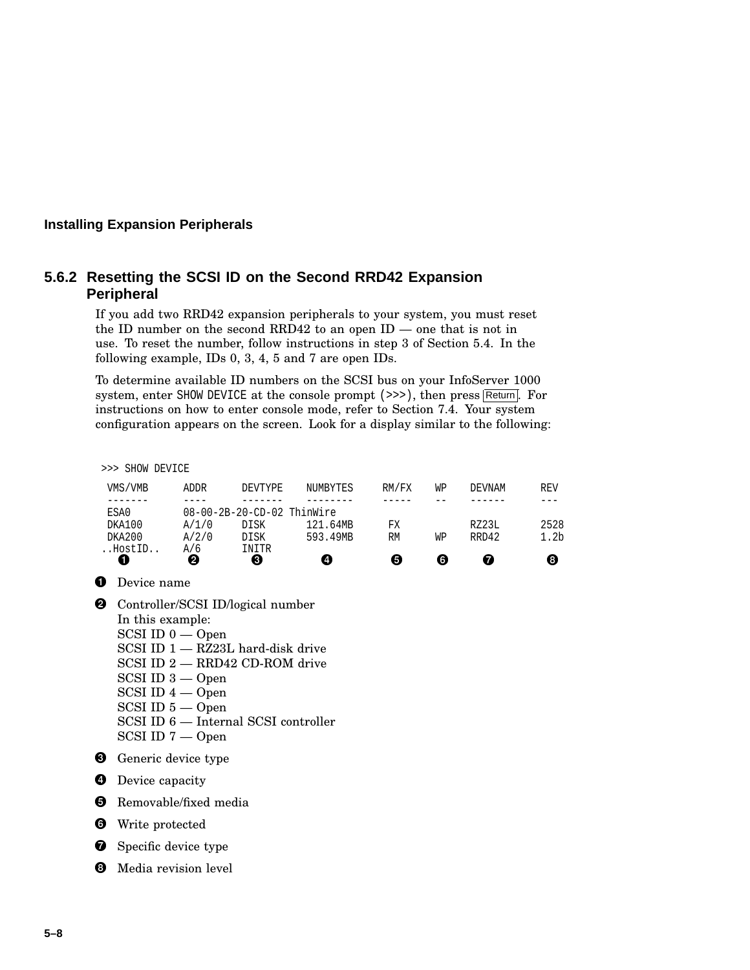# **5.6.2 Resetting the SCSI ID on the Second RRD42 Expansion Peripheral**

If you add two RRD42 expansion peripherals to your system, you must reset the ID number on the second RRD42 to an open  $ID$  — one that is not in use. To reset the number, follow instructions in step 3 of Section 5.4. In the following example, IDs 0, 3, 4, 5 and 7 are open IDs.

To determine available ID numbers on the SCSI bus on your InfoServer 1000 system, enter SHOW DEVICE at the console prompt  $(\gg)$ , then press Return. For instructions on how to enter console mode, refer to Section 7.4. Your system configuration appears on the screen. Look for a display similar to the following:

>>> SHOW DEVICE

| VMS/VMB | ADDR                       | DEVTYPE | NUMBYTES | RM/FX | WΡ | DEVNAM | REV              |  |  |
|---------|----------------------------|---------|----------|-------|----|--------|------------------|--|--|
|         |                            |         |          |       |    |        |                  |  |  |
| ESA0    | 08-00-2B-20-CD-02 ThinWire |         |          |       |    |        |                  |  |  |
| DKA100  | A/1/0                      | DISK    | 121.64MB | FХ    |    | RZ23L  | 2528             |  |  |
| DKA200  | A/2/0                      | DISK    | 593.49MB | RM    | WP | RRD42  | 1.2 <sub>b</sub> |  |  |
| HostID  | A/6                        | INITR   |          |       |    |        |                  |  |  |
|         | 0                          | Θ       | Œ        | 0     | 6  | 7      | 8                |  |  |

**O** Device name

**2** Controller/SCSI ID/logical number In this example: SCSI ID 0 — Open SCSI ID 1 — RZ23L hard-disk drive SCSI ID 2 — RRD42 CD-ROM drive SCSI ID 3 — Open SCSI ID 4 — Open SCSI ID 5 — Open SCSI ID 6 — Internal SCSI controller SCSI ID 7 — Open

**O** Generic device type



**6** Removable/fixed media

**O** Write protected

**O** Specific device type

**3** Media revision level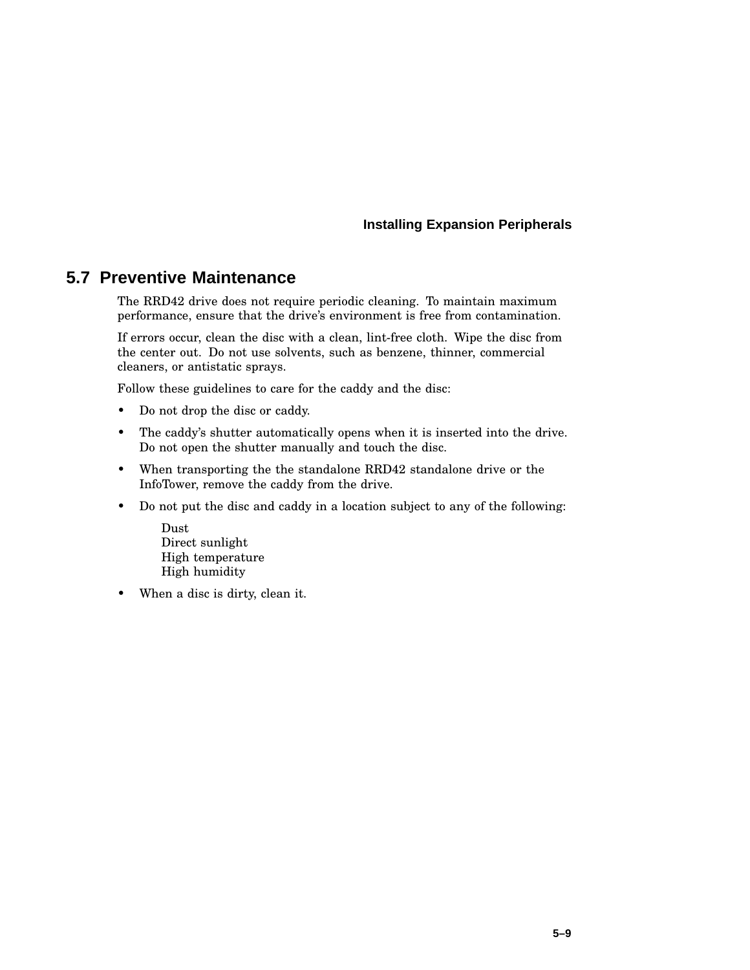# **5.7 Preventive Maintenance**

The RRD42 drive does not require periodic cleaning. To maintain maximum performance, ensure that the drive's environment is free from contamination.

If errors occur, clean the disc with a clean, lint-free cloth. Wipe the disc from the center out. Do not use solvents, such as benzene, thinner, commercial cleaners, or antistatic sprays.

Follow these guidelines to care for the caddy and the disc:

- Do not drop the disc or caddy.
- The caddy's shutter automatically opens when it is inserted into the drive. Do not open the shutter manually and touch the disc.
- When transporting the the standalone RRD42 standalone drive or the InfoTower, remove the caddy from the drive.
- Do not put the disc and caddy in a location subject to any of the following:
	- Dust Direct sunlight High temperature High humidity
- When a disc is dirty, clean it.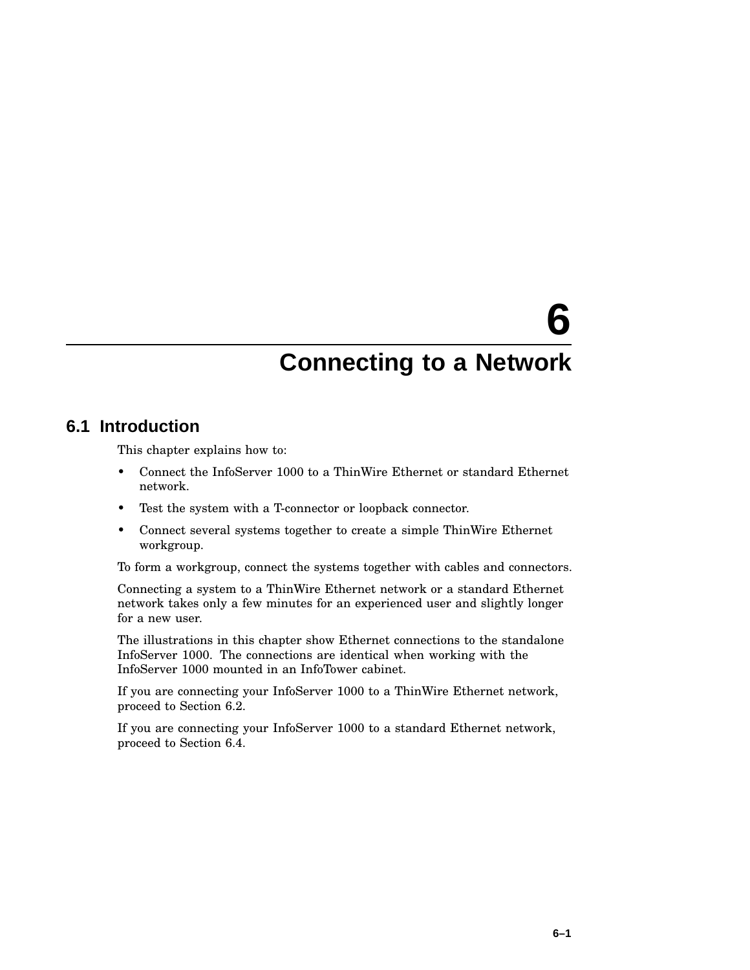# **6**

# **Connecting to a Network**

# **6.1 Introduction**

This chapter explains how to:

- Connect the InfoServer 1000 to a ThinWire Ethernet or standard Ethernet network.
- Test the system with a T-connector or loopback connector.
- Connect several systems together to create a simple ThinWire Ethernet workgroup.

To form a workgroup, connect the systems together with cables and connectors.

Connecting a system to a ThinWire Ethernet network or a standard Ethernet network takes only a few minutes for an experienced user and slightly longer for a new user.

The illustrations in this chapter show Ethernet connections to the standalone InfoServer 1000. The connections are identical when working with the InfoServer 1000 mounted in an InfoTower cabinet.

If you are connecting your InfoServer 1000 to a ThinWire Ethernet network, proceed to Section 6.2.

If you are connecting your InfoServer 1000 to a standard Ethernet network, proceed to Section 6.4.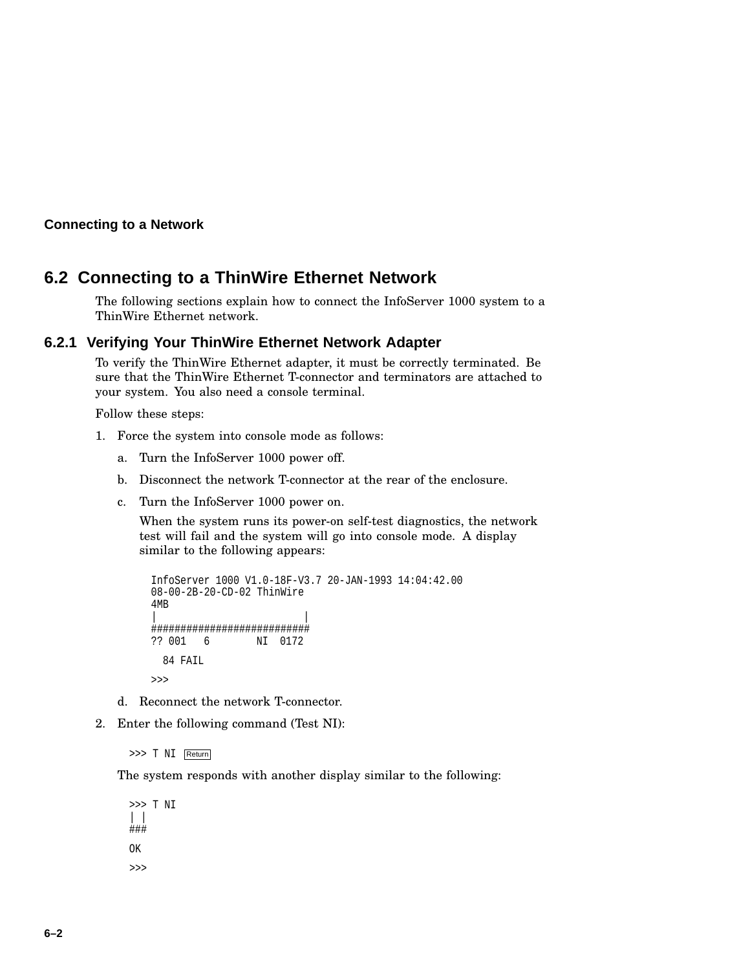**Connecting to a Network**

# **6.2 Connecting to a ThinWire Ethernet Network**

The following sections explain how to connect the InfoServer 1000 system to a ThinWire Ethernet network.

### **6.2.1 Verifying Your ThinWire Ethernet Network Adapter**

To verify the ThinWire Ethernet adapter, it must be correctly terminated. Be sure that the ThinWire Ethernet T-connector and terminators are attached to your system. You also need a console terminal.

Follow these steps:

- 1. Force the system into console mode as follows:
	- a. Turn the InfoServer 1000 power off.
	- b. Disconnect the network T-connector at the rear of the enclosure.
	- c. Turn the InfoServer 1000 power on.

When the system runs its power-on self-test diagnostics, the network test will fail and the system will go into console mode. A display similar to the following appears:

```
InfoServer 1000 V1.0-18F-V3.7 20-JAN-1993 14:04:42.00
08-00-2B-20-CD-02 ThinWire
4MB
| |
###########################
?? 001 6 NI 0172
 84 FAIL
>>>
```
- d. Reconnect the network T-connector.
- 2. Enter the following command (Test NI):

>>> T NI Return

The system responds with another display similar to the following:

>>> T NI | | ### OK  $\rightarrow$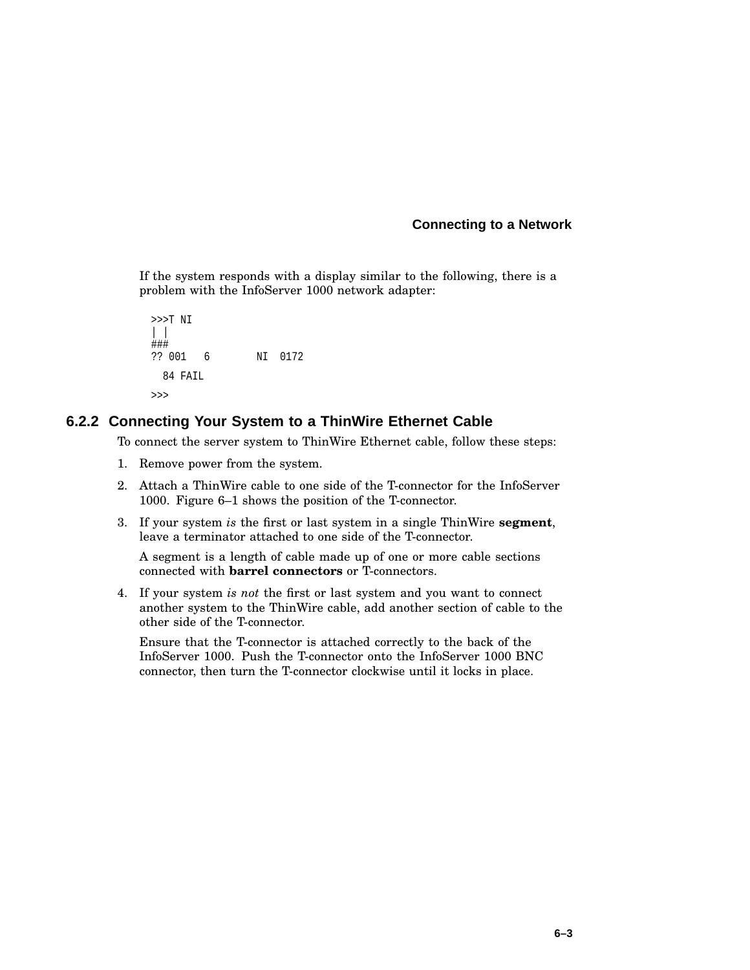If the system responds with a display similar to the following, there is a problem with the InfoServer 1000 network adapter:

```
>>>T NI
| |
###
?? 001 6 NI 0172
 84 FAIL
>>>
```
#### **6.2.2 Connecting Your System to a ThinWire Ethernet Cable**

To connect the server system to ThinWire Ethernet cable, follow these steps:

- 1. Remove power from the system.
- 2. Attach a ThinWire cable to one side of the T-connector for the InfoServer 1000. Figure 6–1 shows the position of the T-connector.
- 3. If your system *is* the first or last system in a single ThinWire **segment**, leave a terminator attached to one side of the T-connector.

A segment is a length of cable made up of one or more cable sections connected with **barrel connectors** or T-connectors.

4. If your system *is not* the first or last system and you want to connect another system to the ThinWire cable, add another section of cable to the other side of the T-connector.

Ensure that the T-connector is attached correctly to the back of the InfoServer 1000. Push the T-connector onto the InfoServer 1000 BNC connector, then turn the T-connector clockwise until it locks in place.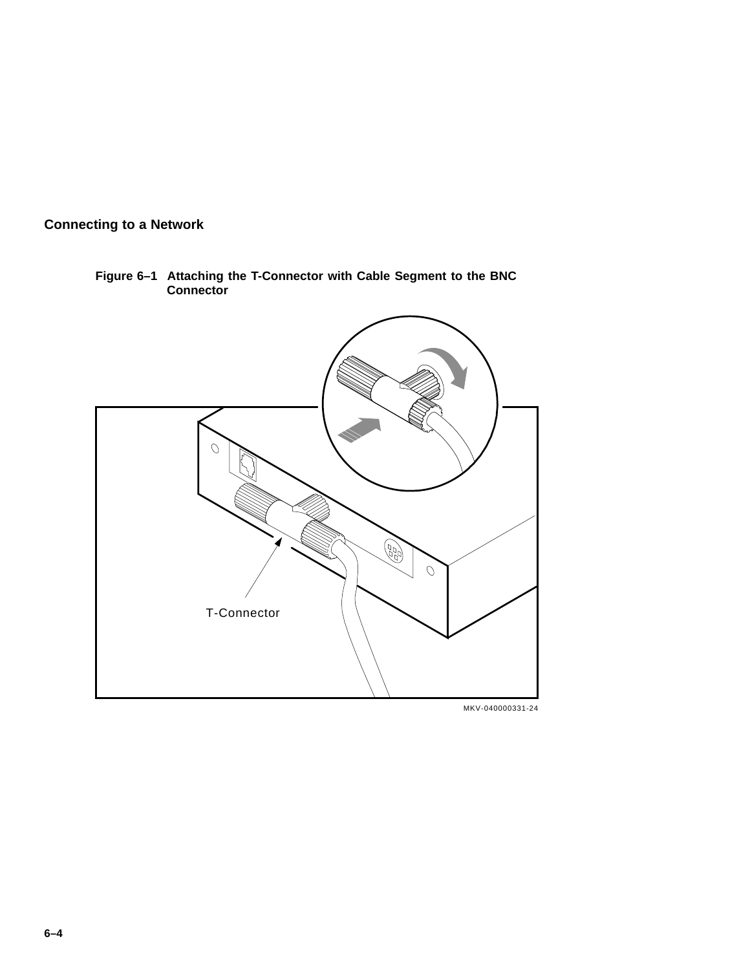

**Figure 6–1 Attaching the T-Connector with Cable Segment to the BNC Connector**

MKV-040000331-24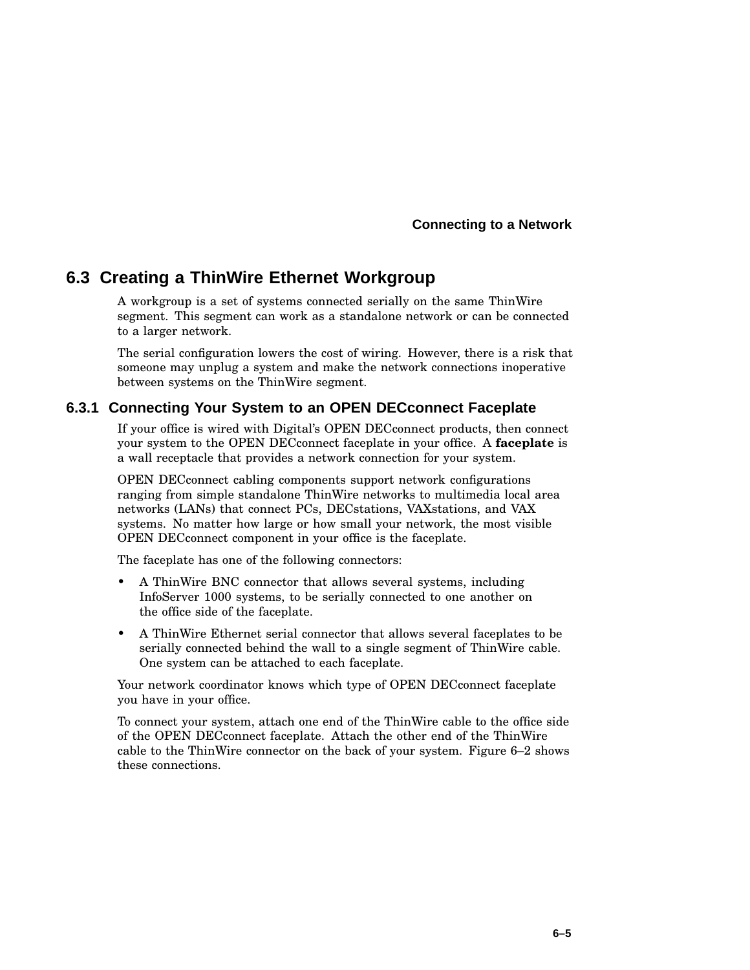## **6.3 Creating a ThinWire Ethernet Workgroup**

A workgroup is a set of systems connected serially on the same ThinWire segment. This segment can work as a standalone network or can be connected to a larger network.

The serial configuration lowers the cost of wiring. However, there is a risk that someone may unplug a system and make the network connections inoperative between systems on the ThinWire segment.

#### **6.3.1 Connecting Your System to an OPEN DECconnect Faceplate**

If your office is wired with Digital's OPEN DECconnect products, then connect your system to the OPEN DECconnect faceplate in your office. A **faceplate** is a wall receptacle that provides a network connection for your system.

OPEN DECconnect cabling components support network configurations ranging from simple standalone ThinWire networks to multimedia local area networks (LANs) that connect PCs, DECstations, VAXstations, and VAX systems. No matter how large or how small your network, the most visible OPEN DECconnect component in your office is the faceplate.

The faceplate has one of the following connectors:

- A ThinWire BNC connector that allows several systems, including InfoServer 1000 systems, to be serially connected to one another on the office side of the faceplate.
- A ThinWire Ethernet serial connector that allows several faceplates to be serially connected behind the wall to a single segment of ThinWire cable. One system can be attached to each faceplate.

Your network coordinator knows which type of OPEN DECconnect faceplate you have in your office.

To connect your system, attach one end of the ThinWire cable to the office side of the OPEN DECconnect faceplate. Attach the other end of the ThinWire cable to the ThinWire connector on the back of your system. Figure 6–2 shows these connections.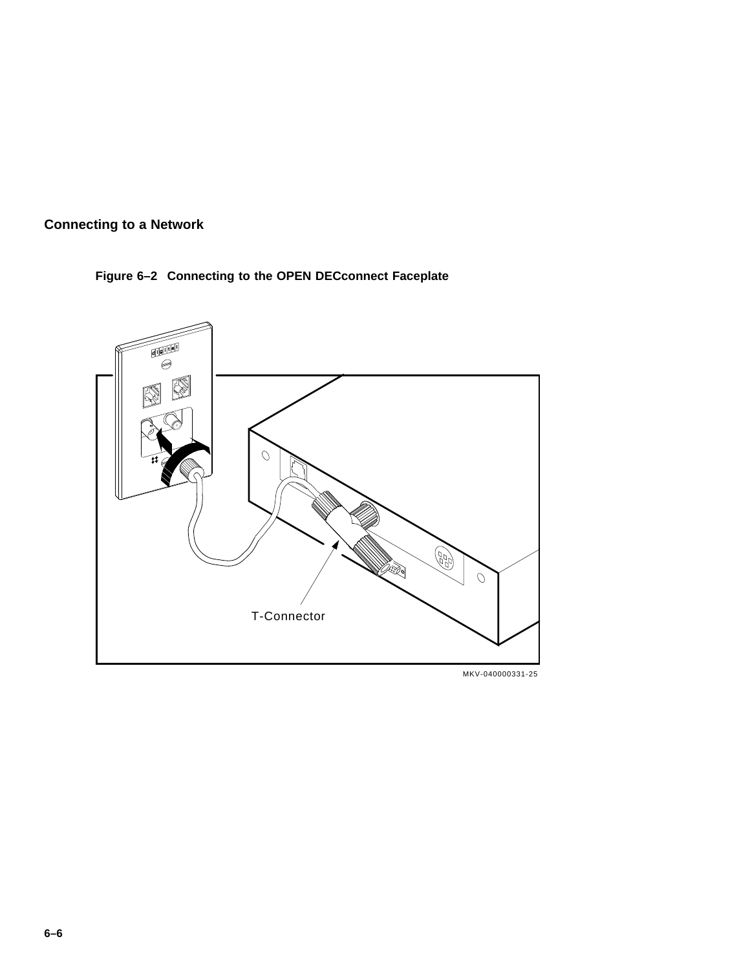





MKV-040000331-25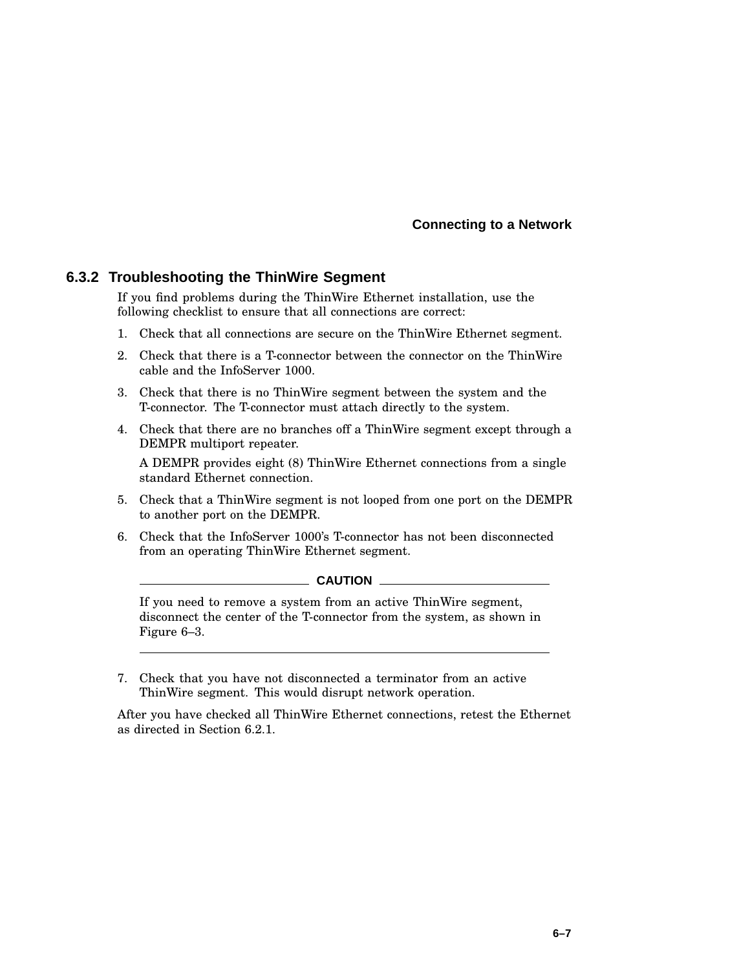#### **6.3.2 Troubleshooting the ThinWire Segment**

If you find problems during the ThinWire Ethernet installation, use the following checklist to ensure that all connections are correct:

- 1. Check that all connections are secure on the ThinWire Ethernet segment.
- 2. Check that there is a T-connector between the connector on the ThinWire cable and the InfoServer 1000.
- 3. Check that there is no ThinWire segment between the system and the T-connector. The T-connector must attach directly to the system.
- 4. Check that there are no branches off a ThinWire segment except through a DEMPR multiport repeater.

A DEMPR provides eight (8) ThinWire Ethernet connections from a single standard Ethernet connection.

- 5. Check that a ThinWire segment is not looped from one port on the DEMPR to another port on the DEMPR.
- 6. Check that the InfoServer 1000's T-connector has not been disconnected from an operating ThinWire Ethernet segment.

#### CAUTION \_

If you need to remove a system from an active ThinWire segment, disconnect the center of the T-connector from the system, as shown in Figure 6–3.

7. Check that you have not disconnected a terminator from an active ThinWire segment. This would disrupt network operation.

After you have checked all ThinWire Ethernet connections, retest the Ethernet as directed in Section 6.2.1.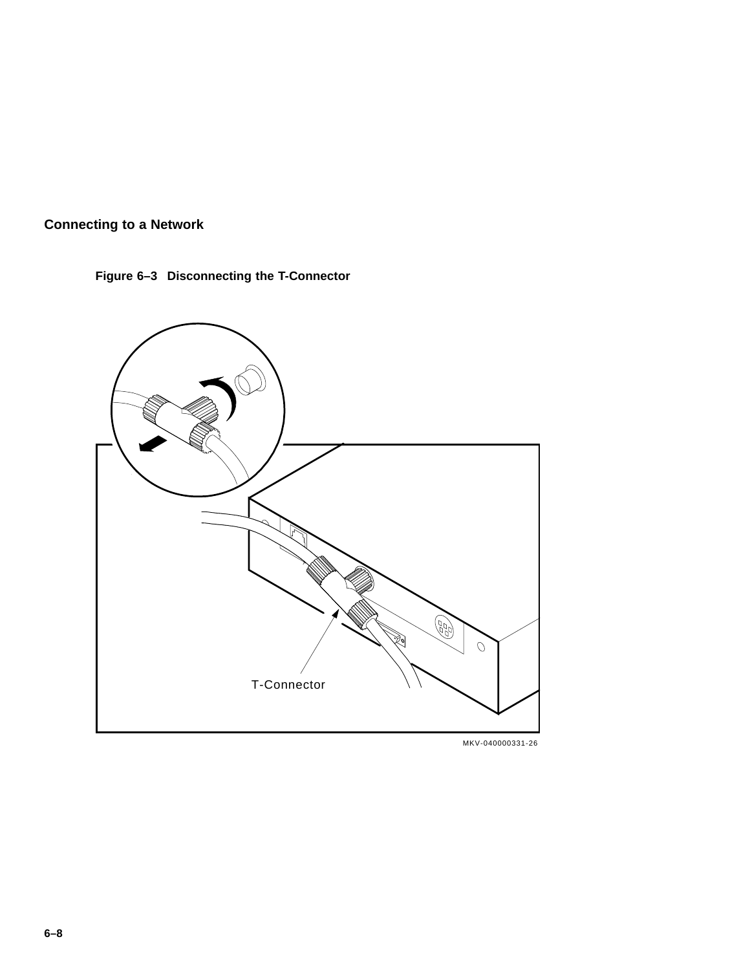



MKV-040000331-26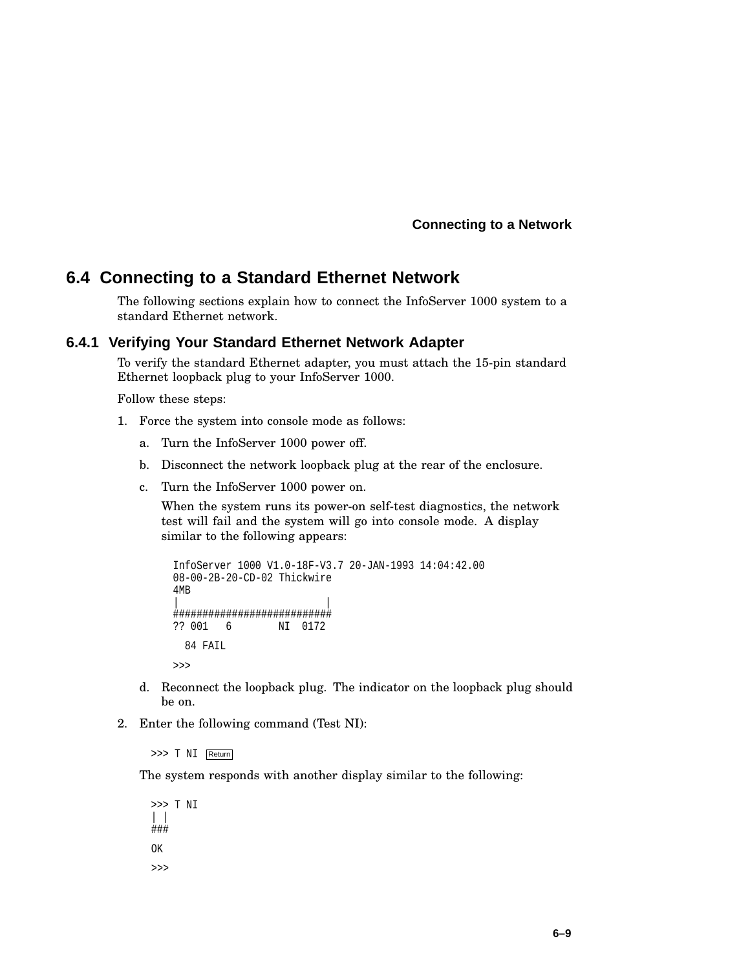## **6.4 Connecting to a Standard Ethernet Network**

The following sections explain how to connect the InfoServer 1000 system to a standard Ethernet network.

#### **6.4.1 Verifying Your Standard Ethernet Network Adapter**

To verify the standard Ethernet adapter, you must attach the 15-pin standard Ethernet loopback plug to your InfoServer 1000.

Follow these steps:

- 1. Force the system into console mode as follows:
	- a. Turn the InfoServer 1000 power off.
	- b. Disconnect the network loopback plug at the rear of the enclosure.
	- c. Turn the InfoServer 1000 power on.

When the system runs its power-on self-test diagnostics, the network test will fail and the system will go into console mode. A display similar to the following appears:

```
InfoServer 1000 V1.0-18F-V3.7 20-JAN-1993 14:04:42.00
08-00-2B-20-CD-02 Thickwire
4MB
| |
###########################
?? 001 6 NI 0172
 84 FAIL
>>>
```
- d. Reconnect the loopback plug. The indicator on the loopback plug should be on.
- 2. Enter the following command (Test NI):

>>> T NI Return

The system responds with another display similar to the following:

>>> T NI | | ### OK  $\rightarrow$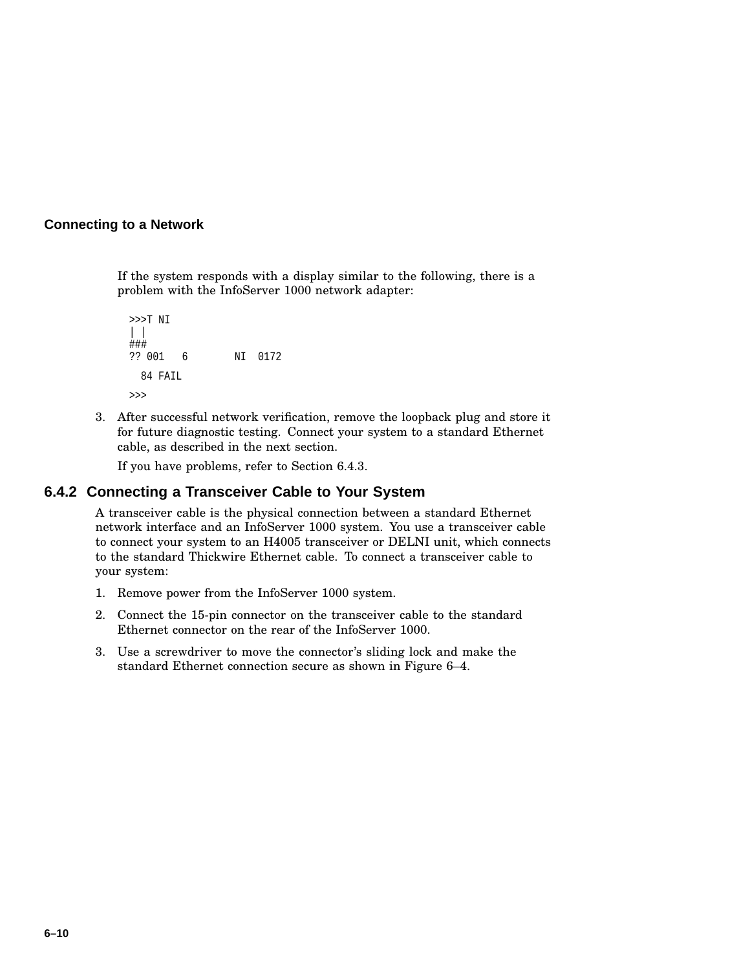If the system responds with a display similar to the following, there is a problem with the InfoServer 1000 network adapter:

```
>>>T NI
| |
###
?? 001 6 NI 0172
 84 FAIL
>>>
```
3. After successful network verification, remove the loopback plug and store it for future diagnostic testing. Connect your system to a standard Ethernet cable, as described in the next section.

If you have problems, refer to Section 6.4.3.

#### **6.4.2 Connecting a Transceiver Cable to Your System**

A transceiver cable is the physical connection between a standard Ethernet network interface and an InfoServer 1000 system. You use a transceiver cable to connect your system to an H4005 transceiver or DELNI unit, which connects to the standard Thickwire Ethernet cable. To connect a transceiver cable to your system:

- 1. Remove power from the InfoServer 1000 system.
- 2. Connect the 15-pin connector on the transceiver cable to the standard Ethernet connector on the rear of the InfoServer 1000.
- 3. Use a screwdriver to move the connector's sliding lock and make the standard Ethernet connection secure as shown in Figure 6–4.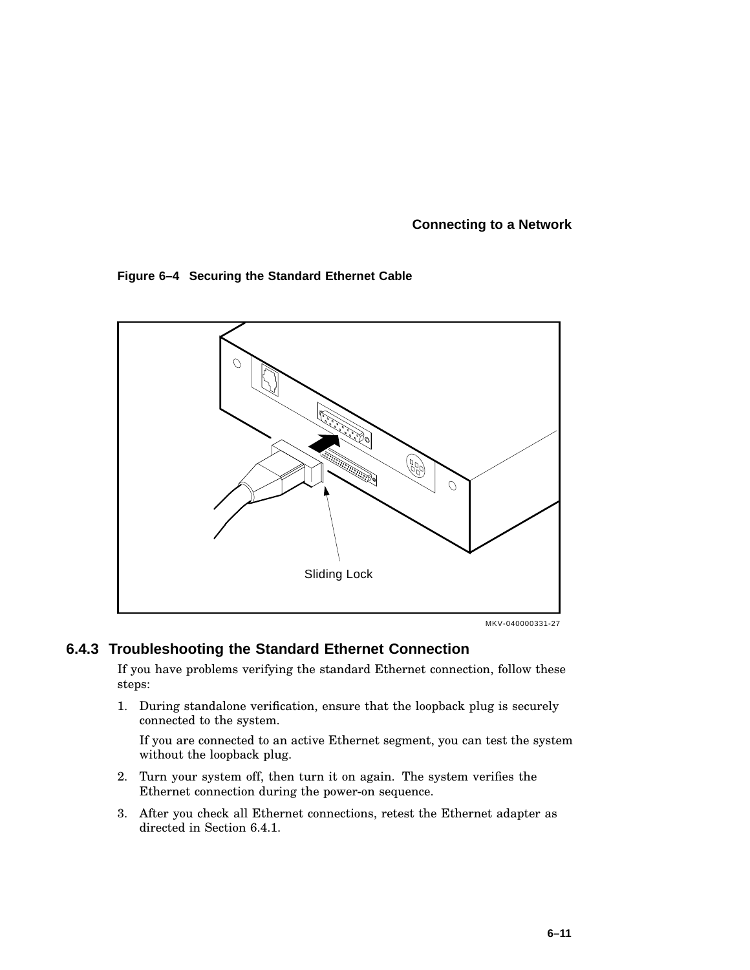#### **Figure 6–4 Securing the Standard Ethernet Cable**



MKV-040000331-27

#### **6.4.3 Troubleshooting the Standard Ethernet Connection**

If you have problems verifying the standard Ethernet connection, follow these steps:

1. During standalone verification, ensure that the loopback plug is securely connected to the system.

If you are connected to an active Ethernet segment, you can test the system without the loopback plug.

- 2. Turn your system off, then turn it on again. The system verifies the Ethernet connection during the power-on sequence.
- 3. After you check all Ethernet connections, retest the Ethernet adapter as directed in Section 6.4.1.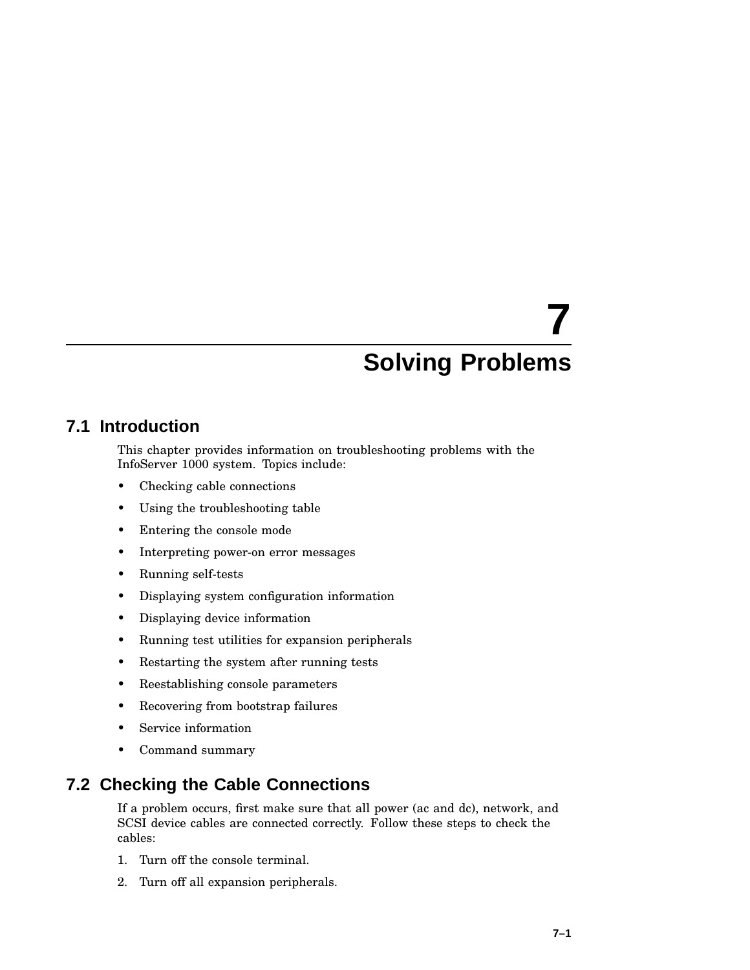## **7.1 Introduction**

This chapter provides information on troubleshooting problems with the InfoServer 1000 system. Topics include:

- Checking cable connections
- Using the troubleshooting table
- Entering the console mode
- Interpreting power-on error messages
- Running self-tests
- Displaying system configuration information
- Displaying device information
- Running test utilities for expansion peripherals
- Restarting the system after running tests
- Reestablishing console parameters
- Recovering from bootstrap failures
- Service information
- Command summary

## **7.2 Checking the Cable Connections**

If a problem occurs, first make sure that all power (ac and dc), network, and SCSI device cables are connected correctly. Follow these steps to check the cables:

- 1. Turn off the console terminal.
- 2. Turn off all expansion peripherals.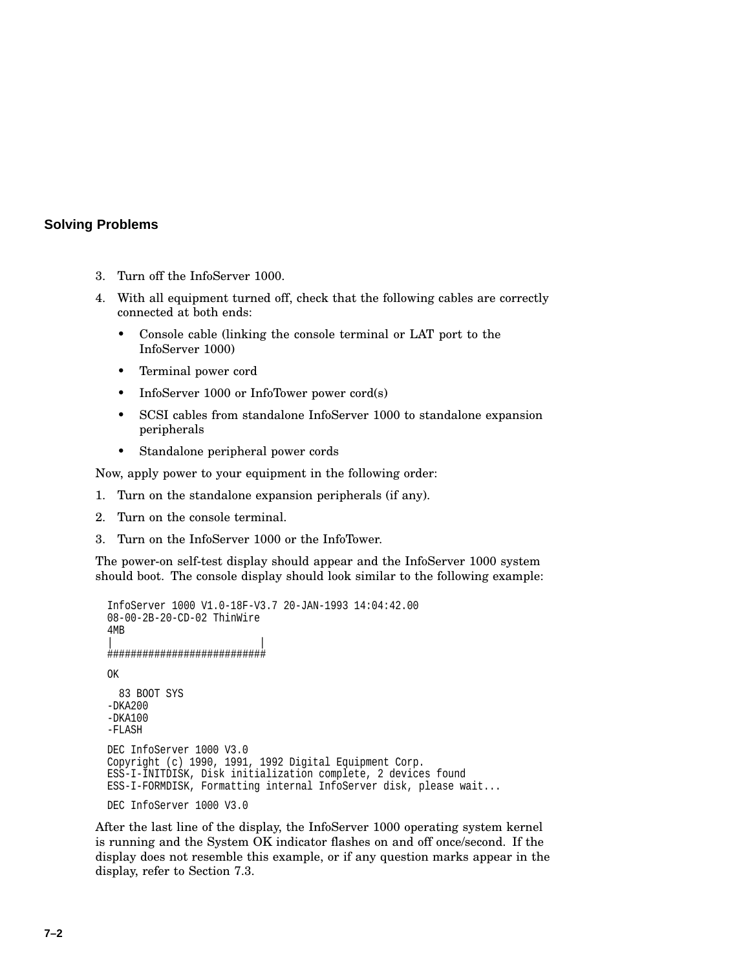- 3. Turn off the InfoServer 1000.
- 4. With all equipment turned off, check that the following cables are correctly connected at both ends:
	- Console cable (linking the console terminal or LAT port to the InfoServer 1000)
	- Terminal power cord
	- InfoServer 1000 or InfoTower power cord(s)
	- SCSI cables from standalone InfoServer 1000 to standalone expansion peripherals
	- Standalone peripheral power cords

Now, apply power to your equipment in the following order:

- 1. Turn on the standalone expansion peripherals (if any).
- 2. Turn on the console terminal.
- 3. Turn on the InfoServer 1000 or the InfoTower.

The power-on self-test display should appear and the InfoServer 1000 system should boot. The console display should look similar to the following example:

```
InfoServer 1000 V1.0-18F-V3.7 20-JAN-1993 14:04:42.00
08-00-2B-20-CD-02 ThinWire
4MB
| |
###########################
OK
 83 BOOT SYS
-DKA200-DKA100
-FLASH
DEC InfoServer 1000 V3.0
Copyright (c) 1990, 1991, 1992 Digital Equipment Corp.
ESS-I-INITDISK, Disk initialization complete, 2 devices found
ESS-I-FORMDISK, Formatting internal InfoServer disk, please wait...
DEC InfoServer 1000 V3.0
```
After the last line of the display, the InfoServer 1000 operating system kernel is running and the System OK indicator flashes on and off once/second. If the display does not resemble this example, or if any question marks appear in the display, refer to Section 7.3.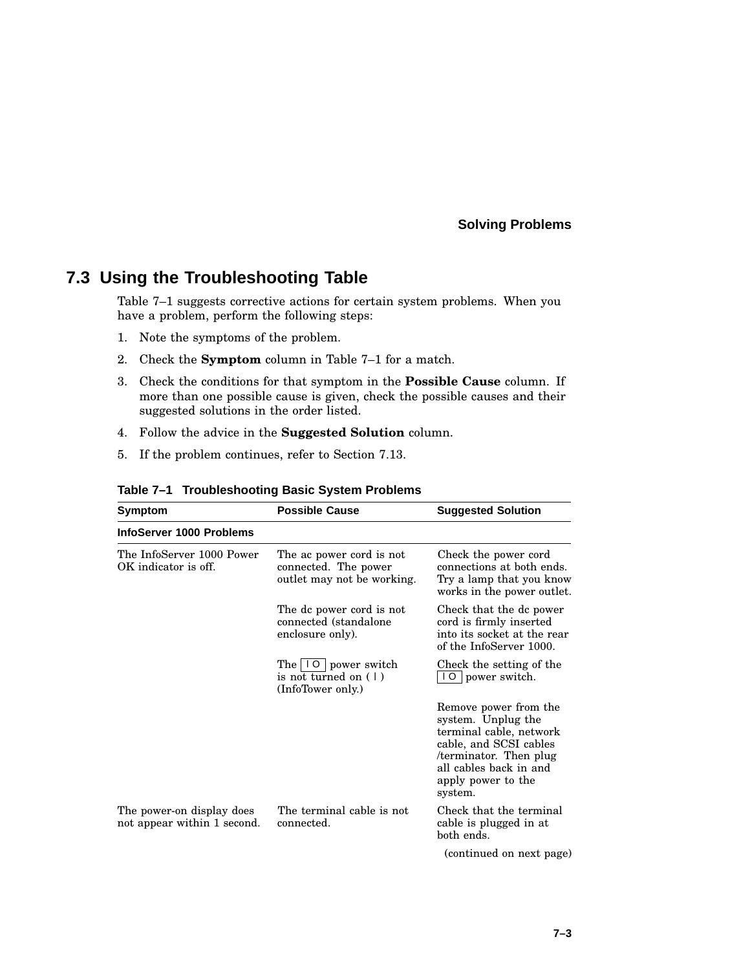## **7.3 Using the Troubleshooting Table**

Table 7–1 suggests corrective actions for certain system problems. When you have a problem, perform the following steps:

- 1. Note the symptoms of the problem.
- 2. Check the **Symptom** column in Table 7–1 for a match.
- 3. Check the conditions for that symptom in the **Possible Cause** column. If more than one possible cause is given, check the possible causes and their suggested solutions in the order listed.
- 4. Follow the advice in the **Suggested Solution** column.
- 5. If the problem continues, refer to Section 7.13.

| Symptom                                                  | <b>Possible Cause</b>                                                          | <b>Suggested Solution</b>                                                                                                                                                            |
|----------------------------------------------------------|--------------------------------------------------------------------------------|--------------------------------------------------------------------------------------------------------------------------------------------------------------------------------------|
| InfoServer 1000 Problems                                 |                                                                                |                                                                                                                                                                                      |
| The InfoServer 1000 Power<br>OK indicator is off.        | The ac power cord is not<br>connected. The power<br>outlet may not be working. | Check the power cord<br>connections at both ends.<br>Try a lamp that you know<br>works in the power outlet.                                                                          |
|                                                          | The dc power cord is not<br>connected (standalone<br>enclosure only).          | Check that the dc power<br>cord is firmly inserted<br>into its socket at the rear<br>of the InfoServer 1000.                                                                         |
|                                                          | The $ 10 $ power switch<br>is not turned on $(1)$<br>(InfoTower only.)         | Check the setting of the<br>10 power switch.                                                                                                                                         |
|                                                          |                                                                                | Remove power from the<br>system. Unplug the<br>terminal cable, network<br>cable, and SCSI cables<br>terminator. Then plug<br>all cables back in and<br>apply power to the<br>system. |
| The power-on display does<br>not appear within 1 second. | The terminal cable is not<br>connected.                                        | Check that the terminal<br>cable is plugged in at<br>both ends.                                                                                                                      |
|                                                          |                                                                                | (continued on next page)                                                                                                                                                             |

**Table 7–1 Troubleshooting Basic System Problems**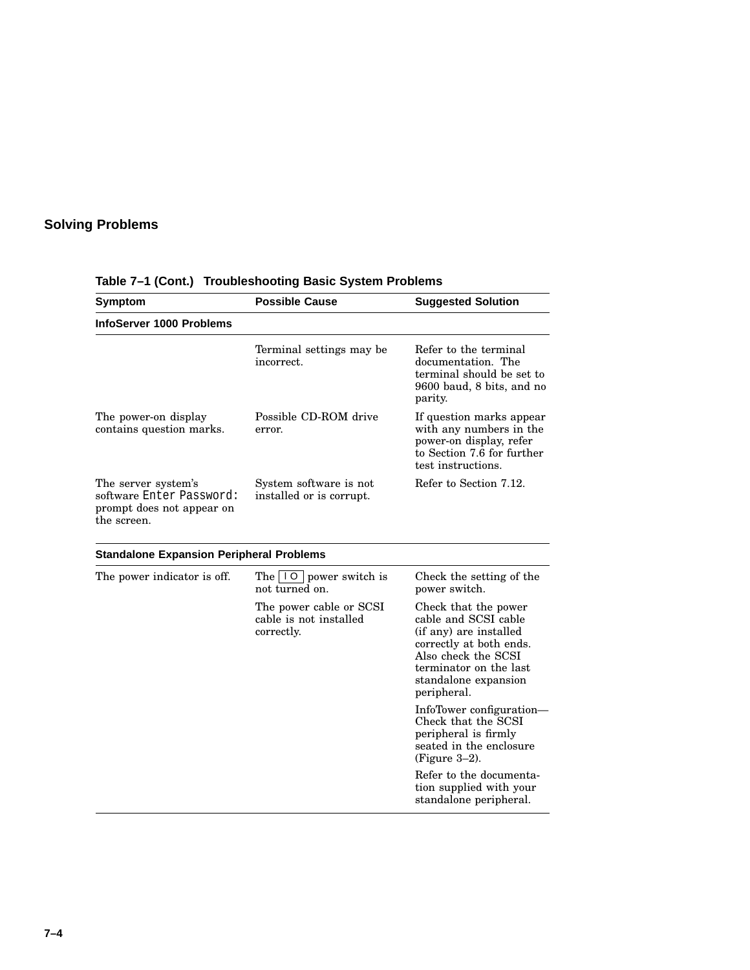| Symptom                                                                                     | <b>Possible Cause</b>                                           | <b>Suggested Solution</b>                                                                                                                                                                 |  |
|---------------------------------------------------------------------------------------------|-----------------------------------------------------------------|-------------------------------------------------------------------------------------------------------------------------------------------------------------------------------------------|--|
| <b>InfoServer 1000 Problems</b>                                                             |                                                                 |                                                                                                                                                                                           |  |
|                                                                                             | Terminal settings may be<br>incorrect.                          | Refer to the terminal<br>documentation. The<br>terminal should be set to<br>9600 baud, 8 bits, and no<br>parity.                                                                          |  |
| The power-on display<br>contains question marks.                                            | Possible CD-ROM drive<br>error.                                 | If question marks appear<br>with any numbers in the<br>power-on display, refer<br>to Section 7.6 for further<br>test instructions.                                                        |  |
| The server system's<br>software Enter Password:<br>prompt does not appear on<br>the screen. | System software is not<br>installed or is corrupt.              | Refer to Section 7.12.                                                                                                                                                                    |  |
| <b>Standalone Expansion Peripheral Problems</b>                                             |                                                                 |                                                                                                                                                                                           |  |
| The power indicator is off.                                                                 | The $\vert \vert 0 \vert$ power switch is<br>not turned on.     | Check the setting of the<br>power switch.                                                                                                                                                 |  |
|                                                                                             | The power cable or SCSI<br>cable is not installed<br>correctly. | Check that the power<br>cable and SCSI cable<br>(if any) are installed<br>correctly at both ends.<br>Also check the SCSI<br>terminator on the last<br>standalone expansion<br>peripheral. |  |
|                                                                                             |                                                                 | InfoTower configuration—<br>Check that the SCSI<br>peripheral is firmly<br>seated in the enclosure<br>$(Figure 3-2)$ .                                                                    |  |
|                                                                                             |                                                                 | Refer to the documenta-<br>tion supplied with your<br>standalone peripheral.                                                                                                              |  |

**Table 7–1 (Cont.) Troubleshooting Basic System Problems**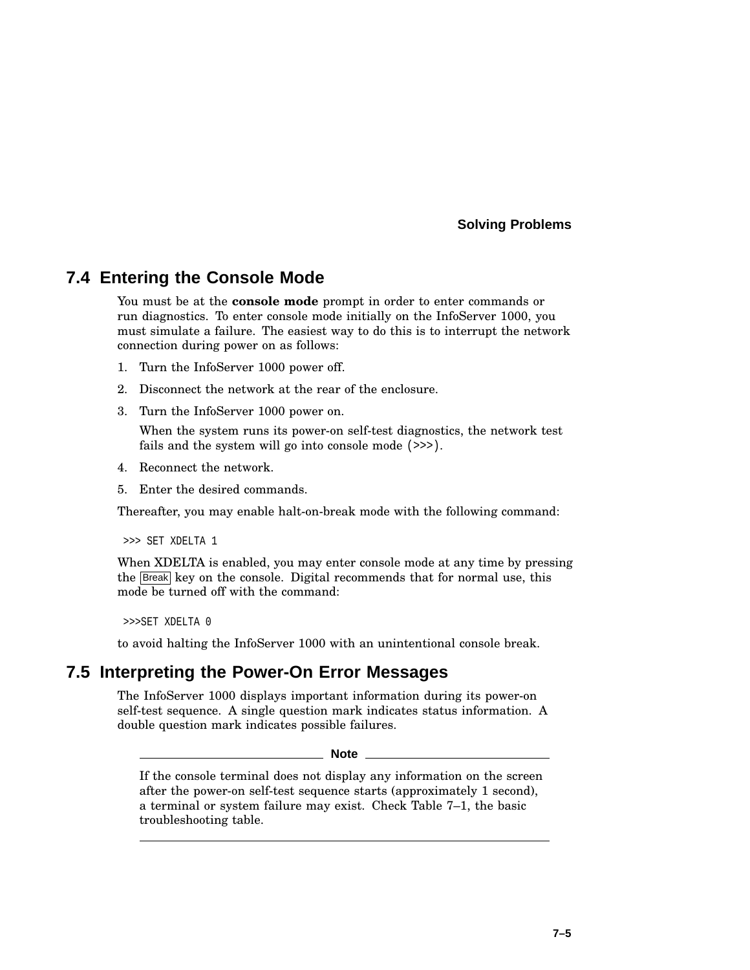## **7.4 Entering the Console Mode**

You must be at the **console mode** prompt in order to enter commands or run diagnostics. To enter console mode initially on the InfoServer 1000, you must simulate a failure. The easiest way to do this is to interrupt the network connection during power on as follows:

- 1. Turn the InfoServer 1000 power off.
- 2. Disconnect the network at the rear of the enclosure.
- 3. Turn the InfoServer 1000 power on.

When the system runs its power-on self-test diagnostics, the network test fails and the system will go into console mode (>>>).

- 4. Reconnect the network.
- 5. Enter the desired commands.

Thereafter, you may enable halt-on-break mode with the following command:

>>> SET XDELTA 1

When XDELTA is enabled, you may enter console mode at any time by pressing the Break key on the console. Digital recommends that for normal use, this mode be turned off with the command:

>>>SET XDELTA 0

to avoid halting the InfoServer 1000 with an unintentional console break.

#### **7.5 Interpreting the Power-On Error Messages**

The InfoServer 1000 displays important information during its power-on self-test sequence. A single question mark indicates status information. A double question mark indicates possible failures.

**Note**

If the console terminal does not display any information on the screen after the power-on self-test sequence starts (approximately 1 second), a terminal or system failure may exist. Check Table 7–1, the basic troubleshooting table.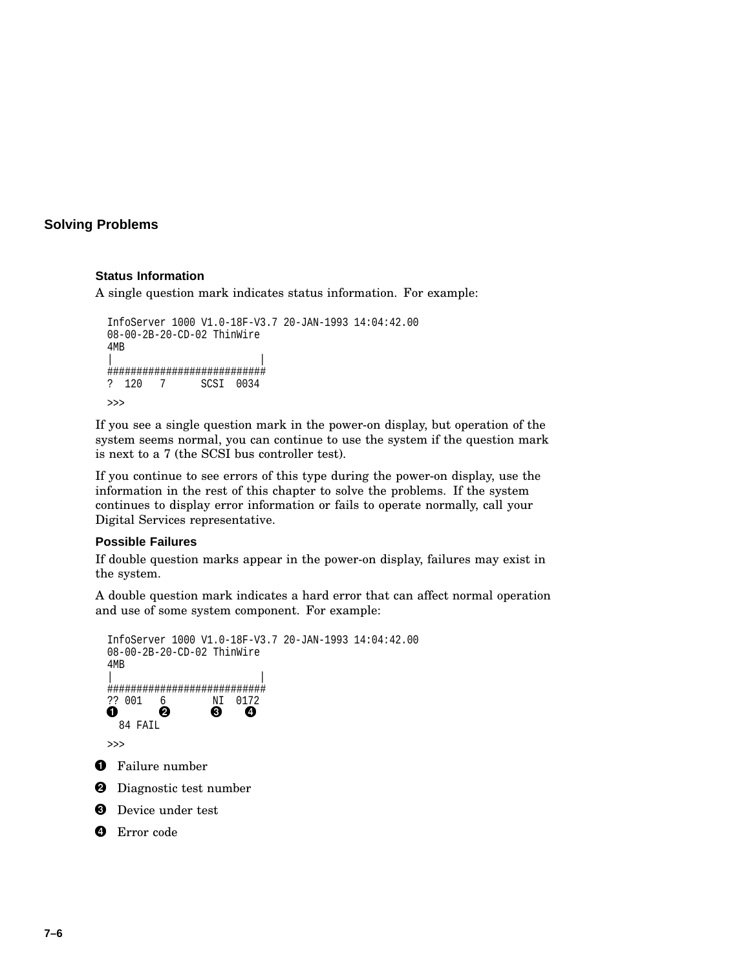#### **Status Information**

A single question mark indicates status information. For example:

```
InfoServer 1000 V1.0-18F-V3.7 20-JAN-1993 14:04:42.00
08-00-2B-20-CD-02 ThinWire
4MB
| |
###########################
? 120 7 SCSI 0034
>>>
```
If you see a single question mark in the power-on display, but operation of the system seems normal, you can continue to use the system if the question mark is next to a 7 (the SCSI bus controller test).

If you continue to see errors of this type during the power-on display, use the information in the rest of this chapter to solve the problems. If the system continues to display error information or fails to operate normally, call your Digital Services representative.

#### **Possible Failures**

If double question marks appear in the power-on display, failures may exist in the system.

A double question mark indicates a hard error that can affect normal operation and use of some system component. For example:

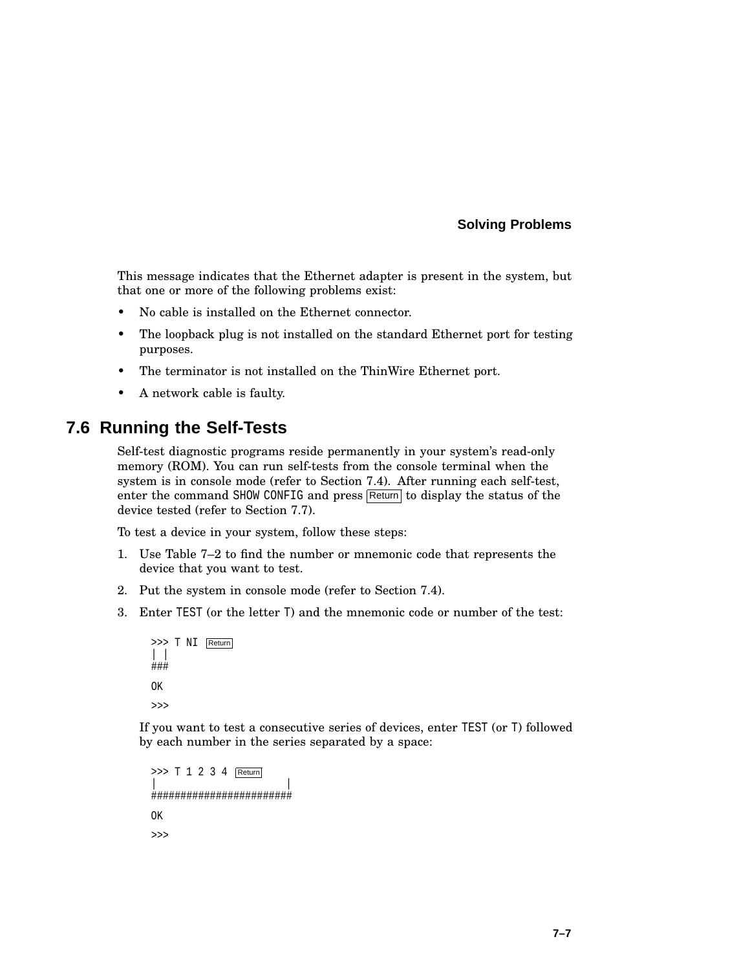This message indicates that the Ethernet adapter is present in the system, but that one or more of the following problems exist:

- No cable is installed on the Ethernet connector.
- The loopback plug is not installed on the standard Ethernet port for testing purposes.
- The terminator is not installed on the ThinWire Ethernet port.
- A network cable is faulty.

## **7.6 Running the Self-Tests**

Self-test diagnostic programs reside permanently in your system's read-only memory (ROM). You can run self-tests from the console terminal when the system is in console mode (refer to Section 7.4). After running each self-test, enter the command SHOW CONFIG and press Return to display the status of the device tested (refer to Section 7.7).

To test a device in your system, follow these steps:

- 1. Use Table 7–2 to find the number or mnemonic code that represents the device that you want to test.
- 2. Put the system in console mode (refer to Section 7.4).
- 3. Enter TEST (or the letter T) and the mnemonic code or number of the test:

```
>>> T NI Return
| |
###
OK
>>>
```
If you want to test a consecutive series of devices, enter TEST (or T) followed by each number in the series separated by a space:

```
>>> T 1 2 3 4 Return
| |
########################
OK
>>>
```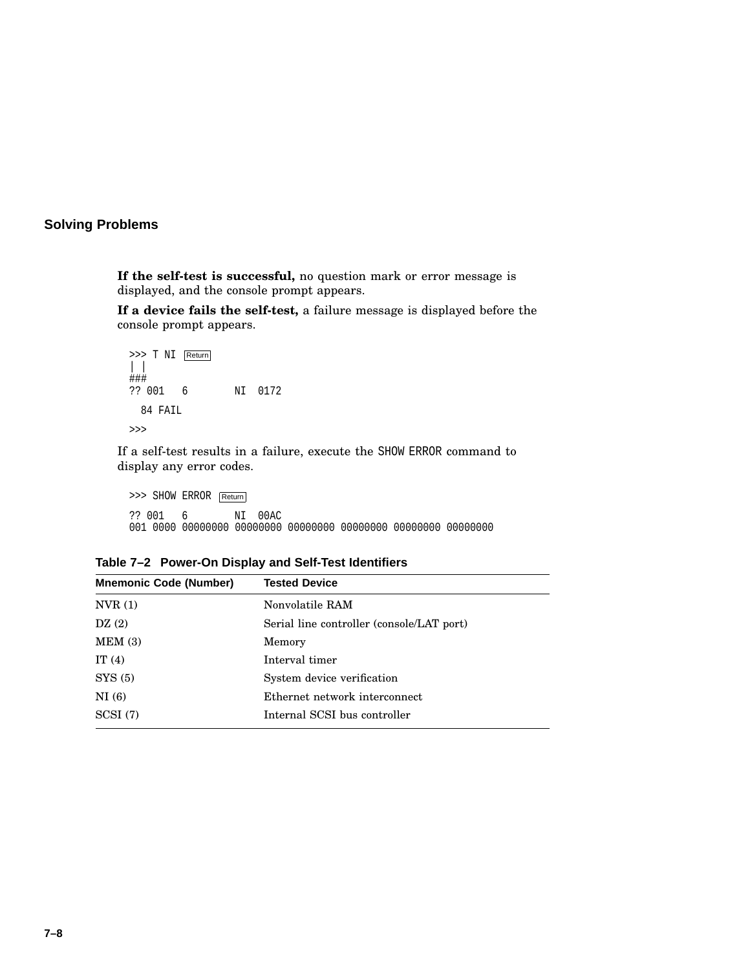**If the self-test is successful,** no question mark or error message is displayed, and the console prompt appears.

**If a device fails the self-test,** a failure message is displayed before the console prompt appears.

>>> T NI Return | | ### ?? 001 6 NI 0172 84 FAIL >>>

If a self-test results in a failure, execute the SHOW ERROR command to display any error codes.

>>> SHOW ERROR Return ?? 001 6 NI 00AC 001 0000 00000000 00000000 00000000 00000000 00000000 00000000

| Table 7-2 Power-On Display and Self-Test Identifiers |  |
|------------------------------------------------------|--|
|                                                      |  |

| <b>Tested Device</b>                      |
|-------------------------------------------|
| Nonvolatile RAM                           |
| Serial line controller (console/LAT port) |
| Memory                                    |
| Interval timer                            |
| System device verification                |
| Ethernet network interconnect             |
| Internal SCSI bus controller              |
|                                           |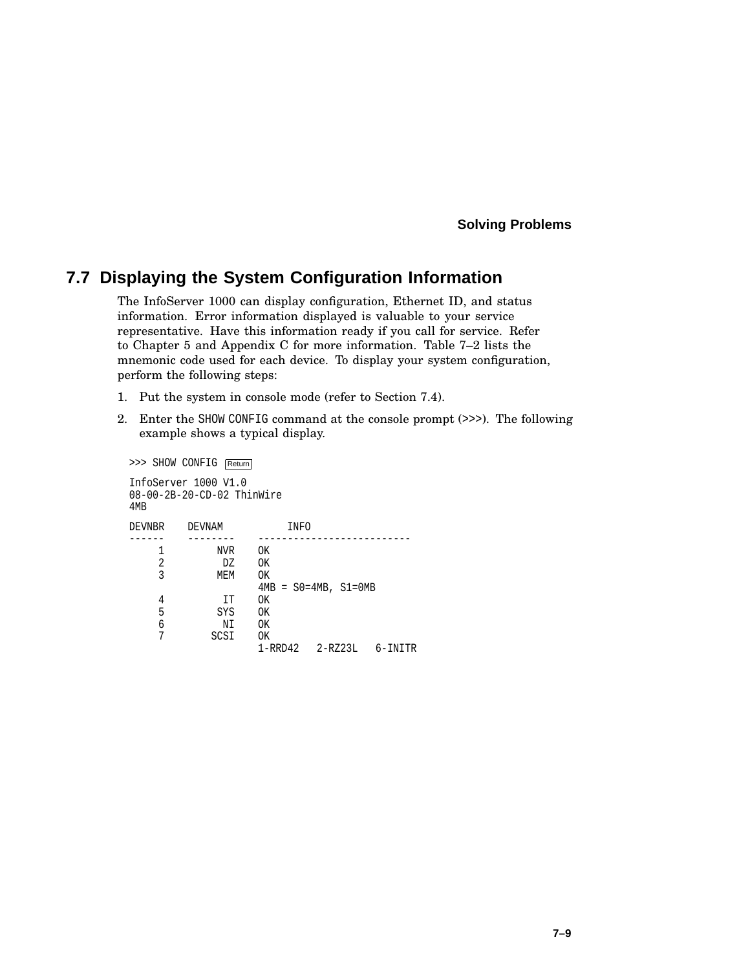## **7.7 Displaying the System Configuration Information**

The InfoServer 1000 can display configuration, Ethernet ID, and status information. Error information displayed is valuable to your service representative. Have this information ready if you call for service. Refer to Chapter 5 and Appendix C for more information. Table 7–2 lists the mnemonic code used for each device. To display your system configuration, perform the following steps:

- 1. Put the system in console mode (refer to Section 7.4).
- 2. Enter the SHOW CONFIG command at the console prompt (>>>). The following example shows a typical display.

|        | >>> SHOW CONFIG          | Return                        |                      |      |                               |         |
|--------|--------------------------|-------------------------------|----------------------|------|-------------------------------|---------|
| 4MB    | InfoServer 1000 V1.0     | $08-00-2B-20$ -CD-02 ThinWire |                      |      |                               |         |
| DEVNBR |                          | DEVNAM                        |                      | INFO |                               |         |
|        | 1<br>$\overline{2}$<br>3 | NVR<br>DZ<br>MEM              | OK<br>0K<br>0K       |      | $4MB = SO = 4MB$ , $S1 = OMB$ |         |
|        | 4<br>5<br>6<br>7         | IT<br>SYS<br>ΝI<br>SCSI       | OK<br>0K<br>0K<br>OK |      |                               |         |
|        |                          |                               |                      |      |                               | 6-INITR |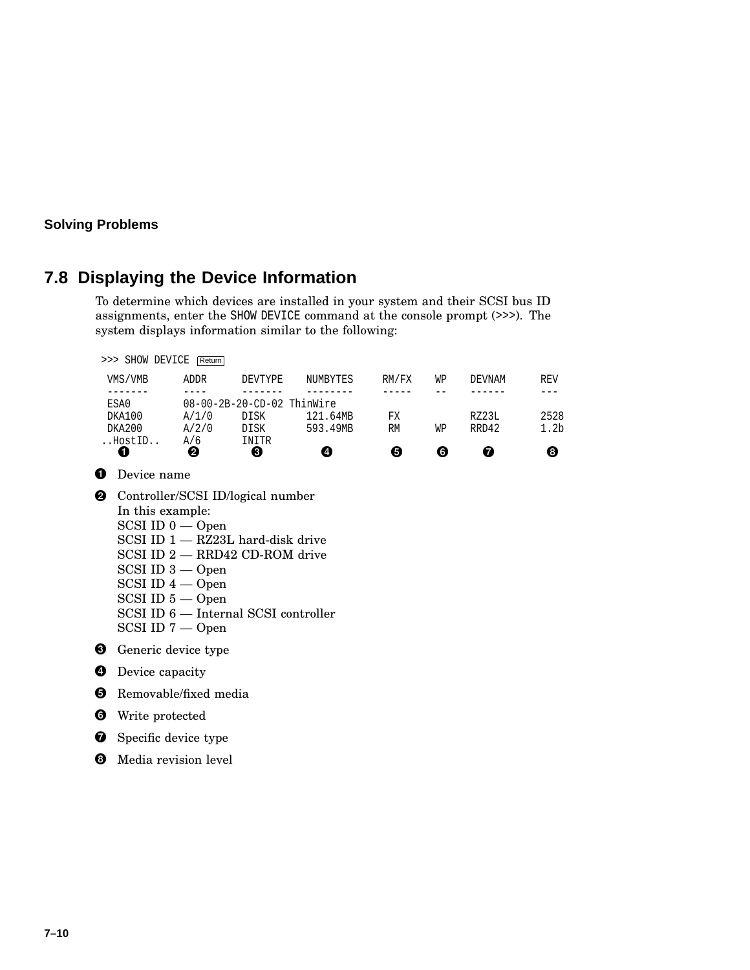## **7.8 Displaying the Device Information**

To determine which devices are installed in your system and their SCSI bus ID assignments, enter the SHOW DEVICE command at the console prompt (>>>). The system displays information similar to the following:

|   | >>> SHOW DEVICE Return                                                                                                                   |                                         |                                                                                                                                                      |                           |                        |                |                     |                                        |  |
|---|------------------------------------------------------------------------------------------------------------------------------------------|-----------------------------------------|------------------------------------------------------------------------------------------------------------------------------------------------------|---------------------------|------------------------|----------------|---------------------|----------------------------------------|--|
|   | VMS/VMB                                                                                                                                  | <b>ADDR</b>                             | DEVTYPE                                                                                                                                              | NUMBYTES                  | RM/FX                  | WP             | DEVNAM              | <b>REV</b>                             |  |
|   | ------<br>ESA0<br>DKA100<br>DKA200<br>HostID<br>0                                                                                        | $- - - -$<br>A/1/0<br>A/2/0<br>A/6<br>0 | 08-00-2B-20-CD-02 ThinWire<br>DISK<br>DISK<br>INITR<br>❸                                                                                             | 121.64MB<br>593.49MB<br>❹ | -----<br>FХ<br>RM<br>❺ | $-$<br>WP<br>❻ | RZ23L<br>RRD42<br>❼ | $---$<br>2528<br>1.2 <sub>b</sub><br>❸ |  |
| O | Device name                                                                                                                              |                                         |                                                                                                                                                      |                           |                        |                |                     |                                        |  |
| ❷ | In this example:<br>$SCSI$ ID $0$ — Open<br>$SCSI$ ID $3 - Open$<br>$SCSI$ ID $4 - Open$<br>$SCSI$ ID $5 -$ Open<br>$SCSI$ ID $7 - Open$ |                                         | Controller/SCSI ID/logical number<br>$SCSI$ ID $1 - RZ23L$ hard-disk drive<br>SCSI ID 2 - RRD42 CD-ROM drive<br>SCSI ID 6 — Internal SCSI controller |                           |                        |                |                     |                                        |  |
| ❸ | Generic device type                                                                                                                      |                                         |                                                                                                                                                      |                           |                        |                |                     |                                        |  |
| Ø | Device capacity                                                                                                                          |                                         |                                                                                                                                                      |                           |                        |                |                     |                                        |  |
| 6 | Removable/fixed media                                                                                                                    |                                         |                                                                                                                                                      |                           |                        |                |                     |                                        |  |
| ❺ | Write protected                                                                                                                          |                                         |                                                                                                                                                      |                           |                        |                |                     |                                        |  |
| ❼ | Specific device type                                                                                                                     |                                         |                                                                                                                                                      |                           |                        |                |                     |                                        |  |
| 0 | Media revision level                                                                                                                     |                                         |                                                                                                                                                      |                           |                        |                |                     |                                        |  |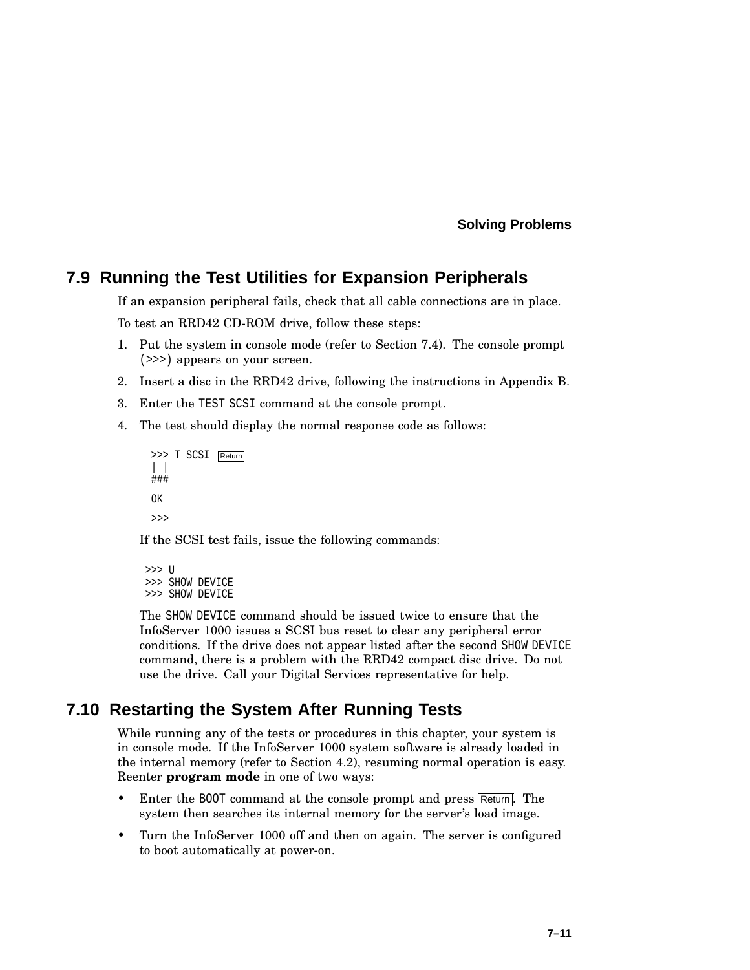### **7.9 Running the Test Utilities for Expansion Peripherals**

If an expansion peripheral fails, check that all cable connections are in place.

To test an RRD42 CD-ROM drive, follow these steps:

- 1. Put the system in console mode (refer to Section 7.4). The console prompt (>>>) appears on your screen.
- 2. Insert a disc in the RRD42 drive, following the instructions in Appendix B.
- 3. Enter the TEST SCSI command at the console prompt.
- 4. The test should display the normal response code as follows:
	- >>> T SCSI Return | | ### OK  $\rightarrow$

If the SCSI test fails, issue the following commands:

```
>>> U
>>> SHOW DEVICE
>>> SHOW DEVICE
```
The SHOW DEVICE command should be issued twice to ensure that the InfoServer 1000 issues a SCSI bus reset to clear any peripheral error conditions. If the drive does not appear listed after the second SHOW DEVICE command, there is a problem with the RRD42 compact disc drive. Do not use the drive. Call your Digital Services representative for help.

## **7.10 Restarting the System After Running Tests**

While running any of the tests or procedures in this chapter, your system is in console mode. If the InfoServer 1000 system software is already loaded in the internal memory (refer to Section 4.2), resuming normal operation is easy. Reenter **program mode** in one of two ways:

- Enter the BOOT command at the console prompt and press Return. The system then searches its internal memory for the server's load image.
- Turn the InfoServer 1000 off and then on again. The server is configured to boot automatically at power-on.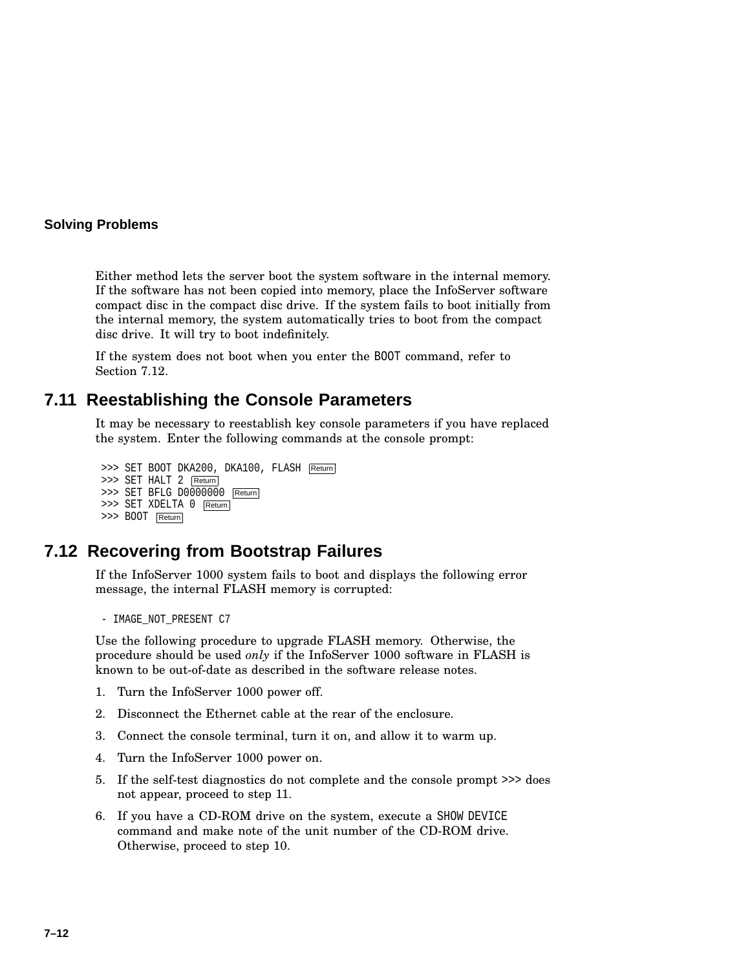Either method lets the server boot the system software in the internal memory. If the software has not been copied into memory, place the InfoServer software compact disc in the compact disc drive. If the system fails to boot initially from the internal memory, the system automatically tries to boot from the compact disc drive. It will try to boot indefinitely.

If the system does not boot when you enter the BOOT command, refer to Section 7.12.

### **7.11 Reestablishing the Console Parameters**

It may be necessary to reestablish key console parameters if you have replaced the system. Enter the following commands at the console prompt:

```
>>> SET BOOT DKA200, DKA100, FLASH Return
>>> SET HALT 2 Return
>>> SET BFLG D0000000 Return
>>> SET XDELTA 0 Return
>>> BOOT Return
```
## **7.12 Recovering from Bootstrap Failures**

If the InfoServer 1000 system fails to boot and displays the following error message, the internal FLASH memory is corrupted:

```
- IMAGE_NOT_PRESENT C7
```
Use the following procedure to upgrade FLASH memory. Otherwise, the procedure should be used *only* if the InfoServer 1000 software in FLASH is known to be out-of-date as described in the software release notes.

- 1. Turn the InfoServer 1000 power off.
- 2. Disconnect the Ethernet cable at the rear of the enclosure.
- 3. Connect the console terminal, turn it on, and allow it to warm up.
- 4. Turn the InfoServer 1000 power on.
- 5. If the self-test diagnostics do not complete and the console prompt >>> does not appear, proceed to step 11.
- 6. If you have a CD-ROM drive on the system, execute a SHOW DEVICE command and make note of the unit number of the CD-ROM drive. Otherwise, proceed to step 10.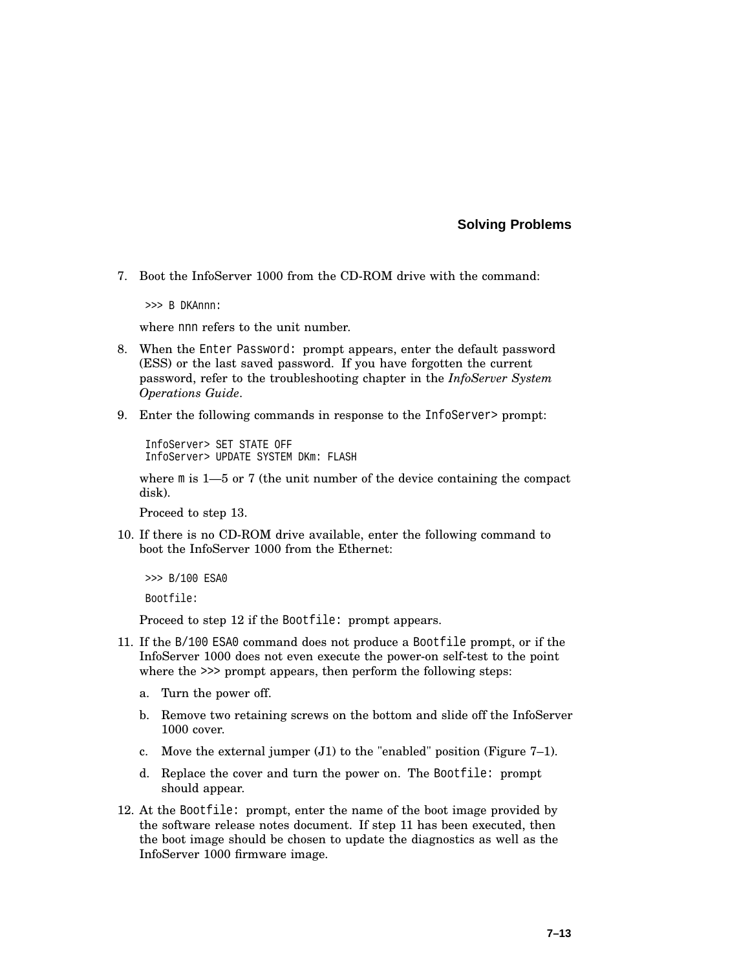7. Boot the InfoServer 1000 from the CD-ROM drive with the command:

>>> B DKAnnn:

where nnn refers to the unit number.

- 8. When the Enter Password: prompt appears, enter the default password (ESS) or the last saved password. If you have forgotten the current password, refer to the troubleshooting chapter in the *InfoServer System Operations Guide*.
- 9. Enter the following commands in response to the InfoServer> prompt:

InfoServer> SET STATE OFF InfoServer> UPDATE SYSTEM DKm: FLASH

where  $m$  is 1—5 or 7 (the unit number of the device containing the compact disk).

Proceed to step 13.

10. If there is no CD-ROM drive available, enter the following command to boot the InfoServer 1000 from the Ethernet:

```
>>> B/100 ESA0
Bootfile:
```
Proceed to step 12 if the Bootfile: prompt appears.

- 11. If the B/100 ESA0 command does not produce a Bootfile prompt, or if the InfoServer 1000 does not even execute the power-on self-test to the point where the  $\gg$  prompt appears, then perform the following steps:
	- a. Turn the power off.
	- b. Remove two retaining screws on the bottom and slide off the InfoServer 1000 cover.
	- c. Move the external jumper (J1) to the "enabled" position (Figure 7–1).
	- d. Replace the cover and turn the power on. The Bootfile: prompt should appear.
- 12. At the Bootfile: prompt, enter the name of the boot image provided by the software release notes document. If step 11 has been executed, then the boot image should be chosen to update the diagnostics as well as the InfoServer 1000 firmware image.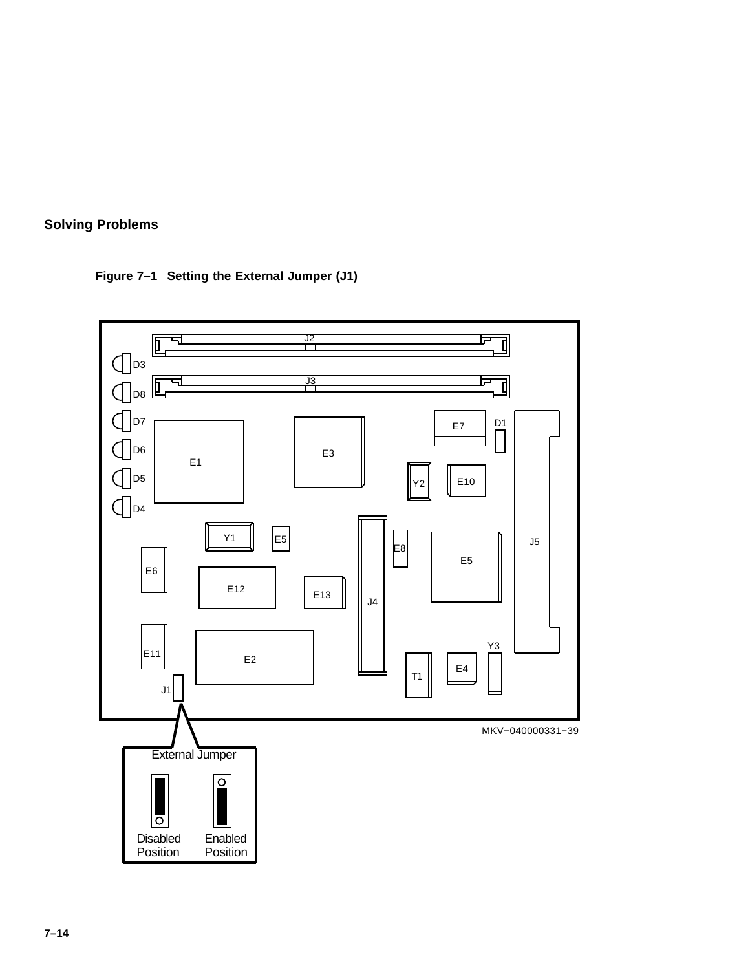

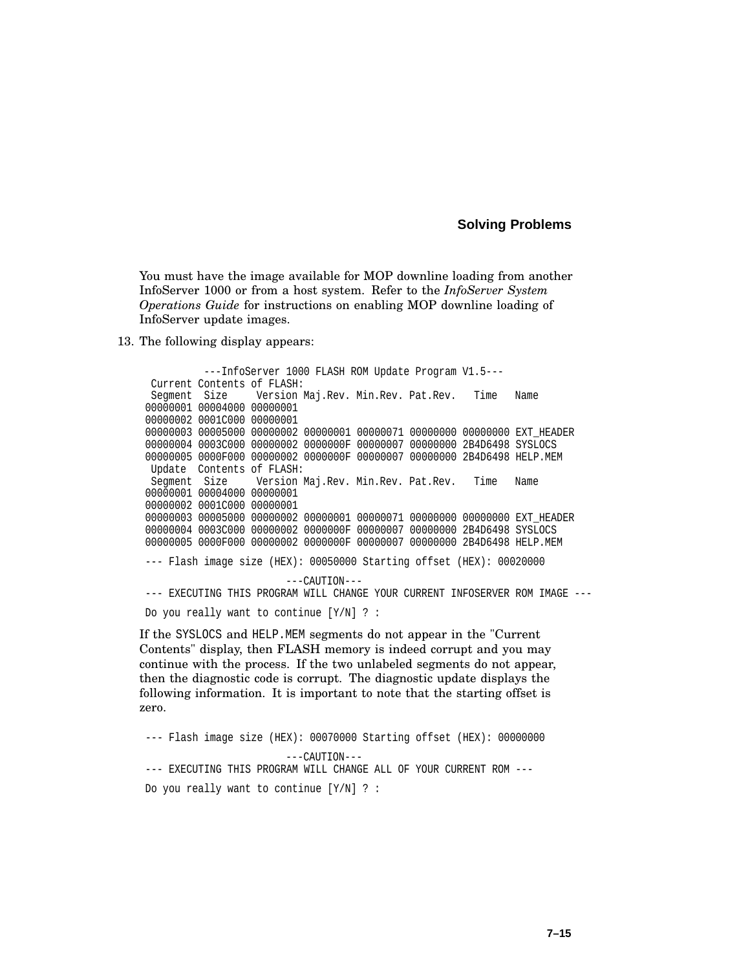You must have the image available for MOP downline loading from another InfoServer 1000 or from a host system. Refer to the *InfoServer System Operations Guide* for instructions on enabling MOP downline loading of InfoServer update images.

13. The following display appears:

---InfoServer 1000 FLASH ROM Update Program V1.5--- Current Contents of FLASH: Segment Size Version Maj.Rev. Min.Rev. Pat.Rev. Time Name 00000001 00004000 00000001 00000002 0001C000 00000001 00000003 00005000 00000002 00000001 00000071 00000000 00000000 EXT HEADER 00000004 0003C000 00000002 0000000F 00000007 00000000 2B4D6498 SYSLOCS 00000005 0000F000 00000002 0000000F 00000007 00000000 2B4D6498 HELP.MEM Update Contents of FLASH: Segment Size Version Maj.Rev. Min.Rev. Pat.Rev. Time Name 00000001 00004000 00000001 00000002 0001C000 00000001 00000003 00005000 00000002 00000001 00000071 00000000 00000000 EXT HEADER 00000004 0003C000 00000002 0000000F 00000007 00000000 2B4D6498 SYSLOCS 00000005 0000F000 00000002 0000000F 00000007 00000000 2B4D6498 HELP.MEM --- Flash image size (HEX): 00050000 Starting offset (HEX): 00020000 ---CAUTION--- --- EXECUTING THIS PROGRAM WILL CHANGE YOUR CURRENT INFOSERVER ROM IMAGE --- Do you really want to continue [Y/N] ? :

If the SYSLOCS and HELP.MEM segments do not appear in the "Current Contents" display, then FLASH memory is indeed corrupt and you may continue with the process. If the two unlabeled segments do not appear, then the diagnostic code is corrupt. The diagnostic update displays the following information. It is important to note that the starting offset is zero.

--- Flash image size (HEX): 00070000 Starting offset (HEX): 00000000 ---CAUTION--- --- EXECUTING THIS PROGRAM WILL CHANGE ALL OF YOUR CURRENT ROM --- Do you really want to continue [Y/N] ? :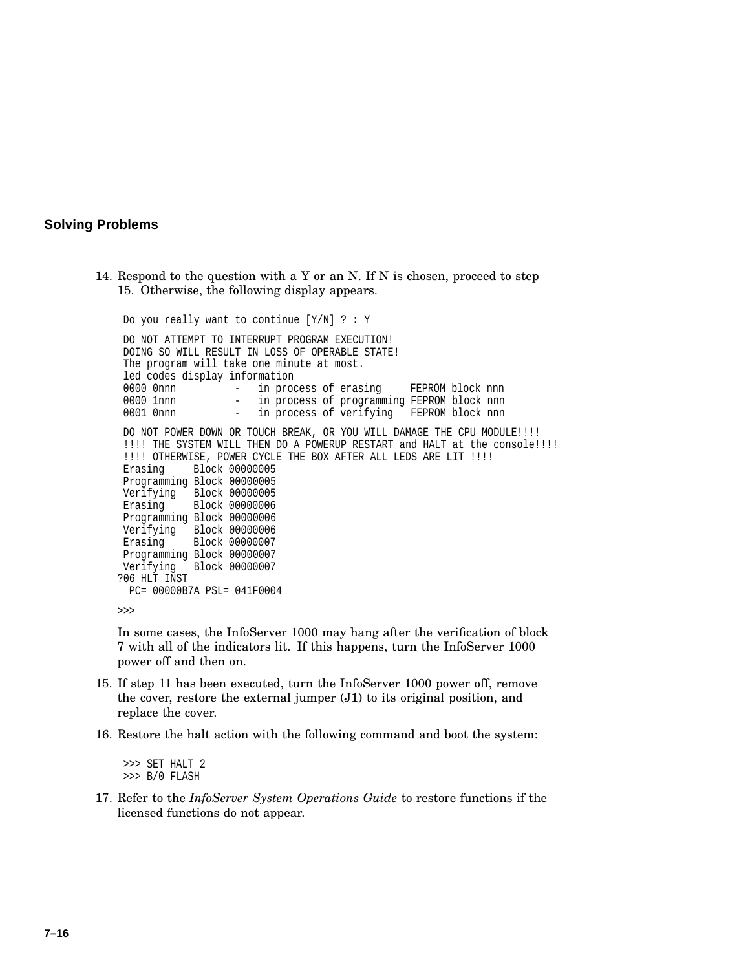14. Respond to the question with a Y or an N. If N is chosen, proceed to step 15. Otherwise, the following display appears.

```
Do you really want to continue [Y/N] ? : Y
DO NOT ATTEMPT TO INTERRUPT PROGRAM EXECUTION!
DOING SO WILL RESULT IN LOSS OF OPERABLE STATE!
The program will take one minute at most.
led codes display information<br>0000 0nnn - in proc
                   - in process of erasing FEPROM block nnn
0000 1nnn - in process of programming FEPROM block nnn
0001 0nnn - in process of verifying FEPROM block nnn
DO NOT POWER DOWN OR TOUCH BREAK, OR YOU WILL DAMAGE THE CPU MODULE!!!!
!!!! THE SYSTEM WILL THEN DO A POWERUP RESTART and HALT at the console!!!!
!!!! OTHERWISE, POWER CYCLE THE BOX AFTER ALL LEDS ARE LIT !!!!
Erasing Block 00000005
Programming Block 00000005
Verifying Block 00000005
Erasing Block 00000006
Programming Block 00000006
Verifying Block 00000006
Erasing Block 00000007
Programming Block 00000007
Verifying Block 00000007
?06 HLT INST
 PC= 00000B7A PSL= 041F0004
```
>>>

In some cases, the InfoServer 1000 may hang after the verification of block 7 with all of the indicators lit. If this happens, turn the InfoServer 1000 power off and then on.

- 15. If step 11 has been executed, turn the InfoServer 1000 power off, remove the cover, restore the external jumper (J1) to its original position, and replace the cover.
- 16. Restore the halt action with the following command and boot the system:

>>> SET HALT 2 >>> B/0 FLASH

17. Refer to the *InfoServer System Operations Guide* to restore functions if the licensed functions do not appear.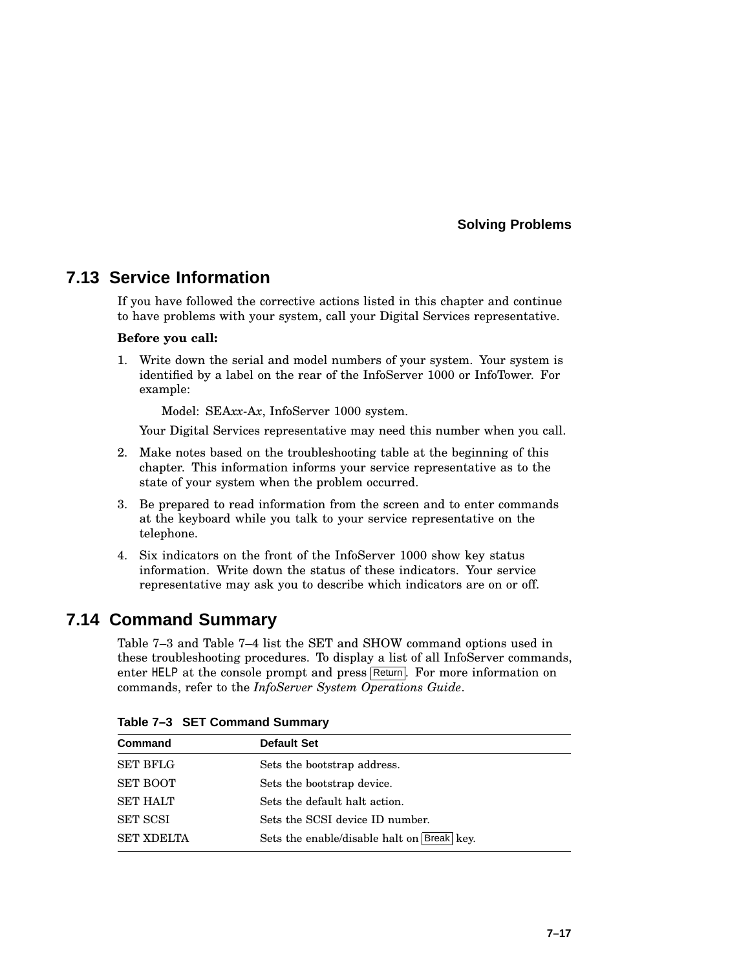## **7.13 Service Information**

If you have followed the corrective actions listed in this chapter and continue to have problems with your system, call your Digital Services representative.

#### **Before you call:**

1. Write down the serial and model numbers of your system. Your system is identified by a label on the rear of the InfoServer 1000 or InfoTower. For example:

Model: SEA*xx*-A*x*, InfoServer 1000 system.

Your Digital Services representative may need this number when you call.

- 2. Make notes based on the troubleshooting table at the beginning of this chapter. This information informs your service representative as to the state of your system when the problem occurred.
- 3. Be prepared to read information from the screen and to enter commands at the keyboard while you talk to your service representative on the telephone.
- 4. Six indicators on the front of the InfoServer 1000 show key status information. Write down the status of these indicators. Your service representative may ask you to describe which indicators are on or off.

## **7.14 Command Summary**

Table 7–3 and Table 7–4 list the SET and SHOW command options used in these troubleshooting procedures. To display a list of all InfoServer commands, enter HELP at the console prompt and press Return. For more information on commands, refer to the *InfoServer System Operations Guide*.

| Command           | <b>Default Set</b>                         |
|-------------------|--------------------------------------------|
| <b>SET BFLG</b>   | Sets the bootstrap address.                |
| <b>SET BOOT</b>   | Sets the bootstrap device.                 |
| <b>SET HALT</b>   | Sets the default halt action.              |
| <b>SET SCSI</b>   | Sets the SCSI device ID number.            |
| <b>SET XDELTA</b> | Sets the enable/disable halt on Break key. |

**Table 7–3 SET Command Summary**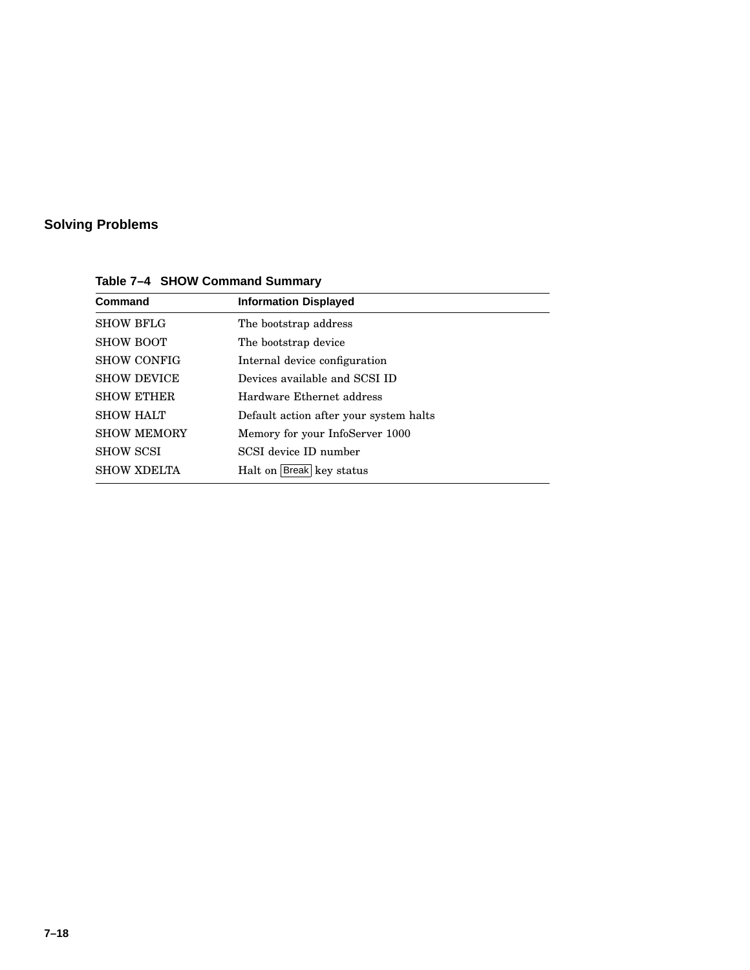| <b>Command</b>     | <b>Information Displayed</b>           |  |
|--------------------|----------------------------------------|--|
| <b>SHOW BFLG</b>   | The bootstrap address                  |  |
| <b>SHOW BOOT</b>   | The bootstrap device                   |  |
| <b>SHOW CONFIG</b> | Internal device configuration          |  |
| <b>SHOW DEVICE</b> | Devices available and SCSI ID          |  |
| <b>SHOW ETHER</b>  | Hardware Ethernet address              |  |
| <b>SHOW HALT</b>   | Default action after your system halts |  |
| <b>SHOW MEMORY</b> | Memory for your InfoServer 1000        |  |
| <b>SHOW SCSI</b>   | SCSI device ID number                  |  |
| <b>SHOW XDELTA</b> | Halt on Break key status               |  |
|                    |                                        |  |

**Table 7–4 SHOW Command Summary**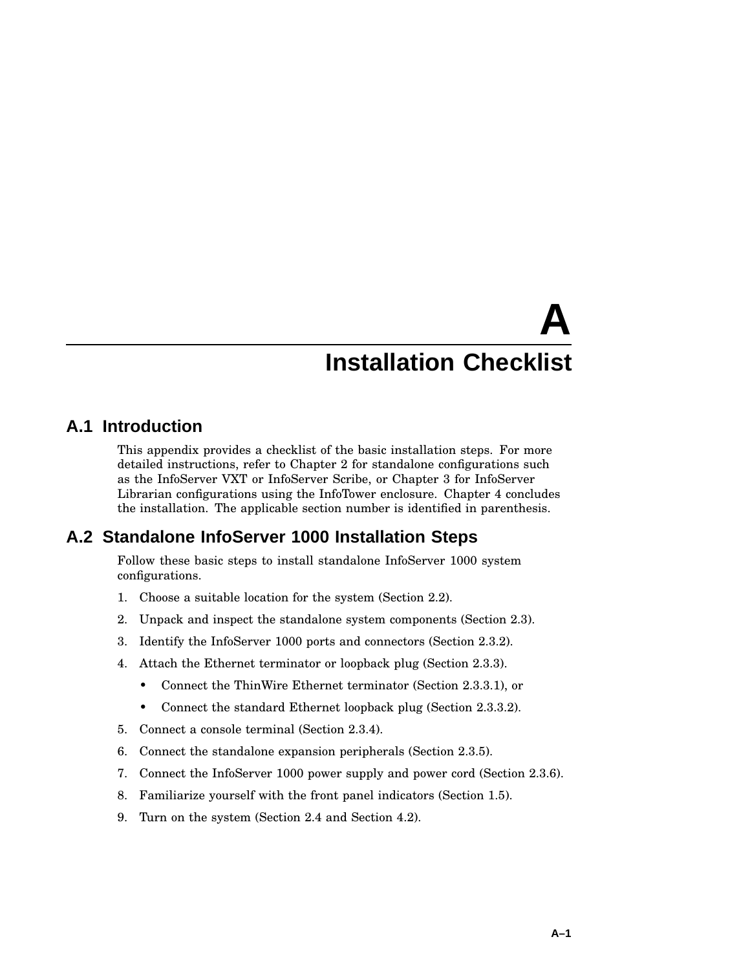# **A Installation Checklist**

## **A.1 Introduction**

This appendix provides a checklist of the basic installation steps. For more detailed instructions, refer to Chapter 2 for standalone configurations such as the InfoServer VXT or InfoServer Scribe, or Chapter 3 for InfoServer Librarian configurations using the InfoTower enclosure. Chapter 4 concludes the installation. The applicable section number is identified in parenthesis.

## **A.2 Standalone InfoServer 1000 Installation Steps**

Follow these basic steps to install standalone InfoServer 1000 system configurations.

- 1. Choose a suitable location for the system (Section 2.2).
- 2. Unpack and inspect the standalone system components (Section 2.3).
- 3. Identify the InfoServer 1000 ports and connectors (Section 2.3.2).
- 4. Attach the Ethernet terminator or loopback plug (Section 2.3.3).
	- Connect the ThinWire Ethernet terminator (Section 2.3.3.1), or
	- Connect the standard Ethernet loopback plug (Section 2.3.3.2).
- 5. Connect a console terminal (Section 2.3.4).
- 6. Connect the standalone expansion peripherals (Section 2.3.5).
- 7. Connect the InfoServer 1000 power supply and power cord (Section 2.3.6).
- 8. Familiarize yourself with the front panel indicators (Section 1.5).
- 9. Turn on the system (Section 2.4 and Section 4.2).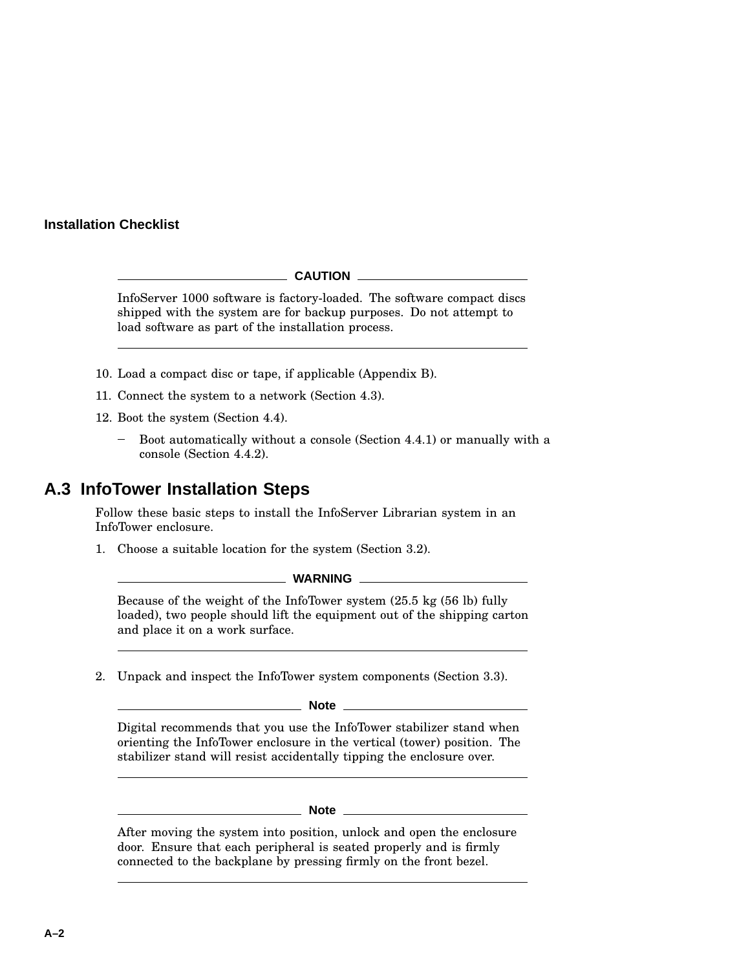#### **Installation Checklist**

#### **CAUTION**

InfoServer 1000 software is factory-loaded. The software compact discs shipped with the system are for backup purposes. Do not attempt to load software as part of the installation process.

- 10. Load a compact disc or tape, if applicable (Appendix B).
- 11. Connect the system to a network (Section 4.3).
- 12. Boot the system (Section 4.4).
	- Boot automatically without a console (Section 4.4.1) or manually with a console (Section 4.4.2).

#### **A.3 InfoTower Installation Steps**

Follow these basic steps to install the InfoServer Librarian system in an InfoTower enclosure.

1. Choose a suitable location for the system (Section 3.2).

#### **WARNING**

Because of the weight of the InfoTower system (25.5 kg (56 lb) fully loaded), two people should lift the equipment out of the shipping carton and place it on a work surface.

2. Unpack and inspect the InfoTower system components (Section 3.3).

**Note**

Digital recommends that you use the InfoTower stabilizer stand when orienting the InfoTower enclosure in the vertical (tower) position. The stabilizer stand will resist accidentally tipping the enclosure over.

**Note**

After moving the system into position, unlock and open the enclosure door. Ensure that each peripheral is seated properly and is firmly connected to the backplane by pressing firmly on the front bezel.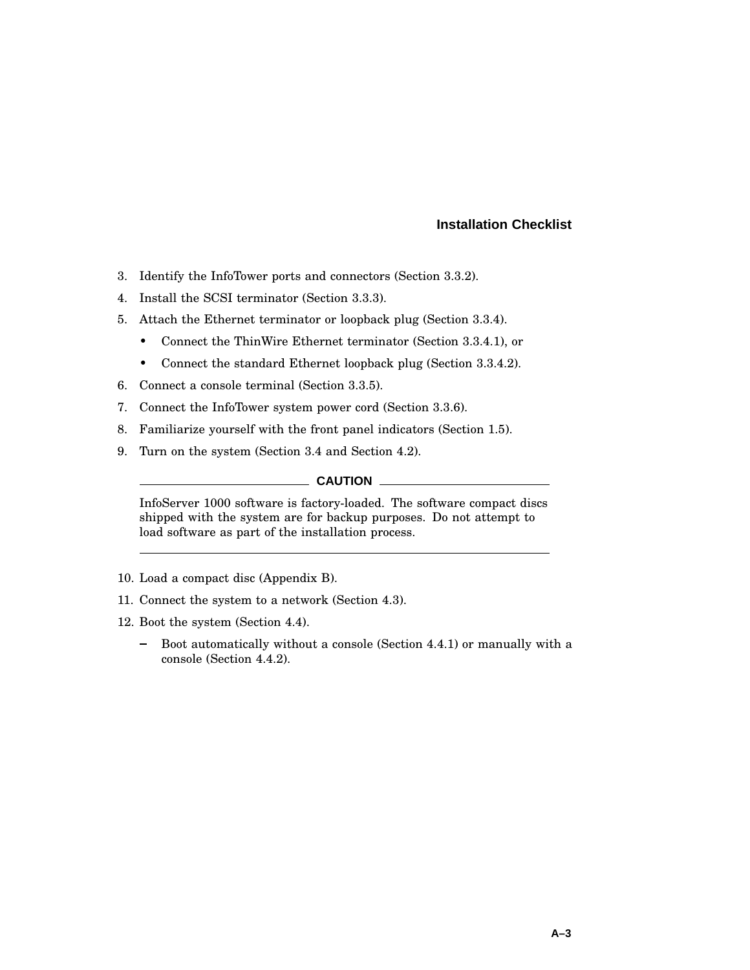#### **Installation Checklist**

- 3. Identify the InfoTower ports and connectors (Section 3.3.2).
- 4. Install the SCSI terminator (Section 3.3.3).
- 5. Attach the Ethernet terminator or loopback plug (Section 3.3.4).
	- Connect the ThinWire Ethernet terminator (Section 3.3.4.1), or
	- Connect the standard Ethernet loopback plug (Section 3.3.4.2).
- 6. Connect a console terminal (Section 3.3.5).
- 7. Connect the InfoTower system power cord (Section 3.3.6).
- 8. Familiarize yourself with the front panel indicators (Section 1.5).
- 9. Turn on the system (Section 3.4 and Section 4.2).

#### **CAUTION**

InfoServer 1000 software is factory-loaded. The software compact discs shipped with the system are for backup purposes. Do not attempt to load software as part of the installation process.

- 10. Load a compact disc (Appendix B).
- 11. Connect the system to a network (Section 4.3).
- 12. Boot the system (Section 4.4).
	- Boot automatically without a console (Section 4.4.1) or manually with a  $\frac{1}{2}$ console (Section 4.4.2).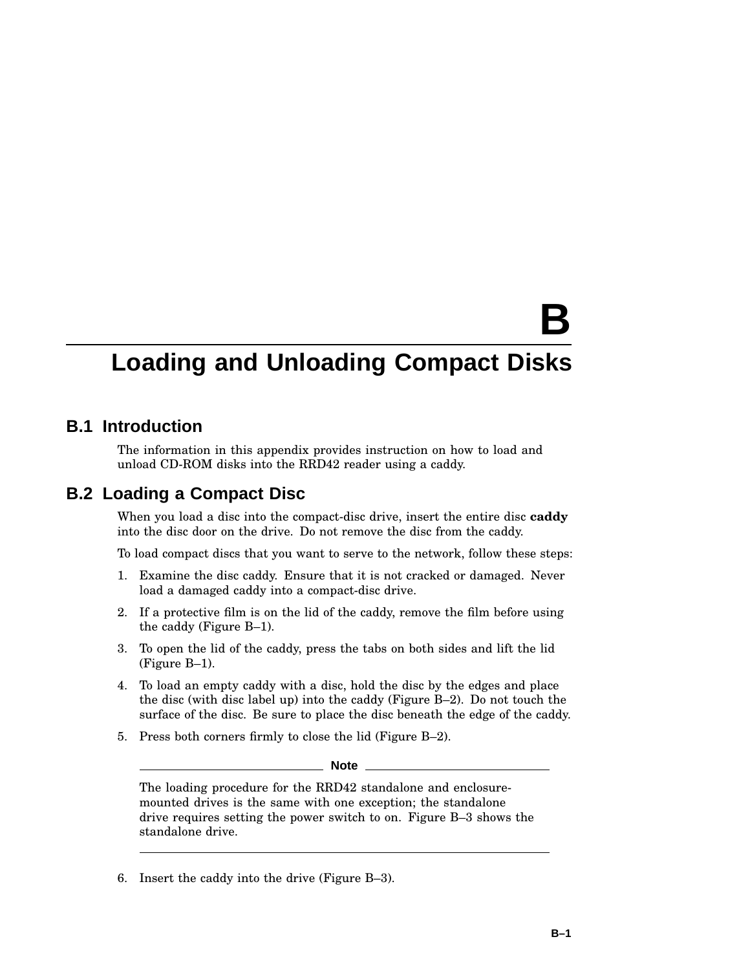# **B**

## **Loading and Unloading Compact Disks**

#### **B.1 Introduction**

The information in this appendix provides instruction on how to load and unload CD-ROM disks into the RRD42 reader using a caddy.

#### **B.2 Loading a Compact Disc**

When you load a disc into the compact-disc drive, insert the entire disc **caddy** into the disc door on the drive. Do not remove the disc from the caddy.

To load compact discs that you want to serve to the network, follow these steps:

- 1. Examine the disc caddy. Ensure that it is not cracked or damaged. Never load a damaged caddy into a compact-disc drive.
- 2. If a protective film is on the lid of the caddy, remove the film before using the caddy (Figure B–1).
- 3. To open the lid of the caddy, press the tabs on both sides and lift the lid (Figure B–1).
- 4. To load an empty caddy with a disc, hold the disc by the edges and place the disc (with disc label up) into the caddy (Figure B–2). Do not touch the surface of the disc. Be sure to place the disc beneath the edge of the caddy.
- 5. Press both corners firmly to close the lid (Figure B–2).

**Note**

The loading procedure for the RRD42 standalone and enclosuremounted drives is the same with one exception; the standalone drive requires setting the power switch to on. Figure B–3 shows the standalone drive.

6. Insert the caddy into the drive (Figure B–3).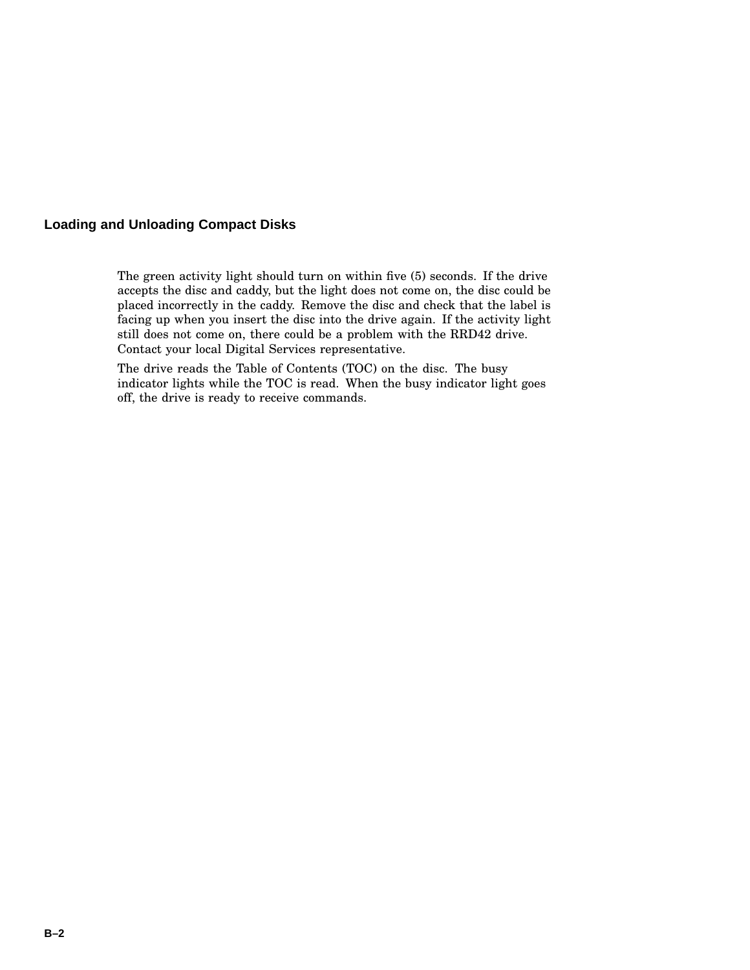#### **Loading and Unloading Compact Disks**

The green activity light should turn on within five (5) seconds. If the drive accepts the disc and caddy, but the light does not come on, the disc could be placed incorrectly in the caddy. Remove the disc and check that the label is facing up when you insert the disc into the drive again. If the activity light still does not come on, there could be a problem with the RRD42 drive. Contact your local Digital Services representative.

The drive reads the Table of Contents (TOC) on the disc. The busy indicator lights while the TOC is read. When the busy indicator light goes off, the drive is ready to receive commands.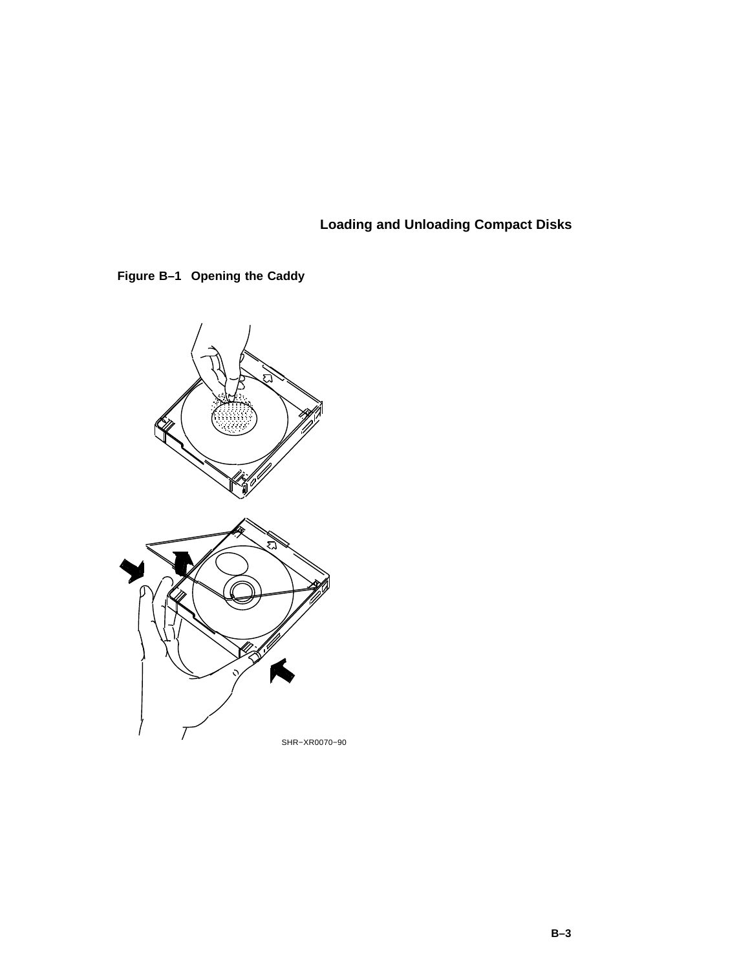**Loading and Unloading Compact Disks**



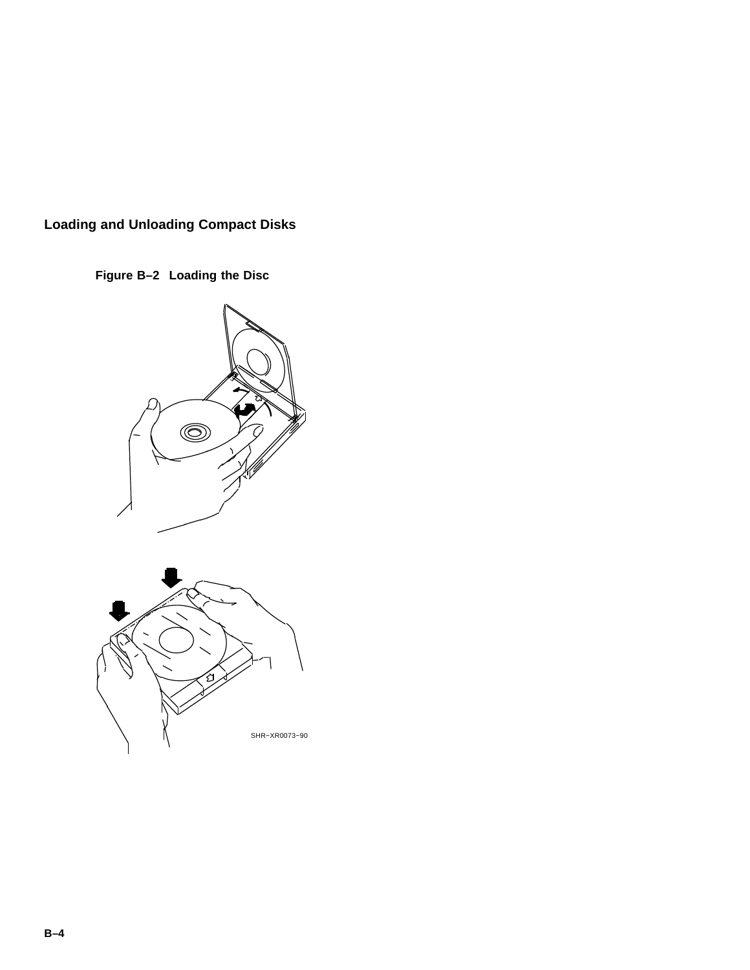## **Loading and Unloading Compact Disks**